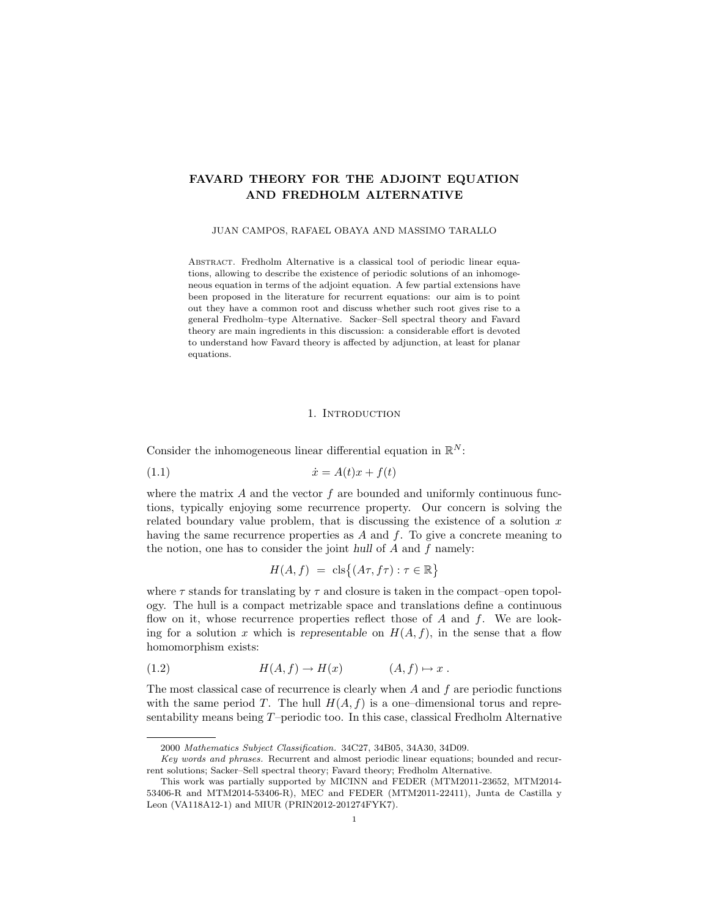# FAVARD THEORY FOR THE ADJOINT EQUATION AND FREDHOLM ALTERNATIVE

### JUAN CAMPOS, RAFAEL OBAYA AND MASSIMO TARALLO

ABSTRACT. Fredholm Alternative is a classical tool of periodic linear equations, allowing to describe the existence of periodic solutions of an inhomogeneous equation in terms of the adjoint equation. A few partial extensions have been proposed in the literature for recurrent equations: our aim is to point out they have a common root and discuss whether such root gives rise to a general Fredholm–type Alternative. Sacker–Sell spectral theory and Favard theory are main ingredients in this discussion: a considerable effort is devoted to understand how Favard theory is affected by adjunction, at least for planar equations.

### 1. INTRODUCTION

Consider the inhomogeneous linear differential equation in  $\mathbb{R}^N$ :

$$
(1.1)\qquad \qquad \dot{x} = A(t)x + f(t)
$$

where the matrix  $\vec{A}$  and the vector  $\vec{f}$  are bounded and uniformly continuous functions, typically enjoying some recurrence property. Our concern is solving the related boundary value problem, that is discussing the existence of a solution  $x$ having the same recurrence properties as  $A$  and  $f$ . To give a concrete meaning to the notion, one has to consider the joint hull of  $A$  and  $f$  namely:

$$
H(A, f) = \operatorname{cls}\{(A\tau, f\tau) : \tau \in \mathbb{R}\}\
$$

where  $\tau$  stands for translating by  $\tau$  and closure is taken in the compact–open topology. The hull is a compact metrizable space and translations define a continuous flow on it, whose recurrence properties reflect those of  $A$  and  $f$ . We are looking for a solution x which is representable on  $H(A, f)$ , in the sense that a flow homomorphism exists:

$$
(1.2) \t\t\t H(A, f) \to H(x) \t\t (A, f) \mapsto x.
$$

The most classical case of recurrence is clearly when  $A$  and  $f$  are periodic functions with the same period T. The hull  $H(A, f)$  is a one-dimensional torus and representability means being T–periodic too. In this case, classical Fredholm Alternative

<sup>2000</sup> Mathematics Subject Classification. 34C27, 34B05, 34A30, 34D09.

Key words and phrases. Recurrent and almost periodic linear equations; bounded and recurrent solutions; Sacker–Sell spectral theory; Favard theory; Fredholm Alternative.

This work was partially supported by MICINN and FEDER (MTM2011-23652, MTM2014- 53406-R and MTM2014-53406-R), MEC and FEDER (MTM2011-22411), Junta de Castilla y Leon (VA118A12-1) and MIUR (PRIN2012-201274FYK7).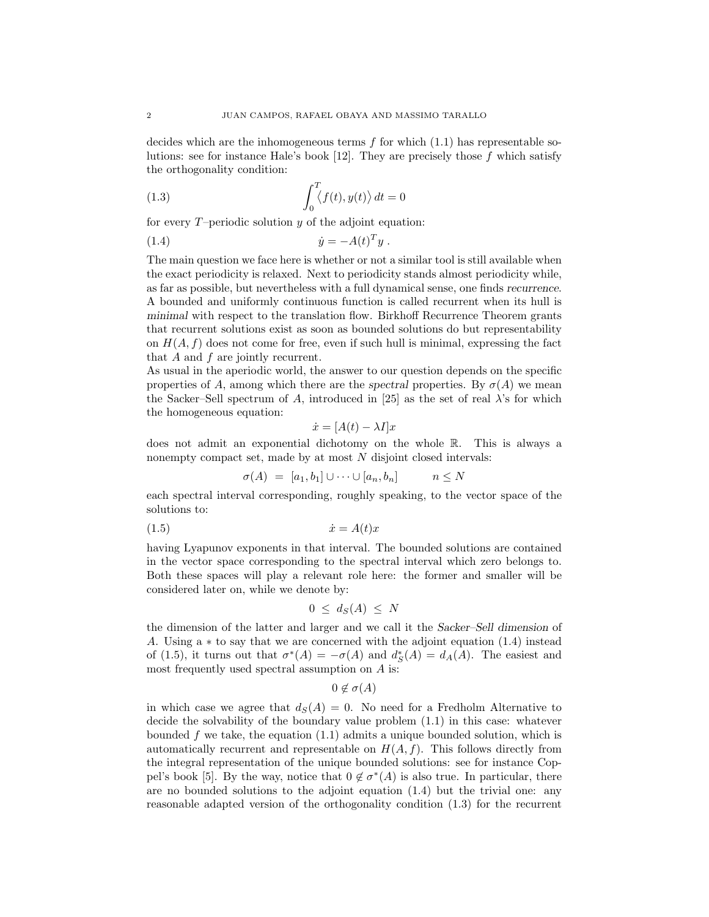decides which are the inhomogeneous terms  $f$  for which  $(1.1)$  has representable solutions: see for instance Hale's book [12]. They are precisely those f which satisfy the orthogonality condition:

(1.3) 
$$
\int_0^T \langle f(t), y(t) \rangle dt = 0
$$

for every  $T$ –periodic solution  $y$  of the adjoint equation:

(1.4) 
$$
\dot{y} = -A(t)^T y.
$$

The main question we face here is whether or not a similar tool is still available when the exact periodicity is relaxed. Next to periodicity stands almost periodicity while, as far as possible, but nevertheless with a full dynamical sense, one finds recurrence. A bounded and uniformly continuous function is called recurrent when its hull is minimal with respect to the translation flow. Birkhoff Recurrence Theorem grants that recurrent solutions exist as soon as bounded solutions do but representability on  $H(A, f)$  does not come for free, even if such hull is minimal, expressing the fact that  $A$  and  $f$  are jointly recurrent.

As usual in the aperiodic world, the answer to our question depends on the specific properties of A, among which there are the spectral properties. By  $\sigma(A)$  we mean the Sacker–Sell spectrum of A, introduced in [25] as the set of real  $\lambda$ 's for which the homogeneous equation:

$$
\dot{x} = [A(t) - \lambda I]x
$$

does not admit an exponential dichotomy on the whole R. This is always a nonempty compact set, made by at most  $N$  disjoint closed intervals:

$$
\sigma(A) = [a_1, b_1] \cup \dots \cup [a_n, b_n] \qquad n \le N
$$

each spectral interval corresponding, roughly speaking, to the vector space of the solutions to:

$$
(1.5) \t\t\t \dot{x} = A(t)x
$$

having Lyapunov exponents in that interval. The bounded solutions are contained in the vector space corresponding to the spectral interval which zero belongs to. Both these spaces will play a relevant role here: the former and smaller will be considered later on, while we denote by:

$$
0 \leq d_S(A) \leq N
$$

the dimension of the latter and larger and we call it the Sacker–Sell dimension of A. Using a ∗ to say that we are concerned with the adjoint equation (1.4) instead of (1.5), it turns out that  $\sigma^*(A) = -\sigma(A)$  and  $d_S^*(A) = d_A(A)$ . The easiest and most frequently used spectral assumption on A is:

 $0 \notin \sigma(A)$ 

in which case we agree that  $d_S(A) = 0$ . No need for a Fredholm Alternative to decide the solvability of the boundary value problem (1.1) in this case: whatever bounded f we take, the equation  $(1.1)$  admits a unique bounded solution, which is automatically recurrent and representable on  $H(A, f)$ . This follows directly from the integral representation of the unique bounded solutions: see for instance Coppel's book [5]. By the way, notice that  $0 \notin \sigma^*(A)$  is also true. In particular, there are no bounded solutions to the adjoint equation (1.4) but the trivial one: any reasonable adapted version of the orthogonality condition (1.3) for the recurrent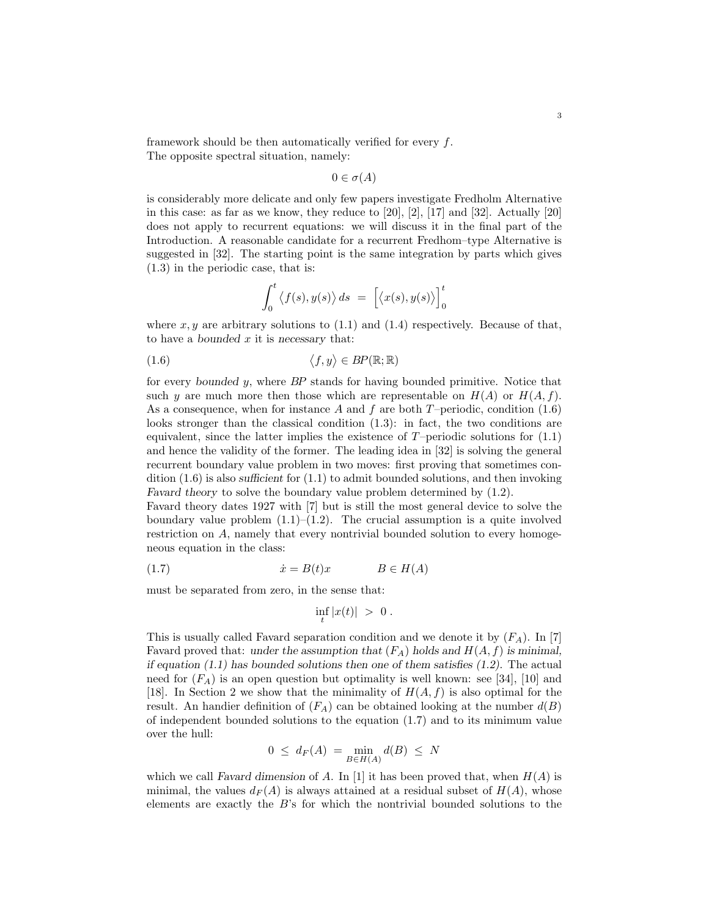framework should be then automatically verified for every f. The opposite spectral situation, namely:

$$
0 \in \sigma(A)
$$

is considerably more delicate and only few papers investigate Fredholm Alternative in this case: as far as we know, they reduce to  $[20]$ ,  $[2]$ ,  $[17]$  and  $[32]$ . Actually  $[20]$ does not apply to recurrent equations: we will discuss it in the final part of the Introduction. A reasonable candidate for a recurrent Fredhom–type Alternative is suggested in [32]. The starting point is the same integration by parts which gives (1.3) in the periodic case, that is:

$$
\int_0^t \langle f(s), y(s) \rangle ds = \left[ \langle x(s), y(s) \rangle \right]_0^t
$$

where  $x, y$  are arbitrary solutions to  $(1.1)$  and  $(1.4)$  respectively. Because of that, to have a bounded  $x$  it is necessary that:

$$
(1.6) \t\t \langle f, y \rangle \in BP(\mathbb{R}; \mathbb{R})
$$

for every bounded y, where BP stands for having bounded primitive. Notice that such y are much more then those which are representable on  $H(A)$  or  $H(A, f)$ . As a consequence, when for instance A and f are both  $T$ –periodic, condition (1.6) looks stronger than the classical condition (1.3): in fact, the two conditions are equivalent, since the latter implies the existence of  $T$ –periodic solutions for  $(1.1)$ and hence the validity of the former. The leading idea in [32] is solving the general recurrent boundary value problem in two moves: first proving that sometimes condition  $(1.6)$  is also sufficient for  $(1.1)$  to admit bounded solutions, and then invoking Favard theory to solve the boundary value problem determined by (1.2).

Favard theory dates 1927 with [7] but is still the most general device to solve the boundary value problem  $(1.1)$ – $(1.2)$ . The crucial assumption is a quite involved restriction on A, namely that every nontrivial bounded solution to every homogeneous equation in the class:

(1.7) ˙x = B(t)x B ∈ H(A)

must be separated from zero, in the sense that:

$$
\inf_t |x(t)| \; > \; 0 \; .
$$

This is usually called Favard separation condition and we denote it by  $(F_A)$ . In [7] Favard proved that: under the assumption that  $(F_A)$  holds and  $H(A, f)$  is minimal, if equation  $(1.1)$  has bounded solutions then one of them satisfies  $(1.2)$ . The actual need for  $(F_A)$  is an open question but optimality is well known: see [34], [10] and [18]. In Section 2 we show that the minimality of  $H(A, f)$  is also optimal for the result. An handier definition of  $(F_A)$  can be obtained looking at the number  $d(B)$ of independent bounded solutions to the equation (1.7) and to its minimum value over the hull:

$$
0 \leq d_F(A) = \min_{B \in H(A)} d(B) \leq N
$$

which we call Favard dimension of A. In [1] it has been proved that, when  $H(A)$  is minimal, the values  $d_F(A)$  is always attained at a residual subset of  $H(A)$ , whose elements are exactly the B's for which the nontrivial bounded solutions to the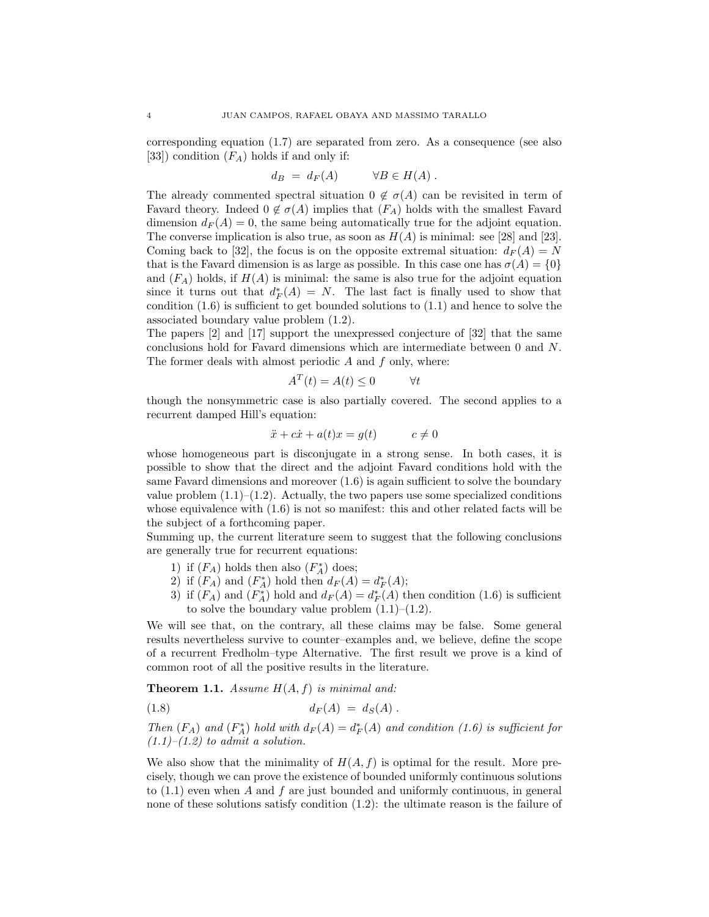corresponding equation (1.7) are separated from zero. As a consequence (see also [33]) condition  $(F_A)$  holds if and only if:

$$
d_B = d_F(A) \qquad \forall B \in H(A) .
$$

The already commented spectral situation  $0 \notin \sigma(A)$  can be revisited in term of Favard theory. Indeed  $0 \notin \sigma(A)$  implies that  $(F_A)$  holds with the smallest Favard dimension  $d_F(A) = 0$ , the same being automatically true for the adjoint equation. The converse implication is also true, as soon as  $H(A)$  is minimal: see [28] and [23]. Coming back to [32], the focus is on the opposite extremal situation:  $d_F(A) = N$ that is the Favard dimension is as large as possible. In this case one has  $\sigma(A) = \{0\}$ and  $(F_A)$  holds, if  $H(A)$  is minimal: the same is also true for the adjoint equation since it turns out that  $d_F^*(A) = N$ . The last fact is finally used to show that condition  $(1.6)$  is sufficient to get bounded solutions to  $(1.1)$  and hence to solve the associated boundary value problem (1.2).

The papers [2] and [17] support the unexpressed conjecture of [32] that the same conclusions hold for Favard dimensions which are intermediate between 0 and N. The former deals with almost periodic  $A$  and  $f$  only, where:

$$
A^T(t) = A(t) \le 0 \qquad \forall t
$$

though the nonsymmetric case is also partially covered. The second applies to a recurrent damped Hill's equation:

$$
\ddot{x} + c\dot{x} + a(t)x = g(t) \qquad c \neq 0
$$

whose homogeneous part is disconjugate in a strong sense. In both cases, it is possible to show that the direct and the adjoint Favard conditions hold with the same Favard dimensions and moreover (1.6) is again sufficient to solve the boundary value problem  $(1.1)$ – $(1.2)$ . Actually, the two papers use some specialized conditions whose equivalence with (1.6) is not so manifest: this and other related facts will be the subject of a forthcoming paper.

Summing up, the current literature seem to suggest that the following conclusions are generally true for recurrent equations:

- 1) if  $(F_A)$  holds then also  $(F_A^*)$  does;
- 2) if  $(F_A)$  and  $(F_A^*)$  hold then  $d_F(A) = d_F^*(A);$
- 3) if  $(F_A)$  and  $(F_A^*)$  hold and  $d_F(A) = d_F^*(A)$  then condition (1.6) is sufficient to solve the boundary value problem  $(1.1)$ – $(1.2)$ .

We will see that, on the contrary, all these claims may be false. Some general results nevertheless survive to counter–examples and, we believe, define the scope of a recurrent Fredholm–type Alternative. The first result we prove is a kind of common root of all the positive results in the literature.

**Theorem 1.1.** Assume  $H(A, f)$  is minimal and:

$$
(1.8) \t\t d_F(A) = d_S(A).
$$

Then  $(F_A)$  and  $(F_A^*)$  hold with  $d_F(A) = d_F^*(A)$  and condition (1.6) is sufficient for  $(1.1)$ – $(1.2)$  to admit a solution.

We also show that the minimality of  $H(A, f)$  is optimal for the result. More precisely, though we can prove the existence of bounded uniformly continuous solutions to  $(1.1)$  even when A and f are just bounded and uniformly continuous, in general none of these solutions satisfy condition (1.2): the ultimate reason is the failure of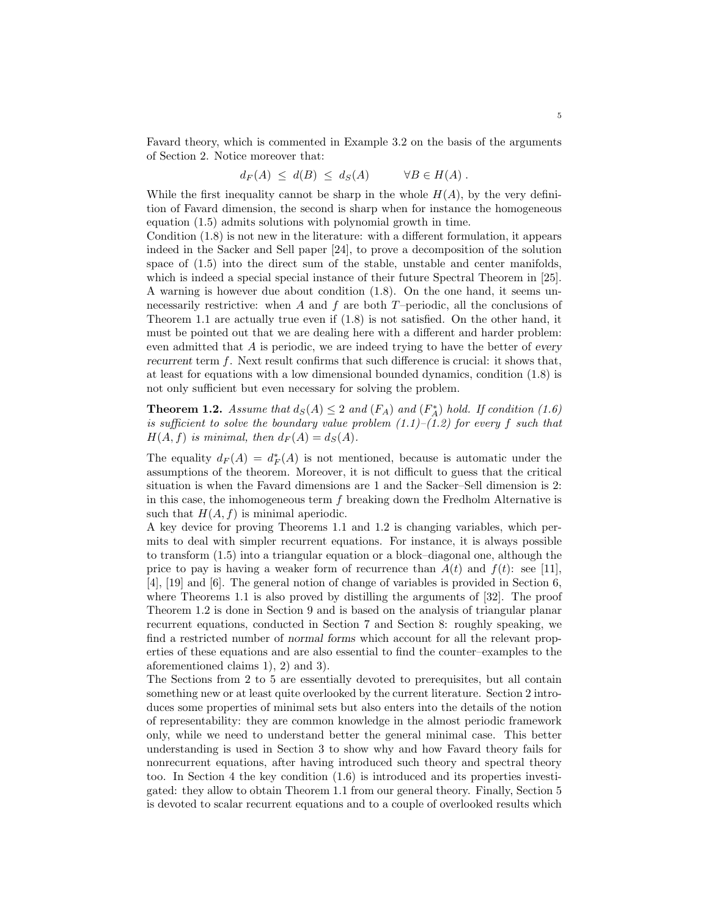Favard theory, which is commented in Example 3.2 on the basis of the arguments of Section 2. Notice moreover that:

$$
d_F(A) \leq d(B) \leq d_S(A) \qquad \forall B \in H(A) .
$$

While the first inequality cannot be sharp in the whole  $H(A)$ , by the very definition of Favard dimension, the second is sharp when for instance the homogeneous equation (1.5) admits solutions with polynomial growth in time.

Condition (1.8) is not new in the literature: with a different formulation, it appears indeed in the Sacker and Sell paper [24], to prove a decomposition of the solution space of (1.5) into the direct sum of the stable, unstable and center manifolds, which is indeed a special special instance of their future Spectral Theorem in [25]. A warning is however due about condition (1.8). On the one hand, it seems unnecessarily restrictive: when A and f are both  $T$ –periodic, all the conclusions of Theorem 1.1 are actually true even if (1.8) is not satisfied. On the other hand, it must be pointed out that we are dealing here with a different and harder problem: even admitted that A is periodic, we are indeed trying to have the better of every recurrent term f. Next result confirms that such difference is crucial: it shows that, at least for equations with a low dimensional bounded dynamics, condition (1.8) is not only sufficient but even necessary for solving the problem.

**Theorem 1.2.** Assume that  $d_S(A) \leq 2$  and  $(F_A)$  and  $(F_A^*)$  hold. If condition (1.6) is sufficient to solve the boundary value problem  $(1.1)$ – $(1.2)$  for every f such that  $H(A, f)$  is minimal, then  $d_F(A) = d_S(A)$ .

The equality  $d_F(A) = d_F^*(A)$  is not mentioned, because is automatic under the assumptions of the theorem. Moreover, it is not difficult to guess that the critical situation is when the Favard dimensions are 1 and the Sacker–Sell dimension is 2: in this case, the inhomogeneous term  $f$  breaking down the Fredholm Alternative is such that  $H(A, f)$  is minimal aperiodic.

A key device for proving Theorems 1.1 and 1.2 is changing variables, which permits to deal with simpler recurrent equations. For instance, it is always possible to transform (1.5) into a triangular equation or a block–diagonal one, although the price to pay is having a weaker form of recurrence than  $A(t)$  and  $f(t)$ : see [11], [4], [19] and [6]. The general notion of change of variables is provided in Section 6, where Theorems 1.1 is also proved by distilling the arguments of [32]. The proof Theorem 1.2 is done in Section 9 and is based on the analysis of triangular planar recurrent equations, conducted in Section 7 and Section 8: roughly speaking, we find a restricted number of normal forms which account for all the relevant properties of these equations and are also essential to find the counter–examples to the aforementioned claims 1), 2) and 3).

The Sections from 2 to 5 are essentially devoted to prerequisites, but all contain something new or at least quite overlooked by the current literature. Section 2 introduces some properties of minimal sets but also enters into the details of the notion of representability: they are common knowledge in the almost periodic framework only, while we need to understand better the general minimal case. This better understanding is used in Section 3 to show why and how Favard theory fails for nonrecurrent equations, after having introduced such theory and spectral theory too. In Section 4 the key condition (1.6) is introduced and its properties investigated: they allow to obtain Theorem 1.1 from our general theory. Finally, Section 5 is devoted to scalar recurrent equations and to a couple of overlooked results which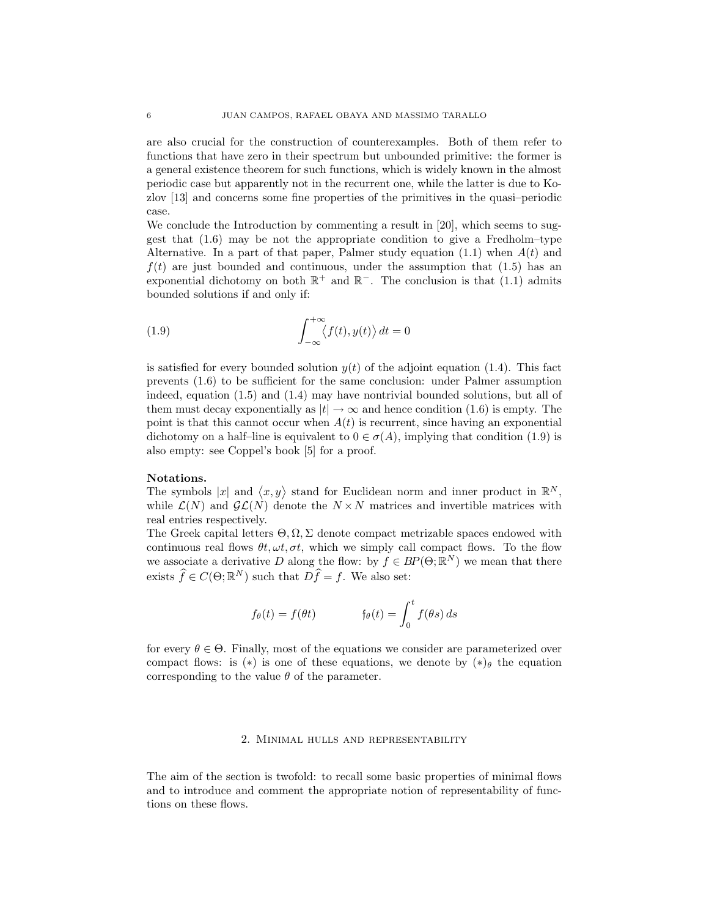are also crucial for the construction of counterexamples. Both of them refer to functions that have zero in their spectrum but unbounded primitive: the former is a general existence theorem for such functions, which is widely known in the almost periodic case but apparently not in the recurrent one, while the latter is due to Kozlov [13] and concerns some fine properties of the primitives in the quasi–periodic case.

We conclude the Introduction by commenting a result in [20], which seems to suggest that (1.6) may be not the appropriate condition to give a Fredholm–type Alternative. In a part of that paper, Palmer study equation  $(1.1)$  when  $A(t)$  and  $f(t)$  are just bounded and continuous, under the assumption that (1.5) has an exponential dichotomy on both  $\mathbb{R}^+$  and  $\mathbb{R}^-$ . The conclusion is that (1.1) admits bounded solutions if and only if:

(1.9) 
$$
\int_{-\infty}^{+\infty} \langle f(t), y(t) \rangle dt = 0
$$

is satisfied for every bounded solution  $y(t)$  of the adjoint equation (1.4). This fact prevents (1.6) to be sufficient for the same conclusion: under Palmer assumption indeed, equation (1.5) and (1.4) may have nontrivial bounded solutions, but all of them must decay exponentially as  $|t| \to \infty$  and hence condition (1.6) is empty. The point is that this cannot occur when  $A(t)$  is recurrent, since having an exponential dichotomy on a half–line is equivalent to  $0 \in \sigma(A)$ , implying that condition (1.9) is also empty: see Coppel's book [5] for a proof.

### Notations.

The symbols |x| and  $\langle x, y \rangle$  stand for Euclidean norm and inner product in  $\mathbb{R}^N$ , while  $\mathcal{L}(N)$  and  $\mathcal{GL}(N)$  denote the  $N \times N$  matrices and invertible matrices with real entries respectively.

The Greek capital letters  $\Theta, \Omega, \Sigma$  denote compact metrizable spaces endowed with continuous real flows  $\theta t$ ,  $\omega t$ ,  $\sigma t$ , which we simply call compact flows. To the flow we associate a derivative D along the flow: by  $f \in BP(\Theta;\mathbb{R}^N)$  we mean that there exists  $\widehat{f} \in C(\Theta; \mathbb{R}^N)$  such that  $D\widehat{f} = f$ . We also set:

$$
f_{\theta}(t) = f(\theta t) \qquad f_{\theta}(t) = \int_0^t f(\theta s) \, ds
$$

for every  $\theta \in \Theta$ . Finally, most of the equations we consider are parameterized over compact flows: is (\*) is one of these equations, we denote by  $(*)_{\theta}$  the equation corresponding to the value  $\theta$  of the parameter.

# 2. Minimal hulls and representability

The aim of the section is twofold: to recall some basic properties of minimal flows and to introduce and comment the appropriate notion of representability of functions on these flows.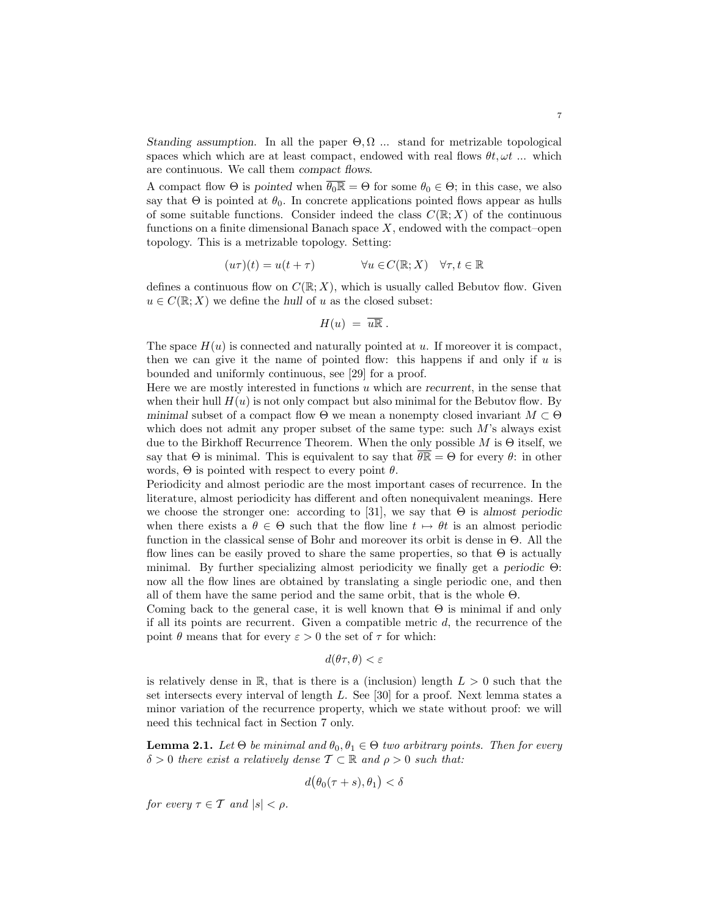Standing assumption. In all the paper  $\Theta, \Omega$  ... stand for metrizable topological spaces which which are at least compact, endowed with real flows  $\theta t, \omega t$  ... which are continuous. We call them compact flows.

A compact flow  $\Theta$  is pointed when  $\overline{\theta_0 \mathbb{R}} = \Theta$  for some  $\theta_0 \in \Theta$ ; in this case, we also say that  $\Theta$  is pointed at  $\theta_0$ . In concrete applications pointed flows appear as hulls of some suitable functions. Consider indeed the class  $C(\mathbb{R};X)$  of the continuous functions on a finite dimensional Banach space  $X$ , endowed with the compact–open topology. This is a metrizable topology. Setting:

$$
(u\tau)(t) = u(t + \tau) \qquad \forall u \in C(\mathbb{R}; X) \quad \forall \tau, t \in \mathbb{R}
$$

defines a continuous flow on  $C(\mathbb{R};X)$ , which is usually called Bebutov flow. Given  $u \in C(\mathbb{R}; X)$  we define the hull of u as the closed subset:

$$
H(u) = \overline{u\mathbb{R}}.
$$

The space  $H(u)$  is connected and naturally pointed at u. If moreover it is compact, then we can give it the name of pointed flow: this happens if and only if  $u$  is bounded and uniformly continuous, see [29] for a proof.

Here we are mostly interested in functions  $u$  which are recurrent, in the sense that when their hull  $H(u)$  is not only compact but also minimal for the Bebutov flow. By minimal subset of a compact flow  $\Theta$  we mean a nonempty closed invariant  $M \subset \Theta$ which does not admit any proper subset of the same type: such  $M$ 's always exist due to the Birkhoff Recurrence Theorem. When the only possible M is  $\Theta$  itself, we say that  $\Theta$  is minimal. This is equivalent to say that  $\overline{\theta \mathbb{R}} = \Theta$  for every  $\theta$ : in other words,  $\Theta$  is pointed with respect to every point  $\theta$ .

Periodicity and almost periodic are the most important cases of recurrence. In the literature, almost periodicity has different and often nonequivalent meanings. Here we choose the stronger one: according to [31], we say that  $\Theta$  is almost periodic when there exists a  $\theta \in \Theta$  such that the flow line  $t \mapsto \theta t$  is an almost periodic function in the classical sense of Bohr and moreover its orbit is dense in Θ. All the flow lines can be easily proved to share the same properties, so that  $\Theta$  is actually minimal. By further specializing almost periodicity we finally get a periodic Θ: now all the flow lines are obtained by translating a single periodic one, and then all of them have the same period and the same orbit, that is the whole Θ.

Coming back to the general case, it is well known that  $\Theta$  is minimal if and only if all its points are recurrent. Given a compatible metric  $d$ , the recurrence of the point  $\theta$  means that for every  $\varepsilon > 0$  the set of  $\tau$  for which:

$$
d(\theta \tau, \theta) < \varepsilon
$$

is relatively dense in  $\mathbb{R}$ , that is there is a (inclusion) length  $L > 0$  such that the set intersects every interval of length L. See [30] for a proof. Next lemma states a minor variation of the recurrence property, which we state without proof: we will need this technical fact in Section 7 only.

**Lemma 2.1.** Let  $\Theta$  be minimal and  $\theta_0, \theta_1 \in \Theta$  two arbitrary points. Then for every  $\delta > 0$  there exist a relatively dense  $\mathcal{T} \subset \mathbb{R}$  and  $\rho > 0$  such that:

$$
d(\theta_0(\tau+s), \theta_1) < \delta
$$

for every  $\tau \in \mathcal{T}$  and  $|s| < \rho$ .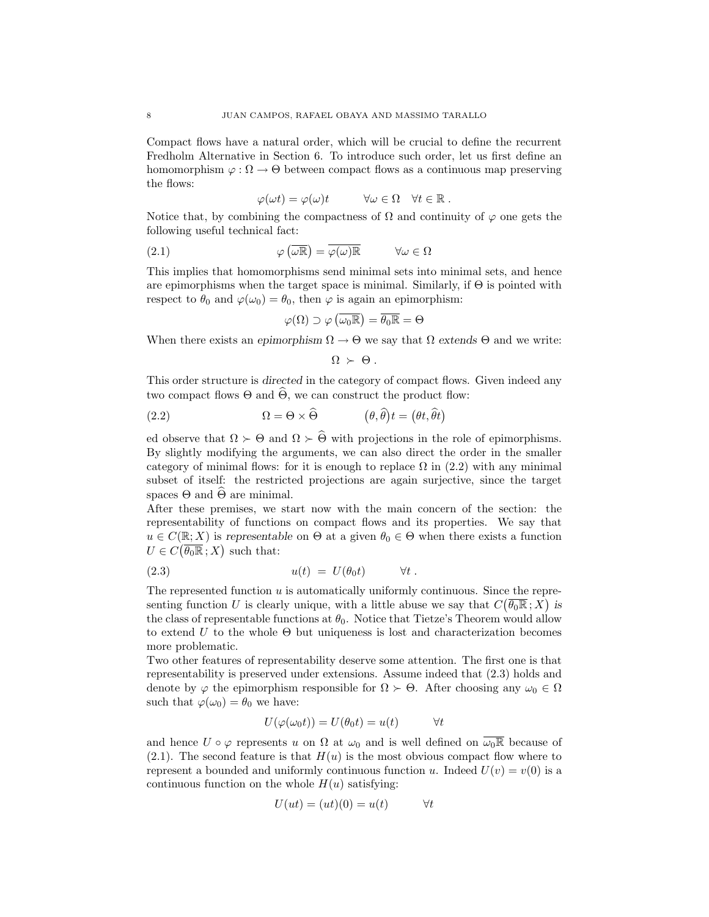Compact flows have a natural order, which will be crucial to define the recurrent Fredholm Alternative in Section 6. To introduce such order, let us first define an homomorphism  $\varphi : \Omega \to \Theta$  between compact flows as a continuous map preserving the flows:

$$
\varphi(\omega t) = \varphi(\omega)t \qquad \forall \omega \in \Omega \quad \forall t \in \mathbb{R} .
$$

Notice that, by combining the compactness of  $\Omega$  and continuity of  $\varphi$  one gets the following useful technical fact:

(2.1) 
$$
\varphi(\overline{\omega \mathbb{R}}) = \overline{\varphi(\omega)\mathbb{R}} \qquad \forall \omega \in \Omega
$$

This implies that homomorphisms send minimal sets into minimal sets, and hence are epimorphisms when the target space is minimal. Similarly, if  $\Theta$  is pointed with respect to  $\theta_0$  and  $\varphi(\omega_0) = \theta_0$ , then  $\varphi$  is again an epimorphism:

$$
\varphi(\Omega) \supset \varphi\left(\overline{\omega_0 \mathbb{R}}\right) = \overline{\theta_0 \mathbb{R}} = \Theta
$$

When there exists an epimorphism  $\Omega \to \Theta$  we say that  $\Omega$  extends  $\Theta$  and we write:

$$
\Omega \succ \Theta .
$$

This order structure is directed in the category of compact flows. Given indeed any two compact flows  $\Theta$  and  $\widehat{\Theta}$ , we can construct the product flow:

(2.2) 
$$
\Omega = \Theta \times \widehat{\Theta} \qquad (\theta, \widehat{\theta})t = (\theta t, \widehat{\theta}t)
$$

ed observe that  $\Omega \succ \Theta$  and  $\Omega \succ \widehat{\Theta}$  with projections in the role of epimorphisms. By slightly modifying the arguments, we can also direct the order in the smaller category of minimal flows: for it is enough to replace  $\Omega$  in (2.2) with any minimal subset of itself: the restricted projections are again surjective, since the target spaces  $\Theta$  and  $\widehat{\Theta}$  are minimal.

After these premises, we start now with the main concern of the section: the representability of functions on compact flows and its properties. We say that  $u \in C(\mathbb{R}; X)$  is representable on  $\Theta$  at a given  $\theta_0 \in \Theta$  when there exists a function  $U \in C(\overline{\theta_0 \mathbb{R}};X)$  such that:

(2.3) 
$$
u(t) = U(\theta_0 t) \qquad \forall t.
$$

The represented function  $u$  is automatically uniformly continuous. Since the representing function U is clearly unique, with a little abuse we say that  $C(\overline{\theta_0 \mathbb{R}}; X)$  is the class of representable functions at  $\theta_0$ . Notice that Tietze's Theorem would allow to extend U to the whole  $\Theta$  but uniqueness is lost and characterization becomes more problematic.

Two other features of representability deserve some attention. The first one is that representability is preserved under extensions. Assume indeed that (2.3) holds and denote by  $\varphi$  the epimorphism responsible for  $\Omega \succ \Theta$ . After choosing any  $\omega_0 \in \Omega$ such that  $\varphi(\omega_0) = \theta_0$  we have:

$$
U(\varphi(\omega_0 t)) = U(\theta_0 t) = u(t) \qquad \forall t
$$

and hence  $U \circ \varphi$  represents u on  $\Omega$  at  $\omega_0$  and is well defined on  $\omega_0\mathbb{R}$  because of  $(2.1)$ . The second feature is that  $H(u)$  is the most obvious compact flow where to represent a bounded and uniformly continuous function u. Indeed  $U(v) = v(0)$  is a continuous function on the whole  $H(u)$  satisfying:

$$
U(ut) = (ut)(0) = u(t) \qquad \forall t
$$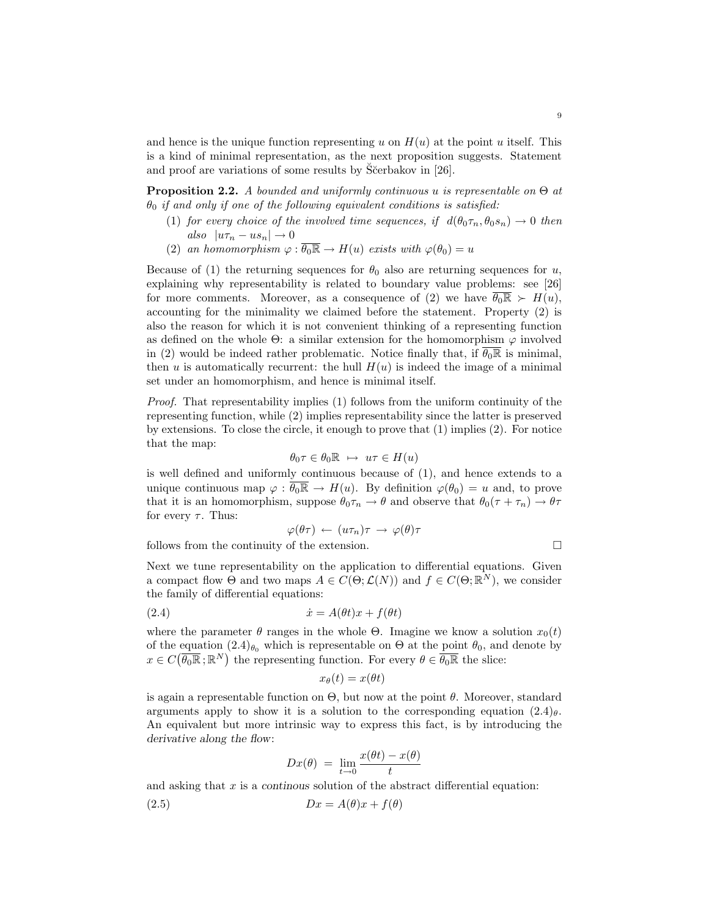and hence is the unique function representing u on  $H(u)$  at the point u itself. This is a kind of minimal representation, as the next proposition suggests. Statement and proof are variations of some results by  $\tilde{S}$ cerbakov in [26].

**Proposition 2.2.** A bounded and uniformly continuous u is representable on  $\Theta$  at  $\theta_0$  if and only if one of the following equivalent conditions is satisfied:

- (1) for every choice of the involved time sequences, if  $d(\theta_0 \tau_n, \theta_0 s_n) \to 0$  then also  $|u\tau_n - us_n| \to 0$
- (2) an homomorphism  $\varphi : \overline{\theta_0 \mathbb{R}} \to H(u)$  exists with  $\varphi(\theta_0) = u$

Because of (1) the returning sequences for  $\theta_0$  also are returning sequences for u, explaining why representability is related to boundary value problems: see [26] for more comments. Moreover, as a consequence of (2) we have  $\overline{\theta_0 \mathbb{R}} \succ H(u)$ , accounting for the minimality we claimed before the statement. Property (2) is also the reason for which it is not convenient thinking of a representing function as defined on the whole  $\Theta$ : a similar extension for the homomorphism  $\varphi$  involved in (2) would be indeed rather problematic. Notice finally that, if  $\overline{\theta_0 \mathbb{R}}$  is minimal, then u is automatically recurrent: the hull  $H(u)$  is indeed the image of a minimal set under an homomorphism, and hence is minimal itself.

Proof. That representability implies (1) follows from the uniform continuity of the representing function, while (2) implies representability since the latter is preserved by extensions. To close the circle, it enough to prove that (1) implies (2). For notice that the map:

$$
\theta_0 \tau \in \theta_0 \mathbb{R} \ \mapsto \ u\tau \in H(u)
$$

is well defined and uniformly continuous because of (1), and hence extends to a unique continuous map  $\varphi : \overline{\theta_0 \mathbb{R}} \to H(u)$ . By definition  $\varphi(\theta_0) = u$  and, to prove that it is an homomorphism, suppose  $\theta_0 \tau_n \to \theta$  and observe that  $\theta_0(\tau + \tau_n) \to \theta \tau$ for every  $\tau$ . Thus:

$$
\varphi(\theta\tau) \leftarrow (u\tau_n)\tau \rightarrow \varphi(\theta)\tau
$$

follows from the continuity of the extension.

Next we tune representability on the application to differential equations. Given a compact flow  $\Theta$  and two maps  $A \in C(\Theta; \mathcal{L}(N))$  and  $f \in C(\Theta; \mathbb{R}^N)$ , we consider the family of differential equations:

(2.4) ˙x = A(θt)x + f(θt)

where the parameter  $\theta$  ranges in the whole  $\Theta$ . Imagine we know a solution  $x_0(t)$ of the equation  $(2.4)_{\theta_0}$  which is representable on  $\Theta$  at the point  $\theta_0$ , and denote by  $x \in C(\overline{\theta_0 \mathbb{R}};\mathbb{R}^N)$  the representing function. For every  $\theta \in \overline{\theta_0 \mathbb{R}}$  the slice:

$$
x_{\theta}(t) = x(\theta t)
$$

is again a representable function on  $\Theta$ , but now at the point  $\theta$ . Moreover, standard arguments apply to show it is a solution to the corresponding equation  $(2.4)_{\theta}$ . An equivalent but more intrinsic way to express this fact, is by introducing the derivative along the flow:

$$
Dx(\theta) = \lim_{t \to 0} \frac{x(\theta t) - x(\theta)}{t}
$$

and asking that  $x$  is a continuous solution of the abstract differential equation:

$$
(2.5) \t\t Dx = A(\theta)x + f(\theta)
$$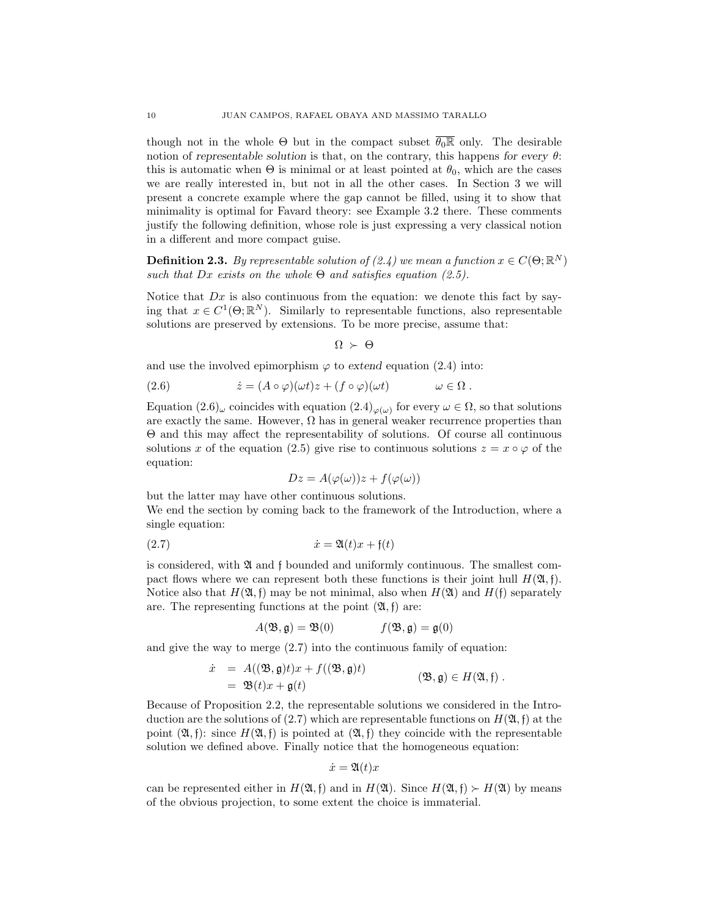though not in the whole  $\Theta$  but in the compact subset  $\overline{\theta_0\mathbb{R}}$  only. The desirable notion of representable solution is that, on the contrary, this happens for every  $\theta$ : this is automatic when  $\Theta$  is minimal or at least pointed at  $\theta_0$ , which are the cases we are really interested in, but not in all the other cases. In Section 3 we will present a concrete example where the gap cannot be filled, using it to show that minimality is optimal for Favard theory: see Example 3.2 there. These comments justify the following definition, whose role is just expressing a very classical notion in a different and more compact guise.

**Definition 2.3.** By representable solution of (2.4) we mean a function  $x \in C(\Theta;\mathbb{R}^N)$ such that Dx exists on the whole  $\Theta$  and satisfies equation (2.5).

Notice that  $Dx$  is also continuous from the equation: we denote this fact by saying that  $x \in C^1(\Theta; \mathbb{R}^N)$ . Similarly to representable functions, also representable solutions are preserved by extensions. To be more precise, assume that:

$$
\Omega \succ \Theta
$$

and use the involved epimorphism  $\varphi$  to extend equation (2.4) into:

(2.6) 
$$
\dot{z} = (A \circ \varphi)(\omega t)z + (f \circ \varphi)(\omega t) \qquad \omega \in \Omega.
$$

Equation  $(2.6)_{\omega}$  coincides with equation  $(2.4)_{\varphi(\omega)}$  for every  $\omega \in \Omega$ , so that solutions are exactly the same. However,  $\Omega$  has in general weaker recurrence properties than Θ and this may affect the representability of solutions. Of course all continuous solutions x of the equation (2.5) give rise to continuous solutions  $z = x \circ \varphi$  of the equation:

$$
Dz = A(\varphi(\omega))z + f(\varphi(\omega))
$$

but the latter may have other continuous solutions. We end the section by coming back to the framework of the Introduction, where a single equation:

$$
(2.7) \qquad \qquad \dot{x} = \mathfrak{A}(t)x + \mathfrak{f}(t)
$$

is considered, with  $\mathfrak A$  and f bounded and uniformly continuous. The smallest compact flows where we can represent both these functions is their joint hull  $H(\mathfrak{A}, \mathfrak{f}).$ Notice also that  $H(\mathfrak{A},\mathfrak{f})$  may be not minimal, also when  $H(\mathfrak{A})$  and  $H(\mathfrak{f})$  separately are. The representing functions at the point  $(\mathfrak{A}, \mathfrak{f})$  are:

$$
A(\mathfrak{B}, \mathfrak{g}) = \mathfrak{B}(0) \qquad f(\mathfrak{B}, \mathfrak{g}) = \mathfrak{g}(0)
$$

and give the way to merge (2.7) into the continuous family of equation:

$$
\dot{x} = A((\mathfrak{B}, \mathfrak{g})t)x + f((\mathfrak{B}, \mathfrak{g})t)
$$
  
=  $\mathfrak{B}(t)x + \mathfrak{g}(t)$  (B,  $\mathfrak{g}) \in H(\mathfrak{A}, \mathfrak{f})$ .

Because of Proposition 2.2, the representable solutions we considered in the Introduction are the solutions of (2.7) which are representable functions on  $H(\mathfrak{A}, \mathfrak{f})$  at the point  $(\mathfrak{A}, \mathfrak{f})$ : since  $H(\mathfrak{A}, \mathfrak{f})$  is pointed at  $(\mathfrak{A}, \mathfrak{f})$  they coincide with the representable solution we defined above. Finally notice that the homogeneous equation:

$$
\dot{x} = \mathfrak{A}(t)x
$$

can be represented either in  $H(\mathfrak{A},\mathfrak{f})$  and in  $H(\mathfrak{A})$ . Since  $H(\mathfrak{A},\mathfrak{f}) \succ H(\mathfrak{A})$  by means of the obvious projection, to some extent the choice is immaterial.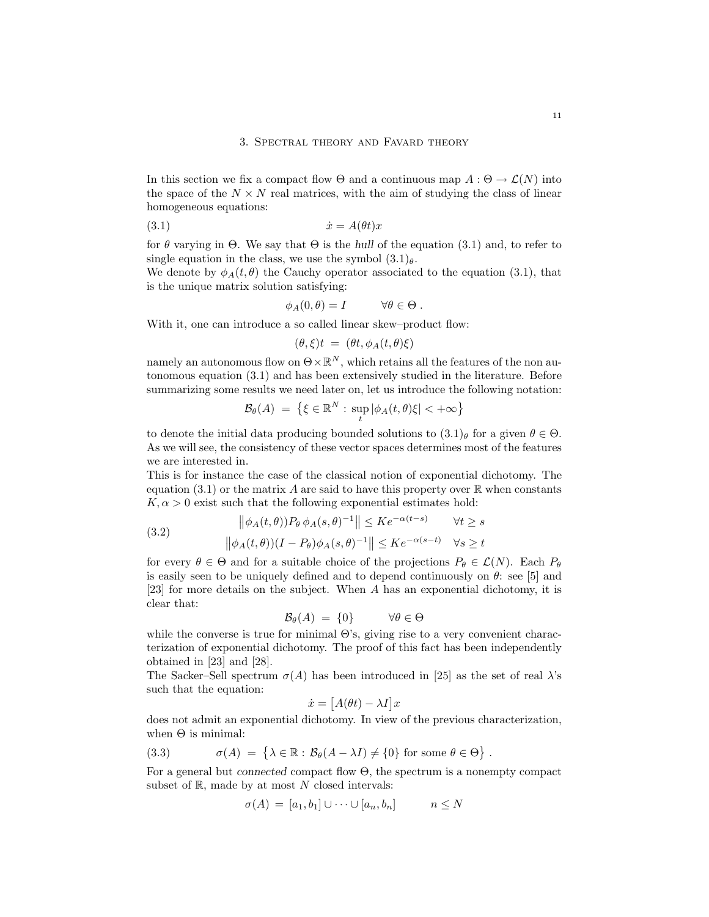#### 3. Spectral theory and Favard theory

In this section we fix a compact flow  $\Theta$  and a continuous map  $A : \Theta \to \mathcal{L}(N)$  into the space of the  $N \times N$  real matrices, with the aim of studying the class of linear homogeneous equations:

$$
(3.1) \t\t\t \dot{x} = A(\theta t)x
$$

for  $\theta$  varying in  $\Theta$ . We say that  $\Theta$  is the hull of the equation (3.1) and, to refer to single equation in the class, we use the symbol  $(3.1)_{\theta}$ .

We denote by  $\phi_A(t, \theta)$  the Cauchy operator associated to the equation (3.1), that is the unique matrix solution satisfying:

$$
\phi_A(0,\theta) = I \qquad \forall \theta \in \Theta.
$$

With it, one can introduce a so called linear skew–product flow:

$$
(\theta,\xi)t = (\theta t, \phi_A(t,\theta)\xi)
$$

namely an autonomous flow on  $\Theta \times \mathbb{R}^N$ , which retains all the features of the non autonomous equation (3.1) and has been extensively studied in the literature. Before summarizing some results we need later on, let us introduce the following notation:

$$
\mathcal{B}_{\theta}(A) = \left\{ \xi \in \mathbb{R}^{N} : \sup_{t} |\phi_{A}(t, \theta)\xi| < +\infty \right\}
$$

to denote the initial data producing bounded solutions to  $(3.1)$  for a given  $\theta \in \Theta$ . As we will see, the consistency of these vector spaces determines most of the features we are interested in.

This is for instance the case of the classical notion of exponential dichotomy. The equation (3.1) or the matrix A are said to have this property over  $\mathbb R$  when constants  $K, \alpha > 0$  exist such that the following exponential estimates hold:

(3.2) 
$$
\|\phi_A(t,\theta)\|P_{\theta}\phi_A(s,\theta)^{-1}\| \leq Ke^{-\alpha(t-s)} \quad \forall t \geq s
$$

$$
\|\phi_A(t,\theta)\|I - P_{\theta}\|\phi_A(s,\theta)^{-1}\| \leq Ke^{-\alpha(s-t)} \quad \forall s \geq t
$$

for every  $\theta \in \Theta$  and for a suitable choice of the projections  $P_{\theta} \in \mathcal{L}(N)$ . Each  $P_{\theta}$ is easily seen to be uniquely defined and to depend continuously on  $\theta$ : see [5] and [23] for more details on the subject. When A has an exponential dichotomy, it is clear that:

$$
\mathcal{B}_{\theta}(A) = \{0\} \qquad \forall \theta \in \Theta
$$

while the converse is true for minimal  $\Theta$ 's, giving rise to a very convenient characterization of exponential dichotomy. The proof of this fact has been independently obtained in [23] and [28].

The Sacker–Sell spectrum  $\sigma(A)$  has been introduced in [25] as the set of real  $\lambda$ 's such that the equation:

$$
\dot{x} = [A(\theta t) - \lambda I]x
$$

does not admit an exponential dichotomy. In view of the previous characterization, when  $\Theta$  is minimal:

(3.3) 
$$
\sigma(A) = \{ \lambda \in \mathbb{R} : \mathcal{B}_{\theta}(A - \lambda I) \neq \{0\} \text{ for some } \theta \in \Theta \}
$$

For a general but connected compact flow Θ, the spectrum is a nonempty compact subset of  $\mathbb{R}$ , made by at most N closed intervals:

.

$$
\sigma(A) = [a_1, b_1] \cup \dots \cup [a_n, b_n] \qquad n \le N
$$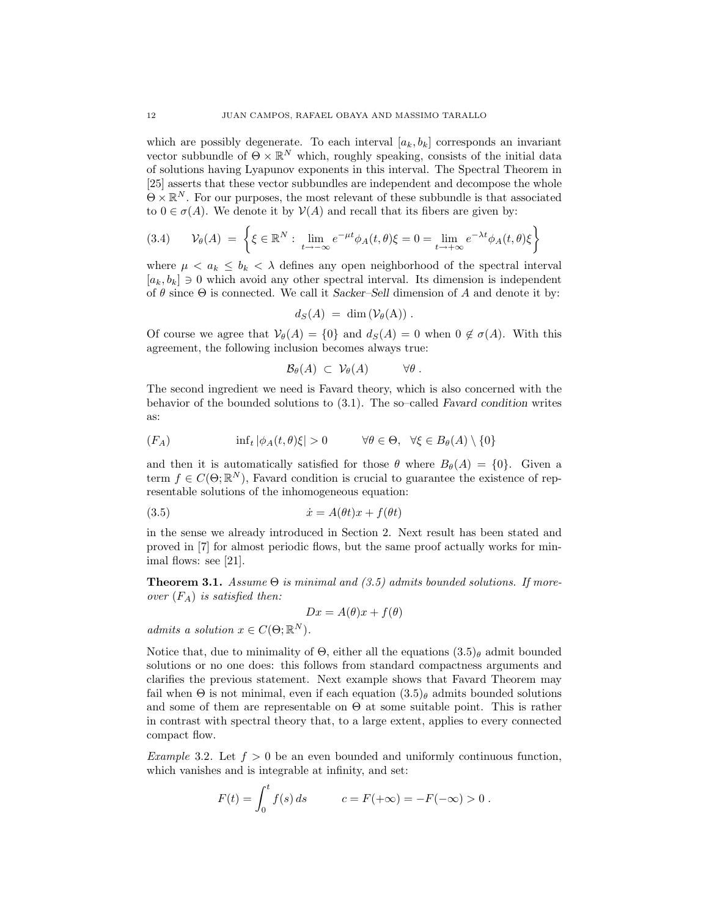which are possibly degenerate. To each interval  $[a_k, b_k]$  corresponds an invariant vector subbundle of  $\Theta \times \mathbb{R}^N$  which, roughly speaking, consists of the initial data of solutions having Lyapunov exponents in this interval. The Spectral Theorem in [25] asserts that these vector subbundles are independent and decompose the whole  $\Theta \times \mathbb{R}^N$ . For our purposes, the most relevant of these subbundle is that associated to  $0 \in \sigma(A)$ . We denote it by  $\mathcal{V}(A)$  and recall that its fibers are given by:

$$
(3.4) \qquad \mathcal{V}_{\theta}(A) = \left\{ \xi \in \mathbb{R}^N : \lim_{t \to -\infty} e^{-\mu t} \phi_A(t,\theta) \xi = 0 = \lim_{t \to +\infty} e^{-\lambda t} \phi_A(t,\theta) \xi \right\}
$$

where  $\mu < a_k \leq b_k < \lambda$  defines any open neighborhood of the spectral interval  $[a_k, b_k] \ni 0$  which avoid any other spectral interval. Its dimension is independent of  $\theta$  since  $\Theta$  is connected. We call it Sacker–Sell dimension of A and denote it by:

$$
d_S(A) = \dim(\mathcal{V}_{\theta}(A)) .
$$

Of course we agree that  $\mathcal{V}_{\theta}(A) = \{0\}$  and  $d_S(A) = 0$  when  $0 \notin \sigma(A)$ . With this agreement, the following inclusion becomes always true:

$$
\mathcal{B}_{\theta}(A) \subset \mathcal{V}_{\theta}(A) \qquad \forall \theta.
$$

The second ingredient we need is Favard theory, which is also concerned with the behavior of the bounded solutions to (3.1). The so–called Favard condition writes as:

$$
(F_A) \quad \text{inf}_t |\phi_A(t,\theta)\xi| > 0 \quad \forall \theta \in \Theta, \quad \forall \xi \in B_\theta(A) \setminus \{0\}
$$

and then it is automatically satisfied for those  $\theta$  where  $B_{\theta}(A) = \{0\}$ . Given a term  $f \in C(\Theta;\mathbb{R}^N)$ , Favard condition is crucial to guarantee the existence of representable solutions of the inhomogeneous equation:

$$
(3.5) \t\t\t \dot{x} = A(\theta t)x + f(\theta t)
$$

in the sense we already introduced in Section 2. Next result has been stated and proved in [7] for almost periodic flows, but the same proof actually works for minimal flows: see [21].

**Theorem 3.1.** Assume  $\Theta$  is minimal and (3.5) admits bounded solutions. If moreover  $(F_A)$  is satisfied then:

$$
Dx = A(\theta)x + f(\theta)
$$

admits a solution  $x \in C(\Theta; \mathbb{R}^N)$ .

Notice that, due to minimality of  $\Theta$ , either all the equations  $(3.5)$ <sub>θ</sub> admit bounded solutions or no one does: this follows from standard compactness arguments and clarifies the previous statement. Next example shows that Favard Theorem may fail when  $\Theta$  is not minimal, even if each equation  $(3.5)$  admits bounded solutions and some of them are representable on Θ at some suitable point. This is rather in contrast with spectral theory that, to a large extent, applies to every connected compact flow.

Example 3.2. Let  $f > 0$  be an even bounded and uniformly continuous function, which vanishes and is integrable at infinity, and set:

$$
F(t) = \int_0^t f(s) \, ds \qquad c = F(+\infty) = -F(-\infty) > 0 \; .
$$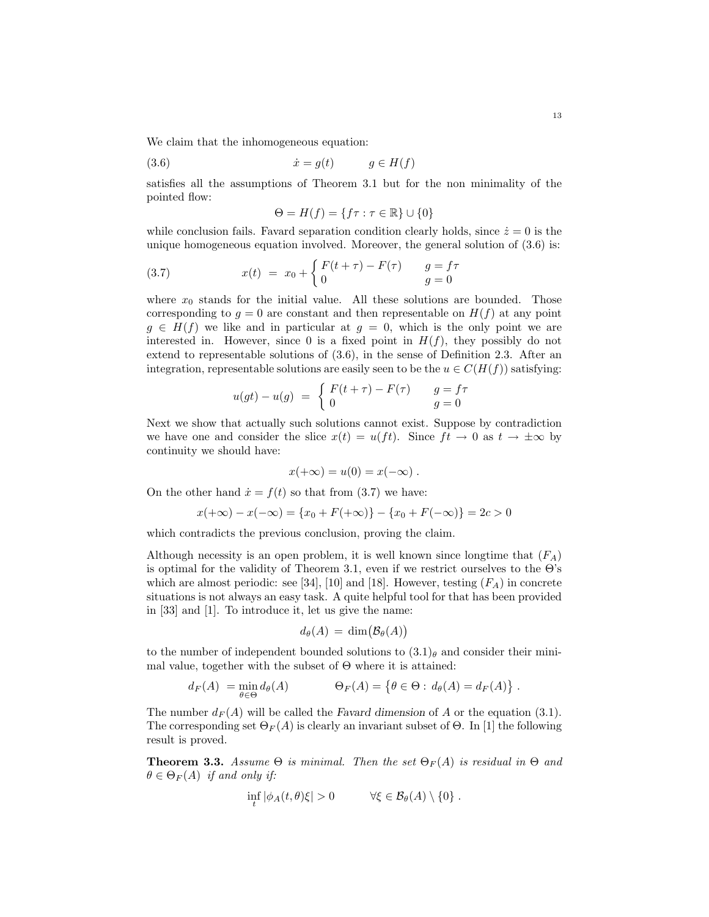We claim that the inhomogeneous equation:

$$
(3.6) \t\t\t \dot{x} = g(t) \t\t\t g \in H(f)
$$

satisfies all the assumptions of Theorem 3.1 but for the non minimality of the pointed flow:

$$
\Theta = H(f) = \{f\tau : \tau \in \mathbb{R}\} \cup \{0\}
$$

while conclusion fails. Favard separation condition clearly holds, since  $\dot{z} = 0$  is the unique homogeneous equation involved. Moreover, the general solution of (3.6) is:

(3.7) 
$$
x(t) = x_0 + \begin{cases} F(t+\tau) - F(\tau) & g = f\tau \\ 0 & g = 0 \end{cases}
$$

where  $x_0$  stands for the initial value. All these solutions are bounded. Those corresponding to  $g = 0$  are constant and then representable on  $H(f)$  at any point  $g \in H(f)$  we like and in particular at  $g = 0$ , which is the only point we are interested in. However, since 0 is a fixed point in  $H(f)$ , they possibly do not extend to representable solutions of (3.6), in the sense of Definition 2.3. After an integration, representable solutions are easily seen to be the  $u \in C(H(f))$  satisfying:

$$
u(gt) - u(g) = \begin{cases} F(t+\tau) - F(\tau) & g = f\tau \\ 0 & g = 0 \end{cases}
$$

Next we show that actually such solutions cannot exist. Suppose by contradiction we have one and consider the slice  $x(t) = u(f t)$ . Since  $ft \to 0$  as  $t \to \pm \infty$  by continuity we should have:

$$
x(+\infty) = u(0) = x(-\infty) .
$$

On the other hand  $\dot{x} = f(t)$  so that from (3.7) we have:

$$
x(+\infty) - x(-\infty) = \{x_0 + F(+\infty)\} - \{x_0 + F(-\infty)\} = 2c > 0
$$

which contradicts the previous conclusion, proving the claim.

Although necessity is an open problem, it is well known since longtime that  $(F_A)$ is optimal for the validity of Theorem 3.1, even if we restrict ourselves to the Θ's which are almost periodic: see [34], [10] and [18]. However, testing  $(F_A)$  in concrete situations is not always an easy task. A quite helpful tool for that has been provided in [33] and [1]. To introduce it, let us give the name:

$$
d_{\theta}(A) = \dim(\mathcal{B}_{\theta}(A))
$$

to the number of independent bounded solutions to  $(3.1)$ <sub>θ</sub> and consider their minimal value, together with the subset of  $\Theta$  where it is attained:

$$
d_F(A) = \min_{\theta \in \Theta} d_{\theta}(A) \qquad \Theta_F(A) = \{ \theta \in \Theta : d_{\theta}(A) = d_F(A) \}.
$$

The number  $d_F(A)$  will be called the Favard dimension of A or the equation (3.1). The corresponding set  $\Theta_F(A)$  is clearly an invariant subset of  $\Theta$ . In [1] the following result is proved.

**Theorem 3.3.** Assume  $\Theta$  is minimal. Then the set  $\Theta_F(A)$  is residual in  $\Theta$  and  $\theta \in \Theta_F(A)$  if and only if:

$$
\inf_t |\phi_A(t,\theta)\xi| > 0 \qquad \forall \xi \in \mathcal{B}_\theta(A) \setminus \{0\} .
$$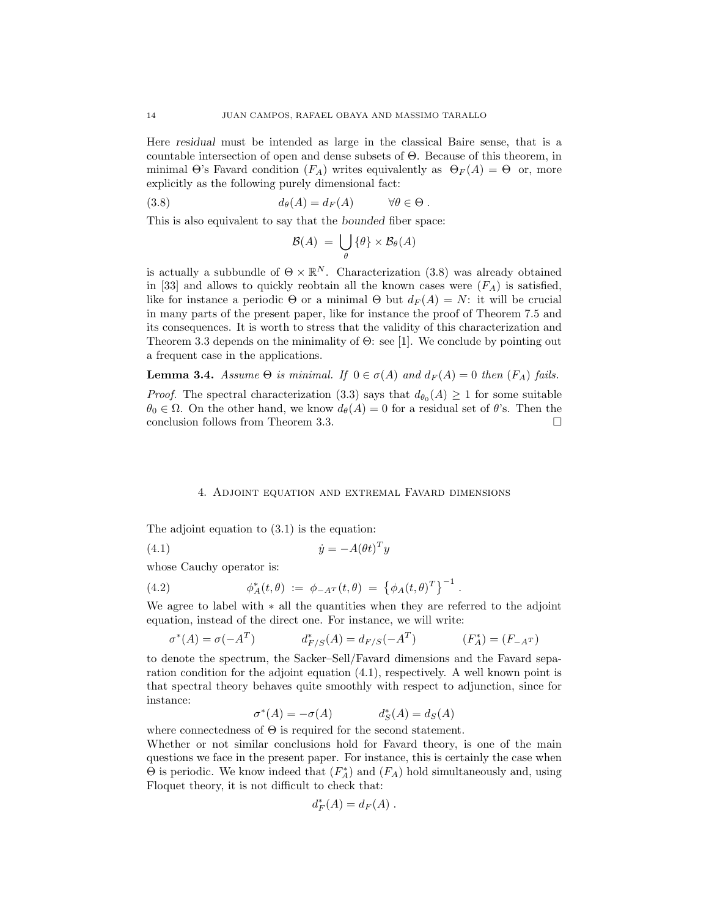Here residual must be intended as large in the classical Baire sense, that is a countable intersection of open and dense subsets of Θ. Because of this theorem, in minimal  $\Theta$ 's Favard condition  $(F_A)$  writes equivalently as  $\Theta_F(A) = \Theta$  or, more explicitly as the following purely dimensional fact:

(3.8) 
$$
d_{\theta}(A) = d_F(A) \qquad \forall \theta \in \Theta.
$$

This is also equivalent to say that the bounded fiber space:

$$
\mathcal{B}(A) = \bigcup_{\theta} \{\theta\} \times \mathcal{B}_{\theta}(A)
$$

is actually a subbundle of  $\Theta \times \mathbb{R}^N$ . Characterization (3.8) was already obtained in [33] and allows to quickly reobtain all the known cases were  $(F_A)$  is satisfied, like for instance a periodic  $\Theta$  or a minimal  $\Theta$  but  $d_F(A) = N$ : it will be crucial in many parts of the present paper, like for instance the proof of Theorem 7.5 and its consequences. It is worth to stress that the validity of this characterization and Theorem 3.3 depends on the minimality of Θ: see [1]. We conclude by pointing out a frequent case in the applications.

**Lemma 3.4.** Assume  $\Theta$  is minimal. If  $0 \in \sigma(A)$  and  $d_F(A) = 0$  then  $(F_A)$  fails.

*Proof.* The spectral characterization (3.3) says that  $d_{\theta_0}(A) \geq 1$  for some suitable  $\theta_0 \in \Omega$ . On the other hand, we know  $d_{\theta}(A) = 0$  for a residual set of  $\theta$ 's. Then the conclusion follows from Theorem 3.3.

### 4. Adjoint equation and extremal Favard dimensions

The adjoint equation to (3.1) is the equation:

(4.1) ˙y = −A(θt) T y

whose Cauchy operator is:

(4.2) 
$$
\phi_A^*(t,\theta) := \phi_{-A^T}(t,\theta) = \left\{ \phi_A(t,\theta)^T \right\}^{-1}.
$$

We agree to label with ∗ all the quantities when they are referred to the adjoint equation, instead of the direct one. For instance, we will write:

$$
\sigma^*(A) = \sigma(-A^T) \qquad d^*_{F/S}(A) = d_{F/S}(-A^T) \qquad (F^*_A) = (F_{-A^T})
$$

to denote the spectrum, the Sacker–Sell/Favard dimensions and the Favard separation condition for the adjoint equation (4.1), respectively. A well known point is that spectral theory behaves quite smoothly with respect to adjunction, since for instance:

$$
\sigma^*(A) = -\sigma(A) \qquad d_S^*(A) = d_S(A)
$$

where connectedness of  $\Theta$  is required for the second statement.

Whether or not similar conclusions hold for Favard theory, is one of the main questions we face in the present paper. For instance, this is certainly the case when  $\Theta$  is periodic. We know indeed that  $(F_A^*)$  and  $(F_A)$  hold simultaneously and, using Floquet theory, it is not difficult to check that:

$$
d_F^*(A) = d_F(A) .
$$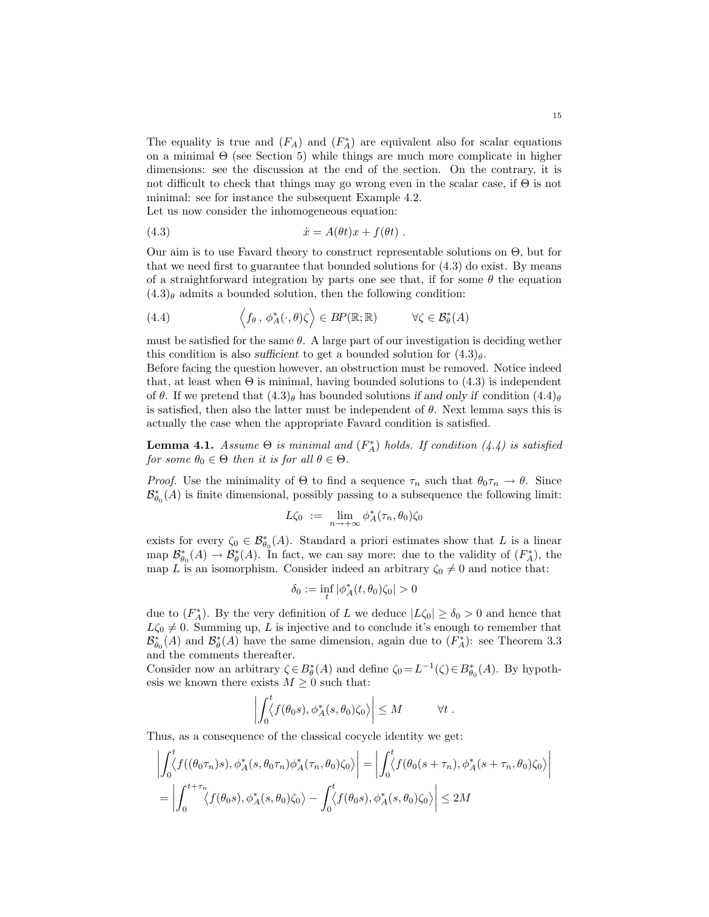The equality is true and  $(F_A)$  and  $(F_A^*)$  are equivalent also for scalar equations on a minimal Θ (see Section 5) while things are much more complicate in higher dimensions: see the discussion at the end of the section. On the contrary, it is not difficult to check that things may go wrong even in the scalar case, if Θ is not minimal: see for instance the subsequent Example 4.2.

Let us now consider the inhomogeneous equation:

(4.3) ˙x = A(θt)x + f(θt) .

Our aim is to use Favard theory to construct representable solutions on Θ, but for that we need first to guarantee that bounded solutions for (4.3) do exist. By means of a straightforward integration by parts one see that, if for some  $\theta$  the equation  $(4.3)$ <sub>θ</sub> admits a bounded solution, then the following condition:

(4.4) 
$$
\left\langle f_{\theta}, \phi_A^*(\cdot, \theta) \zeta \right\rangle \in BP(\mathbb{R}; \mathbb{R}) \qquad \forall \zeta \in \mathcal{B}_{\theta}^*(A)
$$

must be satisfied for the same  $\theta$ . A large part of our investigation is deciding wether this condition is also sufficient to get a bounded solution for  $(4.3)_{\theta}$ .

Before facing the question however, an obstruction must be removed. Notice indeed that, at least when  $\Theta$  is minimal, having bounded solutions to  $(4.3)$  is independent of  $\theta$ . If we pretend that  $(4.3)_{\theta}$  has bounded solutions if and only if condition  $(4.4)_{\theta}$ is satisfied, then also the latter must be independent of  $\theta$ . Next lemma says this is actually the case when the appropriate Favard condition is satisfied.

**Lemma 4.1.** Assume  $\Theta$  is minimal and  $(F_A^*)$  holds. If condition  $(4.4)$  is satisfied for some  $\theta_0 \in \Theta$  then it is for all  $\theta \in \Theta$ .

*Proof.* Use the minimality of  $\Theta$  to find a sequence  $\tau_n$  such that  $\theta_0 \tau_n \to \theta$ . Since  $\mathcal{B}_{\theta_0}^{*}(A)$  is finite dimensional, possibly passing to a subsequence the following limit:

$$
L\zeta_0 := \lim_{n \to +\infty} \phi_A^*(\tau_n, \theta_0)\zeta_0
$$

exists for every  $\zeta_0 \in \mathcal{B}_{\theta_0}^*(A)$ . Standard a priori estimates show that L is a linear map  $\mathcal{B}_{\theta_0}^*(A) \to \mathcal{B}_{\theta}^*(A)$ . In fact, we can say more: due to the validity of  $(F_A^*)$ , the map L is an isomorphism. Consider indeed an arbitrary  $\zeta_0 \neq 0$  and notice that:

$$
\delta_0:=\inf_t|\phi^*_A(t,\theta_0)\zeta_0|>0
$$

due to  $(F_A^*)$ . By the very definition of L we deduce  $|L\zeta_0| \ge \delta_0 > 0$  and hence that  $L\zeta_0 \neq 0$ . Summing up, L is injective and to conclude it's enough to remember that  $\mathcal{B}_{\theta_0}^*(A)$  and  $\mathcal{B}_{\theta}^*(A)$  have the same dimension, again due to  $(F_A^*)$ : see Theorem 3.3 and the comments thereafter.

Consider now an arbitrary  $\zeta \in B^*_{\theta}(A)$  and define  $\zeta_0 = L^{-1}(\zeta) \in B^*_{\theta_0}(A)$ . By hypothesis we known there exists  $M \geq 0$  such that:

$$
\left| \int_0^t \langle f(\theta_0 s), \phi_A^*(s, \theta_0) \zeta_0 \rangle \right| \leq M \qquad \forall t.
$$

Thus, as a consequence of the classical cocycle identity we get:

$$
\left| \int_0^t \langle f((\theta_0 \tau_n)s), \phi_A^*(s, \theta_0 \tau_n) \phi_A^*(\tau_n, \theta_0) \zeta_0 \rangle \right| = \left| \int_0^t \langle f(\theta_0(s + \tau_n), \phi_A^*(s + \tau_n, \theta_0) \zeta_0 \rangle \right|
$$
  
= 
$$
\left| \int_0^{t + \tau_n} \langle f(\theta_0s), \phi_A^*(s, \theta_0) \zeta_0 \rangle - \int_0^t \langle f(\theta_0s), \phi_A^*(s, \theta_0) \zeta_0 \rangle \right| \le 2M
$$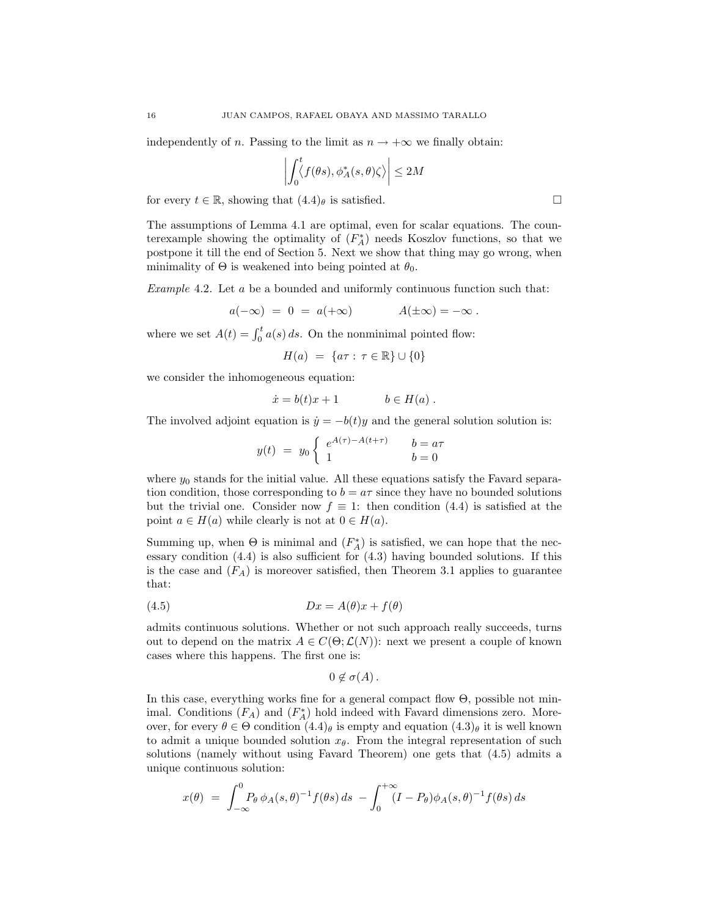independently of n. Passing to the limit as  $n \to +\infty$  we finally obtain:

$$
\left| \int_0^t \langle f(\theta s), \phi_A^*(s, \theta) \zeta \rangle \right| \le 2M
$$

for every  $t \in \mathbb{R}$ , showing that  $(4.4)_{\theta}$  is satisfied.

The assumptions of Lemma 4.1 are optimal, even for scalar equations. The counterexample showing the optimality of  $(F_A^*)$  needs Koszlov functions, so that we postpone it till the end of Section 5. Next we show that thing may go wrong, when minimality of  $\Theta$  is weakened into being pointed at  $\theta_0$ .

Example 4.2. Let a be a bounded and uniformly continuous function such that:

$$
a(-\infty) = 0 = a(+\infty) \qquad A(\pm \infty) = -\infty.
$$

where we set  $A(t) = \int_0^t a(s) ds$ . On the nonminimal pointed flow:

$$
H(a) = \{a\tau : \tau \in \mathbb{R}\} \cup \{0\}
$$

we consider the inhomogeneous equation:

$$
\dot{x} = b(t)x + 1 \qquad b \in H(a) .
$$

The involved adjoint equation is  $\dot{y} = -b(t)y$  and the general solution solution is:

$$
y(t) = y_0 \begin{cases} e^{A(\tau) - A(t + \tau)} & b = a\tau \\ 1 & b = 0 \end{cases}
$$

where  $y_0$  stands for the initial value. All these equations satisfy the Favard separation condition, those corresponding to  $b = a\tau$  since they have no bounded solutions but the trivial one. Consider now  $f \equiv 1$ : then condition (4.4) is satisfied at the point  $a \in H(a)$  while clearly is not at  $0 \in H(a)$ .

Summing up, when  $\Theta$  is minimal and  $(F_A^*)$  is satisfied, we can hope that the necessary condition (4.4) is also sufficient for (4.3) having bounded solutions. If this is the case and  $(F_A)$  is moreover satisfied, then Theorem 3.1 applies to guarantee that:

$$
(4.5) \t\t Dx = A(\theta)x + f(\theta)
$$

admits continuous solutions. Whether or not such approach really succeeds, turns out to depend on the matrix  $A \in C(\Theta; \mathcal{L}(N))$ : next we present a couple of known cases where this happens. The first one is:

$$
0\not\in\sigma(A).
$$

In this case, everything works fine for a general compact flow  $\Theta$ , possible not minimal. Conditions  $(F_A)$  and  $(F_A^*)$  hold indeed with Favard dimensions zero. Moreover, for every  $\theta \in \Theta$  condition  $(4.4)_{\theta}$  is empty and equation  $(4.3)_{\theta}$  it is well known to admit a unique bounded solution  $x_{\theta}$ . From the integral representation of such solutions (namely without using Favard Theorem) one gets that (4.5) admits a unique continuous solution:

$$
x(\theta) = \int_{-\infty}^{0} P_{\theta} \, \phi_A(s, \theta)^{-1} f(\theta s) \, ds - \int_{0}^{+\infty} (I - P_{\theta}) \phi_A(s, \theta)^{-1} f(\theta s) \, ds
$$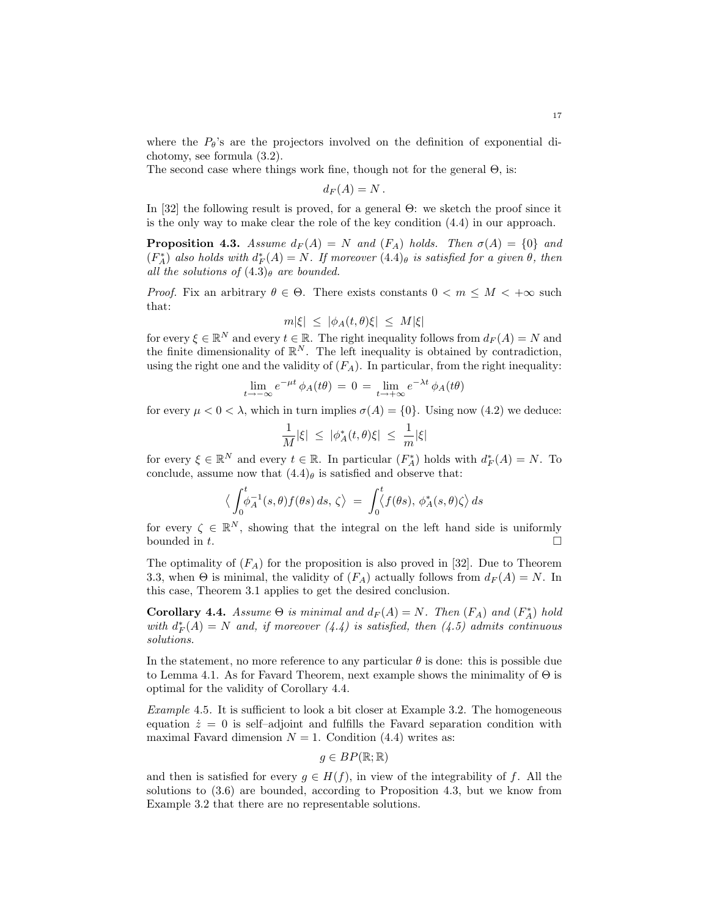where the  $P_{\theta}$ 's are the projectors involved on the definition of exponential dichotomy, see formula (3.2).

The second case where things work fine, though not for the general  $\Theta$ , is:

$$
d_F(A)=N.
$$

In [32] the following result is proved, for a general Θ: we sketch the proof since it is the only way to make clear the role of the key condition (4.4) in our approach.

**Proposition 4.3.** Assume  $d_F(A) = N$  and  $(F_A)$  holds. Then  $\sigma(A) = \{0\}$  and  $(F_A^*)$  also holds with  $d_F^*(A) = N$ . If moreover  $(4.4)_{\theta}$  is satisfied for a given  $\theta$ , then all the solutions of  $(4.3)$ <sub>θ</sub> are bounded.

*Proof.* Fix an arbitrary  $\theta \in \Theta$ . There exists constants  $0 < m \leq M < +\infty$  such that:

$$
m|\xi| \le |\phi_A(t,\theta)\xi| \le M|\xi|
$$

for every  $\xi \in \mathbb{R}^N$  and every  $t \in \mathbb{R}$ . The right inequality follows from  $d_F(A) = N$  and the finite dimensionality of  $\mathbb{R}^N$ . The left inequality is obtained by contradiction, using the right one and the validity of  $(F_A)$ . In particular, from the right inequality:

$$
\lim_{t \to -\infty} e^{-\mu t} \phi_A(t\theta) = 0 = \lim_{t \to +\infty} e^{-\lambda t} \phi_A(t\theta)
$$

for every  $\mu < 0 < \lambda$ , which in turn implies  $\sigma(A) = \{0\}$ . Using now (4.2) we deduce:

$$
\frac{1}{M}|\xi| \ \leq \ |\phi^*_A(t,\theta)\xi| \ \leq \ \frac{1}{m}|\xi|
$$

for every  $\xi \in \mathbb{R}^N$  and every  $t \in \mathbb{R}$ . In particular  $(F_A^*)$  holds with  $d_F^*(A) = N$ . To conclude, assume now that  $(4.4)$  is satisfied and observe that:

$$
\langle \int_0^t \phi_A^{-1}(s,\theta) f(\theta s) ds, \zeta \rangle = \int_0^t \langle f(\theta s), \phi_A^*(s,\theta) \zeta \rangle ds
$$

for every  $\zeta \in \mathbb{R}^N$ , showing that the integral on the left hand side is uniformly bounded in  $t$ .

The optimality of  $(F_A)$  for the proposition is also proved in [32]. Due to Theorem 3.3, when  $\Theta$  is minimal, the validity of  $(F_A)$  actually follows from  $d_F(A) = N$ . In this case, Theorem 3.1 applies to get the desired conclusion.

Corollary 4.4. Assume  $\Theta$  is minimal and  $d_F(A) = N$ . Then  $(F_A)$  and  $(F_A^*)$  hold with  $d_F^*(A) = N$  and, if moreover  $(4.4)$  is satisfied, then  $(4.5)$  admits continuous solutions.

In the statement, no more reference to any particular  $\theta$  is done: this is possible due to Lemma 4.1. As for Favard Theorem, next example shows the minimality of  $\Theta$  is optimal for the validity of Corollary 4.4.

Example 4.5. It is sufficient to look a bit closer at Example 3.2. The homogeneous equation  $\dot{z} = 0$  is self-adjoint and fulfills the Favard separation condition with maximal Favard dimension  $N = 1$ . Condition (4.4) writes as:

$$
g \in BP(\mathbb{R}; \mathbb{R})
$$

and then is satisfied for every  $g \in H(f)$ , in view of the integrability of f. All the solutions to (3.6) are bounded, according to Proposition 4.3, but we know from Example 3.2 that there are no representable solutions.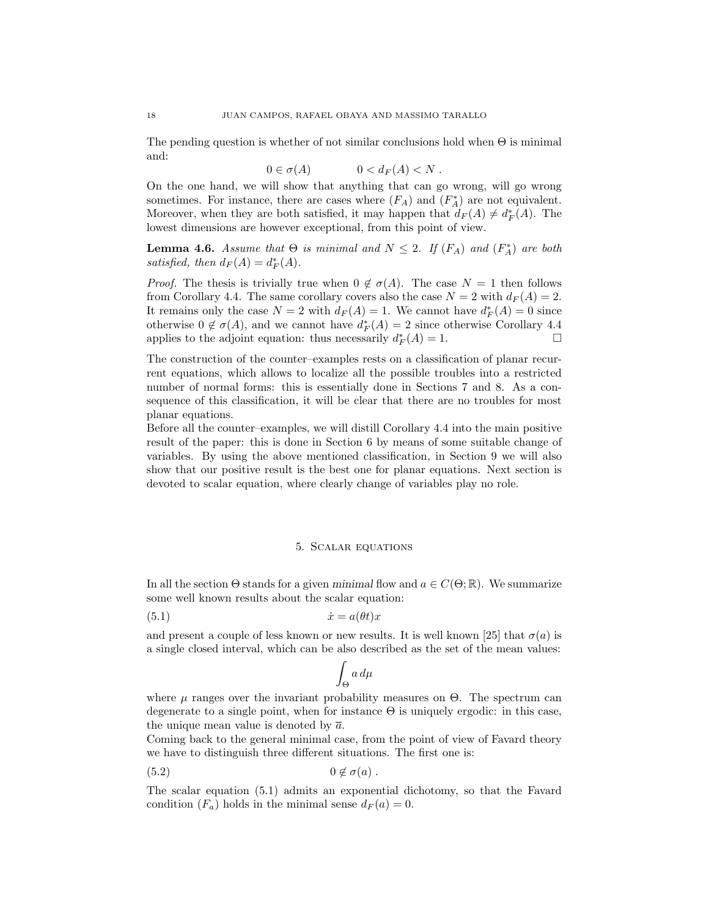The pending question is whether of not similar conclusions hold when  $\Theta$  is minimal and:

$$
0 \in \sigma(A) \qquad \qquad 0 < d_F(A) < N \; .
$$

On the one hand, we will show that anything that can go wrong, will go wrong sometimes. For instance, there are cases where  $(F_A)$  and  $(F_A^*)$  are not equivalent. Moreover, when they are both satisfied, it may happen that  $d_F(A) \neq d_F^*(A)$ . The lowest dimensions are however exceptional, from this point of view.

**Lemma 4.6.** Assume that  $\Theta$  is minimal and  $N \leq 2$ . If  $(F_A)$  and  $(F_A^*)$  are both satisfied, then  $d_F(A) = d_F^*(A)$ .

*Proof.* The thesis is trivially true when  $0 \notin \sigma(A)$ . The case  $N = 1$  then follows from Corollary 4.4. The same corollary covers also the case  $N = 2$  with  $d_F(A) = 2$ . It remains only the case  $N = 2$  with  $d_F(A) = 1$ . We cannot have  $d_F^*(A) = 0$  since otherwise  $0 \notin \sigma(A)$ , and we cannot have  $d_F^*(A) = 2$  since otherwise Corollary 4.4 applies to the adjoint equation: thus necessarily  $d_F^*(A) = 1$ .

The construction of the counter–examples rests on a classification of planar recurrent equations, which allows to localize all the possible troubles into a restricted number of normal forms: this is essentially done in Sections 7 and 8. As a consequence of this classification, it will be clear that there are no troubles for most planar equations.

Before all the counter–examples, we will distill Corollary 4.4 into the main positive result of the paper: this is done in Section 6 by means of some suitable change of variables. By using the above mentioned classification, in Section 9 we will also show that our positive result is the best one for planar equations. Next section is devoted to scalar equation, where clearly change of variables play no role.

### 5. Scalar equations

In all the section  $\Theta$  stands for a given minimal flow and  $a \in C(\Theta;\mathbb{R})$ . We summarize some well known results about the scalar equation:

$$
(5.1) \t\t\t \dot{x} = a(\theta t)x
$$

and present a couple of less known or new results. It is well known [25] that  $\sigma(a)$  is a single closed interval, which can be also described as the set of the mean values:

$$
\int_{\Theta} a \, d\mu
$$

where  $\mu$  ranges over the invariant probability measures on  $\Theta$ . The spectrum can degenerate to a single point, when for instance  $\Theta$  is uniquely ergodic: in this case, the unique mean value is denoted by  $\bar{a}$ .

Coming back to the general minimal case, from the point of view of Favard theory we have to distinguish three different situations. The first one is:

$$
(5.2) \t\t 0 \notin \sigma(a) .
$$

The scalar equation (5.1) admits an exponential dichotomy, so that the Favard condition  $(F_a)$  holds in the minimal sense  $d_F(a) = 0$ .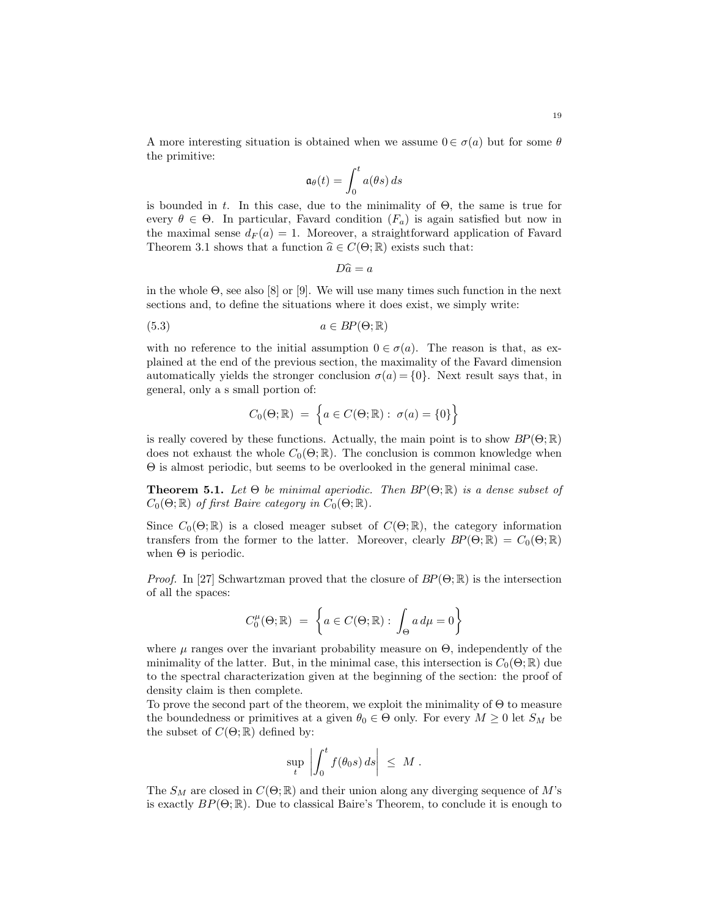A more interesting situation is obtained when we assume  $0 \in \sigma(a)$  but for some  $\theta$ the primitive:

$$
\mathfrak{a}_{\theta}(t) = \int_0^t a(\theta s) \, ds
$$

is bounded in t. In this case, due to the minimality of  $\Theta$ , the same is true for every  $\theta \in \Theta$ . In particular, Favard condition  $(F_a)$  is again satisfied but now in the maximal sense  $d_F(a) = 1$ . Moreover, a straightforward application of Favard Theorem 3.1 shows that a function  $\hat{a} \in C(\Theta; \mathbb{R})$  exists such that:

$$
D\hat{a} = a
$$

in the whole  $\Theta$ , see also [8] or [9]. We will use many times such function in the next sections and, to define the situations where it does exist, we simply write:

$$
(5.3) \t\t a \in BP(\Theta; \mathbb{R})
$$

with no reference to the initial assumption  $0 \in \sigma(a)$ . The reason is that, as explained at the end of the previous section, the maximality of the Favard dimension automatically yields the stronger conclusion  $\sigma(a) = \{0\}$ . Next result says that, in general, only a s small portion of:

$$
C_0(\Theta; \mathbb{R}) = \left\{ a \in C(\Theta; \mathbb{R}) : \sigma(a) = \{0\} \right\}
$$

is really covered by these functions. Actually, the main point is to show  $BP(\Theta; \mathbb{R})$ does not exhaust the whole  $C_0(\Theta; \mathbb{R})$ . The conclusion is common knowledge when Θ is almost periodic, but seems to be overlooked in the general minimal case.

**Theorem 5.1.** Let  $\Theta$  be minimal aperiodic. Then  $BP(\Theta; \mathbb{R})$  is a dense subset of  $C_0(\Theta; \mathbb{R})$  of first Baire category in  $C_0(\Theta; \mathbb{R})$ .

Since  $C_0(\Theta;\mathbb{R})$  is a closed meager subset of  $C(\Theta;\mathbb{R})$ , the category information transfers from the former to the latter. Moreover, clearly  $BP(\Theta; \mathbb{R}) = C_0(\Theta; \mathbb{R})$ when  $\Theta$  is periodic.

*Proof.* In [27] Schwartzman proved that the closure of  $BP(\Theta;\mathbb{R})$  is the intersection of all the spaces:

$$
C_0^{\mu}(\Theta; \mathbb{R}) = \left\{ a \in C(\Theta; \mathbb{R}) : \int_{\Theta} a \, d\mu = 0 \right\}
$$

where  $\mu$  ranges over the invariant probability measure on  $\Theta$ , independently of the minimality of the latter. But, in the minimal case, this intersection is  $C_0(\Theta; \mathbb{R})$  due to the spectral characterization given at the beginning of the section: the proof of density claim is then complete.

To prove the second part of the theorem, we exploit the minimality of  $\Theta$  to measure the boundedness or primitives at a given  $\theta_0 \in \Theta$  only. For every  $M \geq 0$  let  $S_M$  be the subset of  $C(\Theta; \mathbb{R})$  defined by:

$$
\sup_t \left| \int_0^t f(\theta_0 s) \, ds \right| \leq M.
$$

The  $S_M$  are closed in  $C(\Theta; \mathbb{R})$  and their union along any diverging sequence of M's is exactly  $BP(\Theta; \mathbb{R})$ . Due to classical Baire's Theorem, to conclude it is enough to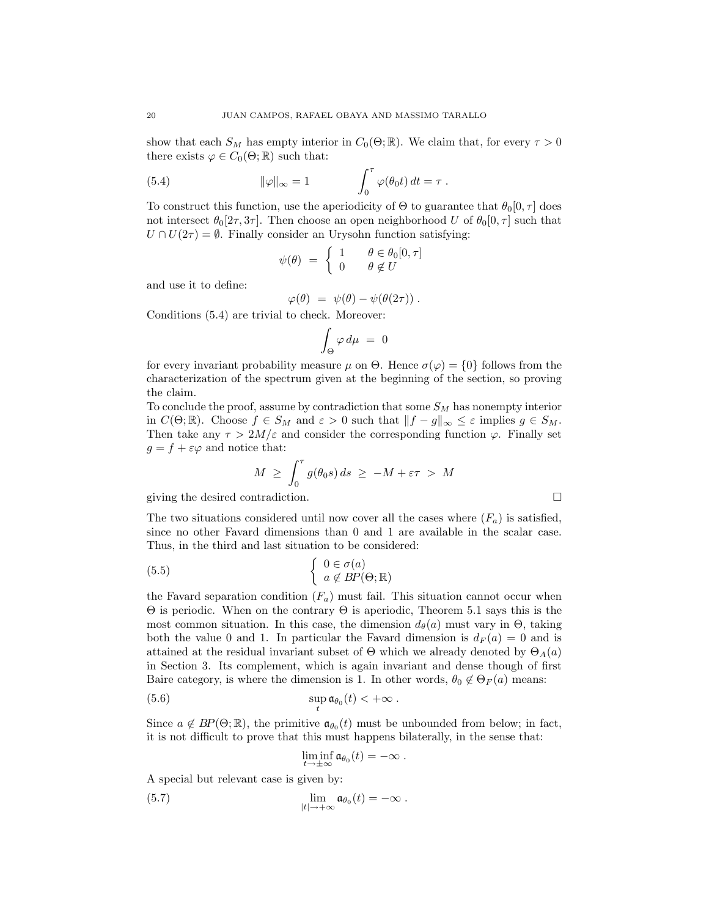show that each  $S_M$  has empty interior in  $C_0(\Theta; \mathbb{R})$ . We claim that, for every  $\tau > 0$ there exists  $\varphi \in C_0(\Theta; \mathbb{R})$  such that:

(5.4) 
$$
\|\varphi\|_{\infty} = 1 \qquad \qquad \int_0^{\tau} \varphi(\theta_0 t) dt = \tau.
$$

To construct this function, use the aperiodicity of  $\Theta$  to guarantee that  $\theta_0[0, \tau]$  does not intersect  $\theta_0[2\tau, 3\tau]$ . Then choose an open neighborhood U of  $\theta_0[0, \tau]$  such that  $U \cap U(2\tau) = \emptyset$ . Finally consider an Urysohn function satisfying:

$$
\psi(\theta) \ = \ \left\{ \begin{array}{ll} 1 & \quad \theta \in \theta_0[0,\tau] \\ 0 & \quad \theta \not\in U \end{array} \right.
$$

and use it to define:

$$
\varphi(\theta) \ = \ \psi(\theta) - \psi(\theta(2\tau)) \ .
$$

Conditions (5.4) are trivial to check. Moreover:

$$
\int_{\Theta} \varphi \, d\mu \ = \ 0
$$

for every invariant probability measure  $\mu$  on  $\Theta$ . Hence  $\sigma(\varphi) = \{0\}$  follows from the characterization of the spectrum given at the beginning of the section, so proving the claim.

To conclude the proof, assume by contradiction that some  $S_M$  has nonempty interior in  $C(\Theta; \mathbb{R})$ . Choose  $f \in S_M$  and  $\varepsilon > 0$  such that  $||f - g||_{\infty} \leq \varepsilon$  implies  $g \in S_M$ . Then take any  $\tau > 2M/\varepsilon$  and consider the corresponding function  $\varphi$ . Finally set  $g = f + \varepsilon \varphi$  and notice that:

$$
M \geq \int_0^{\tau} g(\theta_0 s) ds \geq -M + \varepsilon \tau > M
$$

giving the desired contradiction.

The two situations considered until now cover all the cases where  $(F_a)$  is satisfied, since no other Favard dimensions than 0 and 1 are available in the scalar case. Thus, in the third and last situation to be considered:

(5.5) 
$$
\begin{cases} 0 \in \sigma(a) \\ a \notin BP(\Theta; \mathbb{R}) \end{cases}
$$

the Favard separation condition  $(F_a)$  must fail. This situation cannot occur when Θ is periodic. When on the contrary Θ is aperiodic, Theorem 5.1 says this is the most common situation. In this case, the dimension  $d_{\theta}(a)$  must vary in  $\Theta$ , taking both the value 0 and 1. In particular the Favard dimension is  $d_F(a) = 0$  and is attained at the residual invariant subset of  $\Theta$  which we already denoted by  $\Theta_A(a)$ in Section 3. Its complement, which is again invariant and dense though of first Baire category, is where the dimension is 1. In other words,  $\theta_0 \notin \Theta_F(a)$  means:

(5.6) 
$$
\sup_t \mathfrak{a}_{\theta_0}(t) < +\infty.
$$

Since  $a \notin BP(\Theta;\mathbb{R})$ , the primitive  $\mathfrak{a}_{\theta_0}(t)$  must be unbounded from below; in fact, it is not difficult to prove that this must happens bilaterally, in the sense that:

$$
\liminf_{t\to\pm\infty} \mathfrak{a}_{\theta_0}(t) = -\infty.
$$

A special but relevant case is given by:

(5.7) 
$$
\lim_{|t| \to +\infty} \mathfrak{a}_{\theta_0}(t) = -\infty.
$$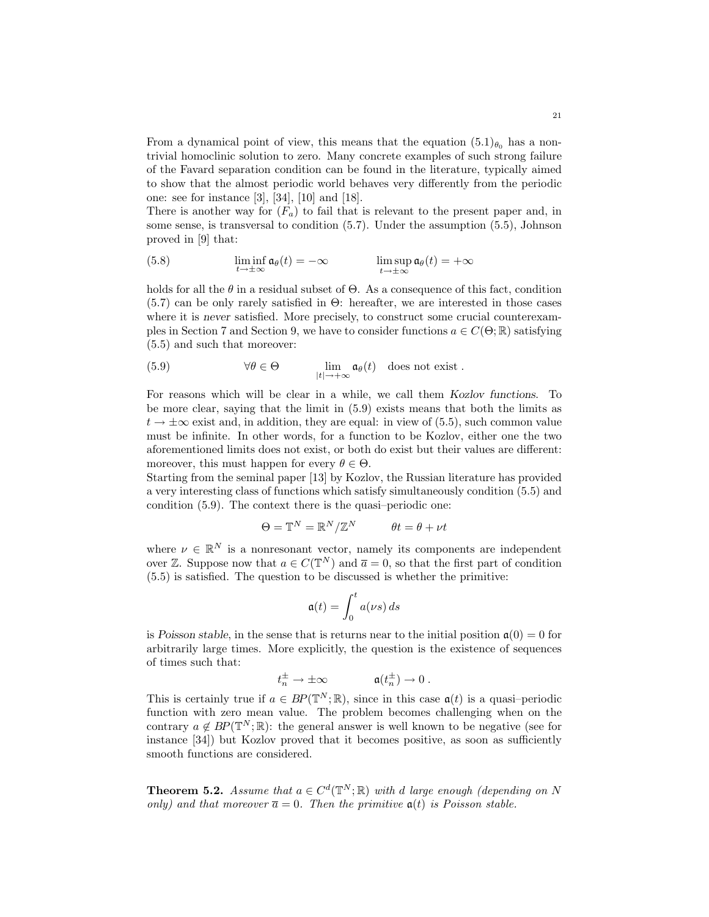From a dynamical point of view, this means that the equation  $(5.1)_{\theta_0}$  has a nontrivial homoclinic solution to zero. Many concrete examples of such strong failure of the Favard separation condition can be found in the literature, typically aimed to show that the almost periodic world behaves very differently from the periodic one: see for instance [3], [34], [10] and [18].

There is another way for  $(F_a)$  to fail that is relevant to the present paper and, in some sense, is transversal to condition (5.7). Under the assumption (5.5), Johnson proved in [9] that:

(5.8) 
$$
\liminf_{t \to \pm \infty} \mathfrak{a}_{\theta}(t) = -\infty \qquad \limsup_{t \to \pm \infty} \mathfrak{a}_{\theta}(t) = +\infty
$$

holds for all the  $\theta$  in a residual subset of  $\Theta$ . As a consequence of this fact, condition (5.7) can be only rarely satisfied in Θ: hereafter, we are interested in those cases where it is never satisfied. More precisely, to construct some crucial counterexamples in Section 7 and Section 9, we have to consider functions  $a \in C(\Theta; \mathbb{R})$  satisfying (5.5) and such that moreover:

(5.9) 
$$
\forall \theta \in \Theta \qquad \lim_{|t| \to +\infty} \mathfrak{a}_{\theta}(t) \quad \text{does not exist}.
$$

For reasons which will be clear in a while, we call them Kozlov functions. To be more clear, saying that the limit in (5.9) exists means that both the limits as  $t \to \pm \infty$  exist and, in addition, they are equal: in view of (5.5), such common value must be infinite. In other words, for a function to be Kozlov, either one the two aforementioned limits does not exist, or both do exist but their values are different: moreover, this must happen for every  $\theta \in \Theta$ .

Starting from the seminal paper [13] by Kozlov, the Russian literature has provided a very interesting class of functions which satisfy simultaneously condition (5.5) and condition (5.9). The context there is the quasi–periodic one:

$$
\Theta = \mathbb{T}^N = \mathbb{R}^N / \mathbb{Z}^N \qquad \theta t = \theta + \nu t
$$

where  $\nu \in \mathbb{R}^N$  is a nonresonant vector, namely its components are independent over Z. Suppose now that  $a \in C(\mathbb{T}^N)$  and  $\overline{a} = 0$ , so that the first part of condition (5.5) is satisfied. The question to be discussed is whether the primitive:

$$
\mathfrak{a}(t)=\int_0^t a(\nu s)\,ds
$$

is Poisson stable, in the sense that is returns near to the initial position  $\mathfrak{a}(0) = 0$  for arbitrarily large times. More explicitly, the question is the existence of sequences of times such that:

$$
t_n^{\pm} \to \pm \infty \qquad \qquad \mathfrak{a}(t_n^{\pm}) \to 0 \; .
$$

This is certainly true if  $a \in BP(\mathbb{T}^N;\mathbb{R})$ , since in this case  $\mathfrak{a}(t)$  is a quasi-periodic function with zero mean value. The problem becomes challenging when on the contrary  $a \notin BP(\mathbb{T}^N;\mathbb{R})$ : the general answer is well known to be negative (see for instance [34]) but Kozlov proved that it becomes positive, as soon as sufficiently smooth functions are considered.

**Theorem 5.2.** Assume that  $a \in C^d(\mathbb{T}^N;\mathbb{R})$  with d large enough (depending on N only) and that moreover  $\overline{a} = 0$ . Then the primitive  $a(t)$  is Poisson stable.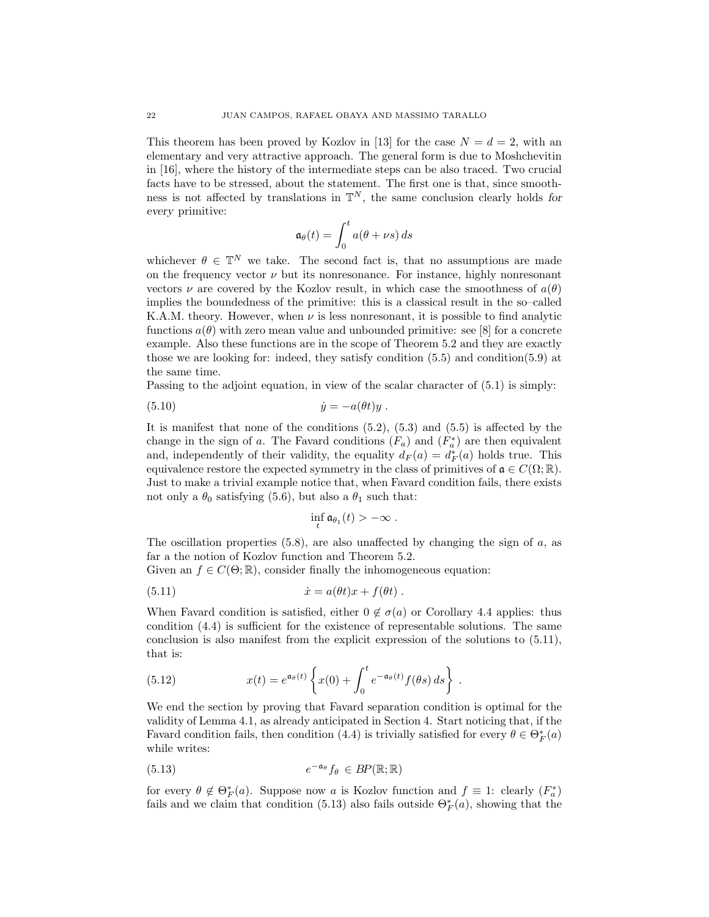This theorem has been proved by Kozlov in [13] for the case  $N = d = 2$ , with an elementary and very attractive approach. The general form is due to Moshchevitin in [16], where the history of the intermediate steps can be also traced. Two crucial facts have to be stressed, about the statement. The first one is that, since smoothness is not affected by translations in  $\mathbb{T}^N$ , the same conclusion clearly holds for every primitive:

$$
\mathfrak{a}_{\theta}(t) = \int_0^t a(\theta + \nu s) \, ds
$$

whichever  $\theta \in \mathbb{T}^N$  we take. The second fact is, that no assumptions are made on the frequency vector  $\nu$  but its nonresonance. For instance, highly nonresonant vectors  $\nu$  are covered by the Kozlov result, in which case the smoothness of  $a(\theta)$ implies the boundedness of the primitive: this is a classical result in the so–called K.A.M. theory. However, when  $\nu$  is less nonresonant, it is possible to find analytic functions  $a(\theta)$  with zero mean value and unbounded primitive: see [8] for a concrete example. Also these functions are in the scope of Theorem 5.2 and they are exactly those we are looking for: indeed, they satisfy condition (5.5) and condition(5.9) at the same time.

Passing to the adjoint equation, in view of the scalar character of (5.1) is simply:

$$
(5.10) \t\t\t \dot{y} = -a(\theta t)y.
$$

It is manifest that none of the conditions  $(5.2)$ ,  $(5.3)$  and  $(5.5)$  is affected by the change in the sign of a. The Favard conditions  $(F_a)$  and  $(F_a^*)$  are then equivalent and, independently of their validity, the equality  $d_F(a) = d_F^*(a)$  holds true. This equivalence restore the expected symmetry in the class of primitives of  $\mathfrak{a} \in C(\Omega;\mathbb{R})$ . Just to make a trivial example notice that, when Favard condition fails, there exists not only a  $\theta_0$  satisfying (5.6), but also a  $\theta_1$  such that:

$$
\inf_t \mathfrak{a}_{\theta_1}(t) > -\infty.
$$

The oscillation properties  $(5.8)$ , are also unaffected by changing the sign of a, as far a the notion of Kozlov function and Theorem 5.2.

Given an  $f \in C(\Theta;\mathbb{R})$ , consider finally the inhomogeneous equation:

(5.11) 
$$
\dot{x} = a(\theta t)x + f(\theta t).
$$

When Favard condition is satisfied, either  $0 \notin \sigma(a)$  or Corollary 4.4 applies: thus condition (4.4) is sufficient for the existence of representable solutions. The same conclusion is also manifest from the explicit expression of the solutions to (5.11), that is:

(5.12) 
$$
x(t) = e^{\mathfrak{a}_{\theta}(t)} \left\{ x(0) + \int_0^t e^{-\mathfrak{a}_{\theta}(t)} f(\theta s) ds \right\}.
$$

We end the section by proving that Favard separation condition is optimal for the validity of Lemma 4.1, as already anticipated in Section 4. Start noticing that, if the Favard condition fails, then condition (4.4) is trivially satisfied for every  $\theta \in \Theta_F^*(a)$ while writes:

(5.13) 
$$
e^{-\mathfrak{a}_{\theta}}f_{\theta} \in BP(\mathbb{R};\mathbb{R})
$$

for every  $\theta \notin \Theta_F^*(a)$ . Suppose now a is Kozlov function and  $f \equiv 1$ : clearly  $(F_a^*)$ fails and we claim that condition (5.13) also fails outside  $\Theta_F^*(a)$ , showing that the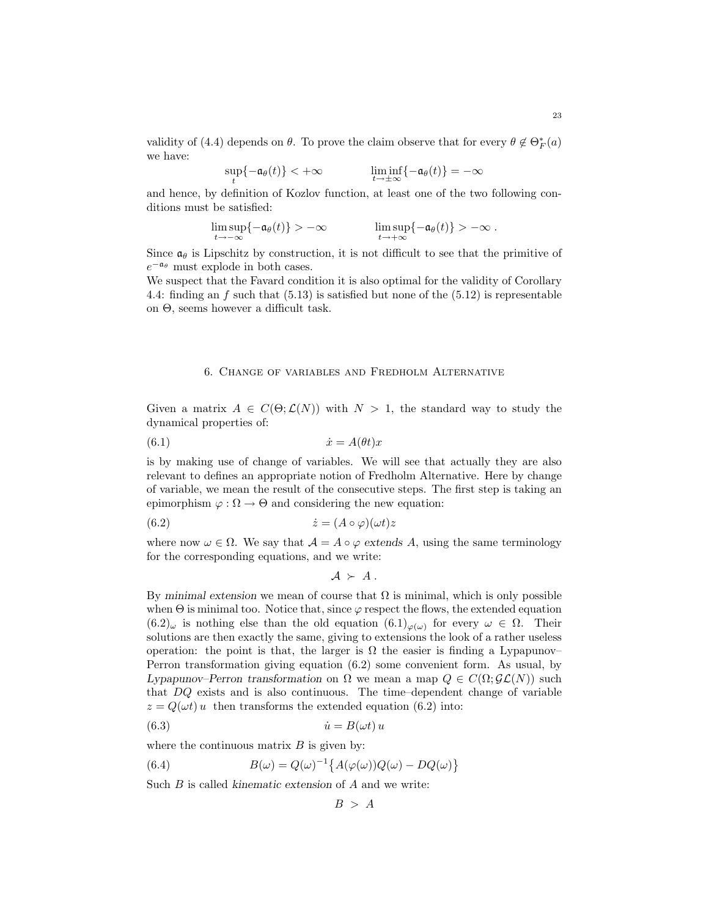validity of (4.4) depends on  $\theta$ . To prove the claim observe that for every  $\theta \notin \Theta_F^*(a)$ we have:

$$
\sup_t \{-\mathfrak{a}_\theta(t)\} < +\infty \qquad \qquad \liminf_{t \to \pm \infty} \{-\mathfrak{a}_\theta(t)\} = -\infty
$$

and hence, by definition of Kozlov function, at least one of the two following conditions must be satisfied:

$$
\limsup_{t\to-\infty}\{-\mathfrak{a}_{\theta}(t)\} > -\infty \qquad \qquad \limsup_{t\to+\infty}\{-\mathfrak{a}_{\theta}(t)\} > -\infty.
$$

Since  $\mathfrak{a}_{\theta}$  is Lipschitz by construction, it is not difficult to see that the primitive of  $e^{-\mathfrak{a}_{\theta}}$  must explode in both cases.

We suspect that the Favard condition it is also optimal for the validity of Corollary 4.4: finding an f such that  $(5.13)$  is satisfied but none of the  $(5.12)$  is representable on Θ, seems however a difficult task.

# 6. Change of variables and Fredholm Alternative

Given a matrix  $A \in C(\Theta; \mathcal{L}(N))$  with  $N > 1$ , the standard way to study the dynamical properties of:

$$
(6.1) \t\t\t \dot{x} = A(\theta t)x
$$

is by making use of change of variables. We will see that actually they are also relevant to defines an appropriate notion of Fredholm Alternative. Here by change of variable, we mean the result of the consecutive steps. The first step is taking an epimorphism  $\varphi : \Omega \to \Theta$  and considering the new equation:

(6.2) 
$$
\dot{z} = (A \circ \varphi)(\omega t)z
$$

where now  $\omega \in \Omega$ . We say that  $\mathcal{A} = A \circ \varphi$  extends A, using the same terminology for the corresponding equations, and we write:

$$
\mathcal{A} \succ A.
$$

By minimal extension we mean of course that  $\Omega$  is minimal, which is only possible when  $\Theta$  is minimal too. Notice that, since  $\varphi$  respect the flows, the extended equation  $(6.2)_{\omega}$  is nothing else than the old equation  $(6.1)_{\varphi(\omega)}$  for every  $\omega \in \Omega$ . Their solutions are then exactly the same, giving to extensions the look of a rather useless operation: the point is that, the larger is  $\Omega$  the easier is finding a Lypapunov– Perron transformation giving equation (6.2) some convenient form. As usual, by Lypapunov–Perron transformation on  $\Omega$  we mean a map  $Q \in C(\Omega; \mathcal{GL}(N))$  such that DQ exists and is also continuous. The time–dependent change of variable  $z = Q(\omega t) u$  then transforms the extended equation (6.2) into:

(6.3) ˙u = B(ωt) u

where the continuous matrix  $B$  is given by:

(6.4) 
$$
B(\omega) = Q(\omega)^{-1} \{ A(\varphi(\omega))Q(\omega) - DQ(\omega) \}
$$

Such  $B$  is called kinematic extension of  $A$  and we write:

 $B > A$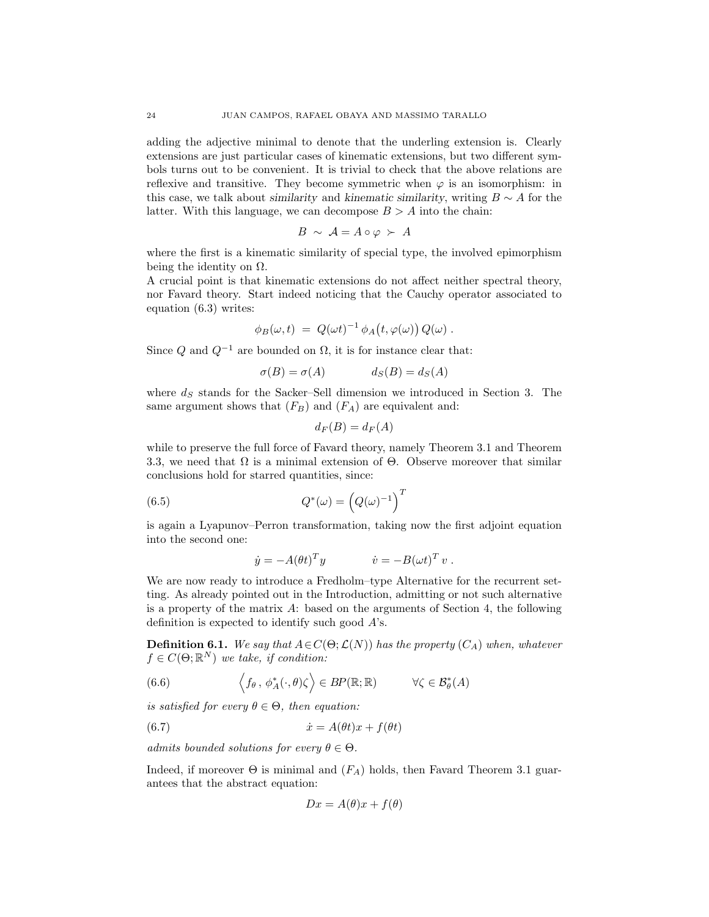adding the adjective minimal to denote that the underling extension is. Clearly extensions are just particular cases of kinematic extensions, but two different symbols turns out to be convenient. It is trivial to check that the above relations are reflexive and transitive. They become symmetric when  $\varphi$  is an isomorphism: in this case, we talk about similarity and kinematic similarity, writing  $B \sim A$  for the latter. With this language, we can decompose  $B > A$  into the chain:

$$
B \sim A = A \circ \varphi \succ A
$$

where the first is a kinematic similarity of special type, the involved epimorphism being the identity on  $\Omega$ .

A crucial point is that kinematic extensions do not affect neither spectral theory, nor Favard theory. Start indeed noticing that the Cauchy operator associated to equation (6.3) writes:

$$
\phi_B(\omega, t) = Q(\omega t)^{-1} \phi_A(t, \varphi(\omega)) Q(\omega) .
$$

Since  $Q$  and  $Q^{-1}$  are bounded on  $\Omega$ , it is for instance clear that:

$$
\sigma(B) = \sigma(A) \qquad \qquad d_S(B) = d_S(A)
$$

where  $d<sub>S</sub>$  stands for the Sacker–Sell dimension we introduced in Section 3. The same argument shows that  $(F_B)$  and  $(F_A)$  are equivalent and:

$$
d_F(B) = d_F(A)
$$

while to preserve the full force of Favard theory, namely Theorem 3.1 and Theorem 3.3, we need that  $\Omega$  is a minimal extension of  $\Theta$ . Observe moreover that similar conclusions hold for starred quantities, since:

(6.5) 
$$
Q^*(\omega) = (Q(\omega)^{-1})^T
$$

is again a Lyapunov–Perron transformation, taking now the first adjoint equation into the second one:

$$
\dot{y} = -A(\theta t)^T y \qquad \qquad \dot{v} = -B(\omega t)^T v \ .
$$

We are now ready to introduce a Fredholm–type Alternative for the recurrent setting. As already pointed out in the Introduction, admitting or not such alternative is a property of the matrix A: based on the arguments of Section 4, the following definition is expected to identify such good  $A$ 's.

**Definition 6.1.** We say that  $A \in C(\Theta; \mathcal{L}(N))$  has the property  $(C_A)$  when, whatever  $f \in C(\Theta; \mathbb{R}^N)$  we take, if condition:

(6.6) 
$$
\left\langle f_{\theta}, \phi_A^*(\cdot, \theta) \zeta \right\rangle \in BP(\mathbb{R}; \mathbb{R}) \qquad \forall \zeta \in \mathcal{B}_{\theta}^*(A)
$$

is satisfied for every  $\theta \in \Theta$ , then equation:

(6.7) 
$$
\dot{x} = A(\theta t)x + f(\theta t)
$$

admits bounded solutions for every  $\theta \in \Theta$ .

Indeed, if moreover  $\Theta$  is minimal and  $(F_A)$  holds, then Favard Theorem 3.1 guarantees that the abstract equation:

$$
Dx = A(\theta)x + f(\theta)
$$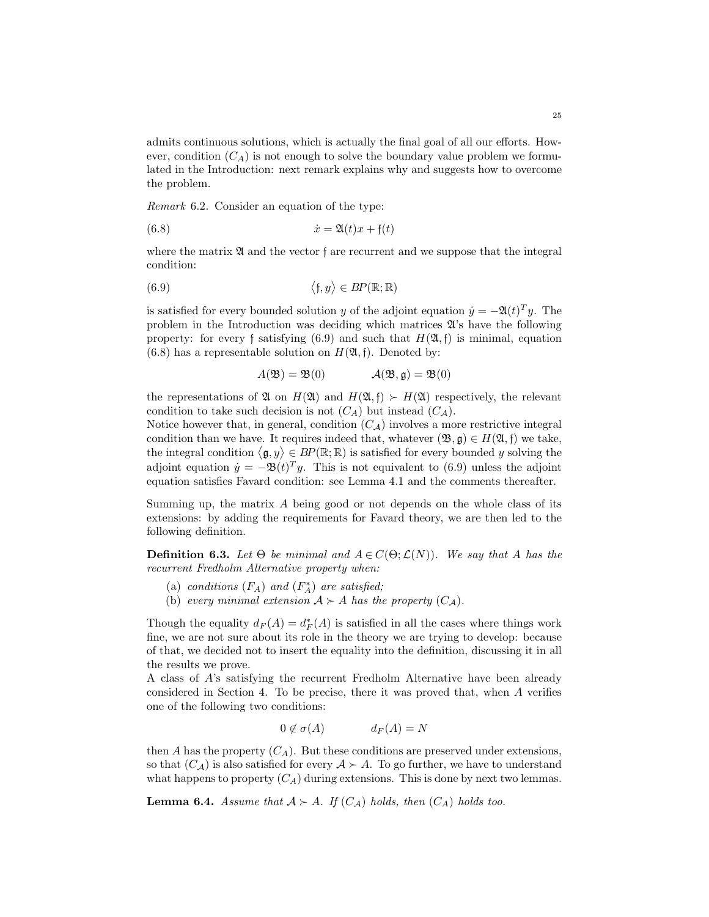admits continuous solutions, which is actually the final goal of all our efforts. However, condition  $(C_A)$  is not enough to solve the boundary value problem we formulated in the Introduction: next remark explains why and suggests how to overcome the problem.

Remark 6.2. Consider an equation of the type:

$$
(6.8) \qquad \qquad \dot{x} = \mathfrak{A}(t)x + \mathfrak{f}(t)
$$

where the matrix  $\mathfrak A$  and the vector f are recurrent and we suppose that the integral condition:

$$
(6.9) \qquad \qquad \langle \mathfrak{f}, y \rangle \in BP(\mathbb{R}; \mathbb{R})
$$

is satisfied for every bounded solution y of the adjoint equation  $\dot{y} = -\mathfrak{A}(t)^T y$ . The problem in the Introduction was deciding which matrices  $\mathfrak{A}$ 's have the following property: for every f satisfying (6.9) and such that  $H(\mathfrak{A}, \mathfrak{f})$  is minimal, equation  $(6.8)$  has a representable solution on  $H(\mathfrak{A}, \mathfrak{f})$ . Denoted by:

$$
A(\mathfrak{B}) = \mathfrak{B}(0) \qquad \qquad \mathcal{A}(\mathfrak{B}, \mathfrak{g}) = \mathfrak{B}(0)
$$

the representations of  $\mathfrak{A}$  on  $H(\mathfrak{A})$  and  $H(\mathfrak{A},\mathfrak{f}) \succeq H(\mathfrak{A})$  respectively, the relevant condition to take such decision is not  $(C_A)$  but instead  $(C_A)$ .

Notice however that, in general, condition  $(C_A)$  involves a more restrictive integral condition than we have. It requires indeed that, whatever  $(\mathfrak{B}, \mathfrak{g}) \in H(\mathfrak{A}, \mathfrak{f})$  we take, the integral condition  $\langle \mathfrak{g}, y \rangle \in BP(\mathbb{R}; \mathbb{R})$  is satisfied for every bounded y solving the adjoint equation  $\dot{y} = -\mathfrak{B}(t)^T y$ . This is not equivalent to (6.9) unless the adjoint equation satisfies Favard condition: see Lemma 4.1 and the comments thereafter.

Summing up, the matrix  $A$  being good or not depends on the whole class of its extensions: by adding the requirements for Favard theory, we are then led to the following definition.

**Definition 6.3.** Let  $\Theta$  be minimal and  $A \in C(\Theta; \mathcal{L}(N))$ . We say that A has the recurrent Fredholm Alternative property when:

- (a) conditions  $(F_A)$  and  $(F_A^*)$  are satisfied;
- (b) every minimal extension  $A \succ A$  has the property  $(C_A)$ .

Though the equality  $d_F(A) = d_F^*(A)$  is satisfied in all the cases where things work fine, we are not sure about its role in the theory we are trying to develop: because of that, we decided not to insert the equality into the definition, discussing it in all the results we prove.

A class of A's satisfying the recurrent Fredholm Alternative have been already considered in Section 4. To be precise, there it was proved that, when A verifies one of the following two conditions:

$$
0 \notin \sigma(A) \qquad d_F(A) = N
$$

then A has the property  $(C_A)$ . But these conditions are preserved under extensions, so that  $(C_A)$  is also satisfied for every  $A \succ A$ . To go further, we have to understand what happens to property  $(C_A)$  during extensions. This is done by next two lemmas.

**Lemma 6.4.** Assume that  $A \succ A$ . If  $(C_A)$  holds, then  $(C_A)$  holds too.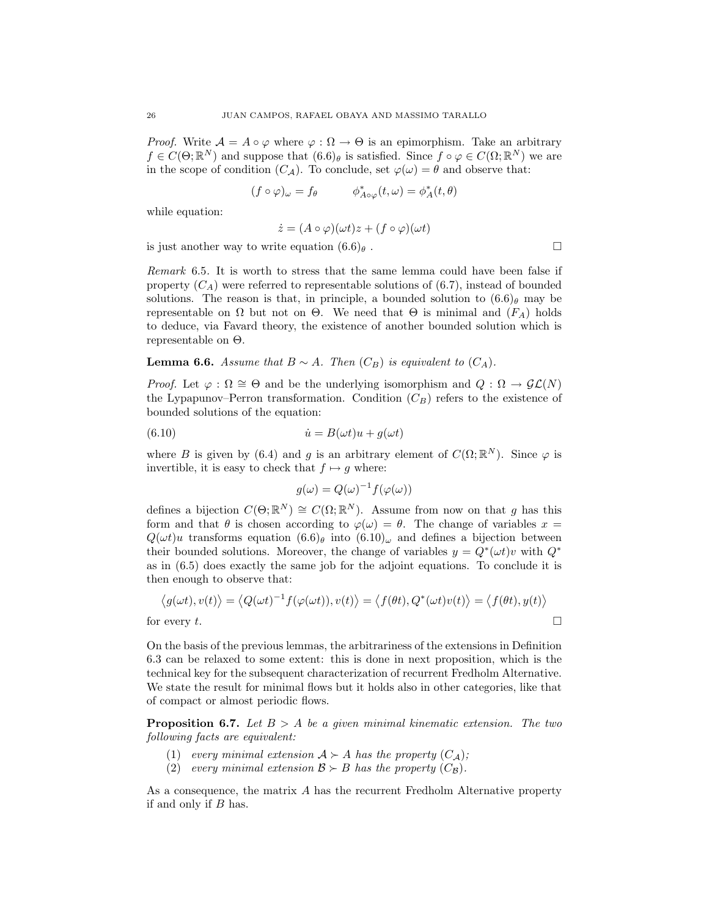*Proof.* Write  $A = A \circ \varphi$  where  $\varphi : \Omega \to \Theta$  is an epimorphism. Take an arbitrary  $f \in C(\Theta;\mathbb{R}^N)$  and suppose that  $(6.6)_{\theta}$  is satisfied. Since  $f \circ \varphi \in C(\Omega;\mathbb{R}^N)$  we are in the scope of condition  $(C_{\mathcal{A}})$ . To conclude, set  $\varphi(\omega) = \theta$  and observe that:

$$
(f \circ \varphi)_{\omega} = f_{\theta} \qquad \phi_{A \circ \varphi}^*(t, \omega) = \phi_A^*(t, \theta)
$$

while equation:

$$
\dot{z} = (A \circ \varphi)(\omega t)z + (f \circ \varphi)(\omega t)
$$

is just another way to write equation  $(6.6)_{\theta}$ .

Remark 6.5. It is worth to stress that the same lemma could have been false if property  $(C_A)$  were referred to representable solutions of (6.7), instead of bounded solutions. The reason is that, in principle, a bounded solution to  $(6.6)$  may be representable on Ω but not on Θ. We need that  $\Theta$  is minimal and  $(F_A)$  holds to deduce, via Favard theory, the existence of another bounded solution which is representable on Θ.

# **Lemma 6.6.** Assume that  $B \sim A$ . Then  $(C_B)$  is equivalent to  $(C_A)$ .

*Proof.* Let  $\varphi : \Omega \cong \Theta$  and be the underlying isomorphism and  $Q : \Omega \to \mathcal{GL}(N)$ the Lypapunov–Perron transformation. Condition  $(C_B)$  refers to the existence of bounded solutions of the equation:

(6.10) 
$$
\dot{u} = B(\omega t)u + g(\omega t)
$$

where B is given by (6.4) and g is an arbitrary element of  $C(\Omega;\mathbb{R}^N)$ . Since  $\varphi$  is invertible, it is easy to check that  $f \mapsto g$  where:

$$
g(\omega) = Q(\omega)^{-1} f(\varphi(\omega))
$$

defines a bijection  $C(\Theta; \mathbb{R}^N) \cong C(\Omega; \mathbb{R}^N)$ . Assume from now on that g has this form and that  $\theta$  is chosen according to  $\varphi(\omega) = \theta$ . The change of variables  $x =$  $Q(\omega t)u$  transforms equation  $(6.6)_{\theta}$  into  $(6.10)_{\omega}$  and defines a bijection between their bounded solutions. Moreover, the change of variables  $y = Q^*(\omega t)v$  with  $Q^*$ as in (6.5) does exactly the same job for the adjoint equations. To conclude it is then enough to observe that:

$$
\langle g(\omega t), v(t) \rangle = \langle Q(\omega t)^{-1} f(\varphi(\omega t)), v(t) \rangle = \langle f(\theta t), Q^*(\omega t) v(t) \rangle = \langle f(\theta t), y(t) \rangle
$$
  
for every  $t$ .

On the basis of the previous lemmas, the arbitrariness of the extensions in Definition 6.3 can be relaxed to some extent: this is done in next proposition, which is the technical key for the subsequent characterization of recurrent Fredholm Alternative. We state the result for minimal flows but it holds also in other categories, like that of compact or almost periodic flows.

**Proposition 6.7.** Let  $B > A$  be a given minimal kinematic extension. The two following facts are equivalent:

- (1) every minimal extension  $A \succ A$  has the property  $(C_A)$ ;
- (2) every minimal extension  $\mathcal{B} \succ B$  has the property  $(C_{\mathcal{B}})$ .

As a consequence, the matrix A has the recurrent Fredholm Alternative property if and only if B has.

$$
\sqcup
$$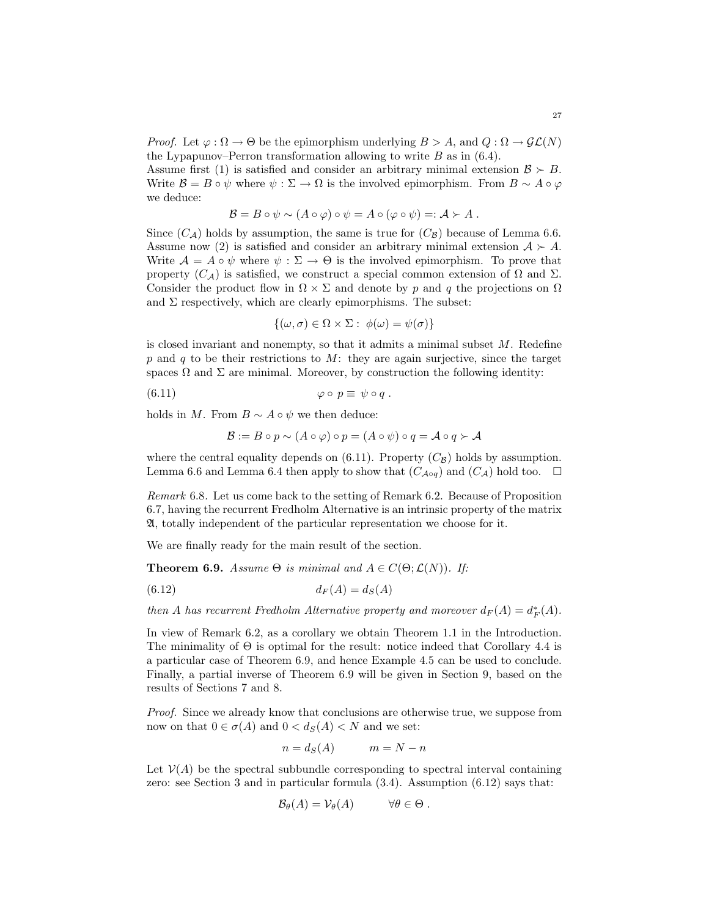*Proof.* Let  $\varphi : \Omega \to \Theta$  be the epimorphism underlying  $B > A$ , and  $Q : \Omega \to \mathcal{GL}(N)$ the Lypapunov–Perron transformation allowing to write  $B$  as in (6.4).

Assume first (1) is satisfied and consider an arbitrary minimal extension  $\mathcal{B} \succ B$ . Write  $\mathcal{B} = B \circ \psi$  where  $\psi : \Sigma \to \Omega$  is the involved epimorphism. From  $B \sim A \circ \varphi$ we deduce:

$$
\mathcal{B} = B \circ \psi \sim (A \circ \varphi) \circ \psi = A \circ (\varphi \circ \psi) =: \mathcal{A} \succ A.
$$

Since  $(C_A)$  holds by assumption, the same is true for  $(C_B)$  because of Lemma 6.6. Assume now (2) is satisfied and consider an arbitrary minimal extension  $A \succ A$ . Write  $A = A \circ \psi$  where  $\psi : \Sigma \to \Theta$  is the involved epimorphism. To prove that property  $(C_A)$  is satisfied, we construct a special common extension of  $\Omega$  and  $\Sigma$ . Consider the product flow in  $\Omega \times \Sigma$  and denote by p and q the projections on  $\Omega$ and  $\Sigma$  respectively, which are clearly epimorphisms. The subset:

$$
\{(\omega,\sigma)\in\Omega\times\Sigma:\ \phi(\omega)=\psi(\sigma)\}\
$$

is closed invariant and nonempty, so that it admits a minimal subset  $M$ . Redefine p and q to be their restrictions to  $M$ : they are again surjective, since the target spaces  $\Omega$  and  $\Sigma$  are minimal. Moreover, by construction the following identity:

(6.11) ϕ ◦ p ≡ ψ ◦ q .

holds in M. From  $B \sim A \circ \psi$  we then deduce:

$$
\mathcal{B} := B \circ p \sim (A \circ \varphi) \circ p = (A \circ \psi) \circ q = \mathcal{A} \circ q \succ \mathcal{A}
$$

where the central equality depends on  $(6.11)$ . Property  $(C_B)$  holds by assumption. Lemma 6.6 and Lemma 6.4 then apply to show that  $(C_{A \circ q})$  and  $(C_A)$  hold too.  $\square$ 

Remark 6.8. Let us come back to the setting of Remark 6.2. Because of Proposition 6.7, having the recurrent Fredholm Alternative is an intrinsic property of the matrix A, totally independent of the particular representation we choose for it.

We are finally ready for the main result of the section.

**Theorem 6.9.** Assume  $\Theta$  is minimal and  $A \in C(\Theta; \mathcal{L}(N))$ . If:

$$
(6.12)\qquad \qquad d_F(A) = d_S(A)
$$

then A has recurrent Fredholm Alternative property and moreover  $d_F(A) = d_F^*(A)$ .

In view of Remark 6.2, as a corollary we obtain Theorem 1.1 in the Introduction. The minimality of  $\Theta$  is optimal for the result: notice indeed that Corollary 4.4 is a particular case of Theorem 6.9, and hence Example 4.5 can be used to conclude. Finally, a partial inverse of Theorem 6.9 will be given in Section 9, based on the results of Sections 7 and 8.

Proof. Since we already know that conclusions are otherwise true, we suppose from now on that  $0 \in \sigma(A)$  and  $0 < d_S(A) < N$  and we set:

$$
n = d_S(A) \qquad m = N - n
$$

Let  $\mathcal{V}(A)$  be the spectral subbundle corresponding to spectral interval containing zero: see Section 3 and in particular formula (3.4). Assumption (6.12) says that:

$$
\mathcal{B}_{\theta}(A) = \mathcal{V}_{\theta}(A) \qquad \forall \theta \in \Theta.
$$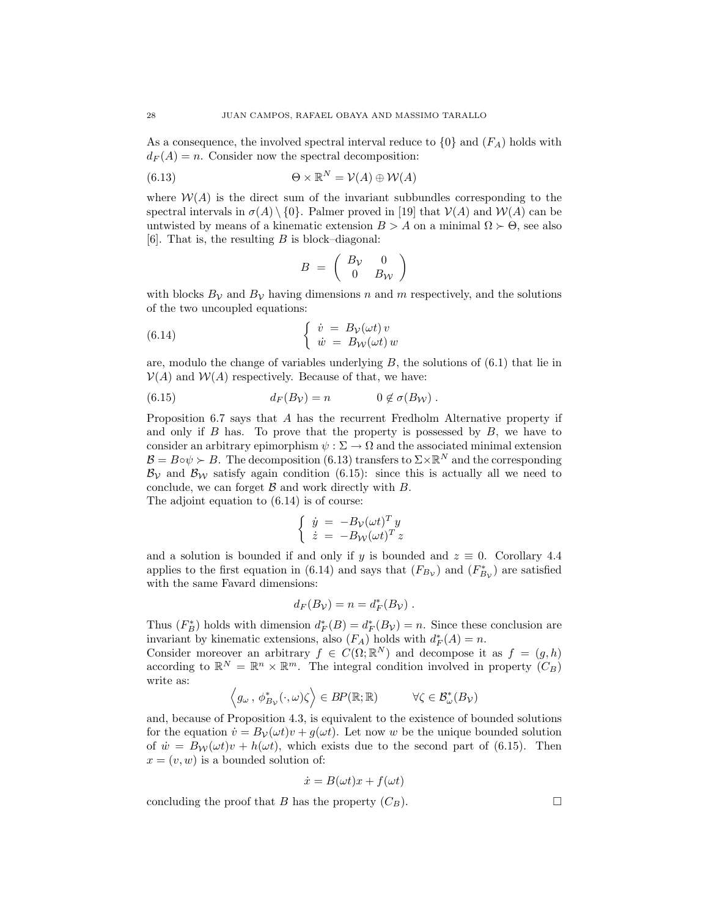As a consequence, the involved spectral interval reduce to  $\{0\}$  and  $(F_A)$  holds with  $d_F(A) = n$ . Consider now the spectral decomposition:

(6.13) 
$$
\Theta \times \mathbb{R}^N = \mathcal{V}(A) \oplus \mathcal{W}(A)
$$

where  $W(A)$  is the direct sum of the invariant subbundles corresponding to the spectral intervals in  $\sigma(A) \setminus \{0\}$ . Palmer proved in [19] that  $\mathcal{V}(A)$  and  $\mathcal{W}(A)$  can be untwisted by means of a kinematic extension  $B > A$  on a minimal  $\Omega \succ \Theta$ , see also [6]. That is, the resulting  $B$  is block–diagonal:

$$
B = \left(\begin{array}{cc} B_V & 0 \\ 0 & B_W \end{array}\right)
$$

with blocks  $B_{\mathcal{V}}$  and  $B_{\mathcal{V}}$  having dimensions n and m respectively, and the solutions of the two uncoupled equations:

(6.14) 
$$
\begin{cases} \dot{v} = B_{\mathcal{V}}(\omega t) v \\ \dot{w} = B_{\mathcal{W}}(\omega t) w \end{cases}
$$

are, modulo the change of variables underlying  $B$ , the solutions of  $(6.1)$  that lie in  $V(A)$  and  $W(A)$  respectively. Because of that, we have:

(6.15) 
$$
d_F(B_V) = n \qquad \qquad 0 \notin \sigma(B_W) .
$$

Proposition 6.7 says that A has the recurrent Fredholm Alternative property if and only if  $B$  has. To prove that the property is possessed by  $B$ , we have to consider an arbitrary epimorphism  $\psi : \Sigma \to \Omega$  and the associated minimal extension  $\mathcal{B} = B \circ \psi \succ B$ . The decomposition (6.13) transfers to  $\Sigma \times \mathbb{R}^N$  and the corresponding  $\mathcal{B}_{\mathcal{V}}$  and  $\mathcal{B}_{\mathcal{W}}$  satisfy again condition (6.15): since this is actually all we need to conclude, we can forget  $\beta$  and work directly with  $B$ .

The adjoint equation to  $(6.14)$  is of course:

$$
\begin{cases} \n\dot{y} = -B_{\mathcal{V}}(\omega t)^{T} y \\ \n\dot{z} = -B_{\mathcal{W}}(\omega t)^{T} z \n\end{cases}
$$

and a solution is bounded if and only if y is bounded and  $z \equiv 0$ . Corollary 4.4 applies to the first equation in (6.14) and says that  $(F_{B<sub>V</sub>})$  and  $(F_{B<sub>V</sub>}^*)$  are satisfied with the same Favard dimensions:

$$
d_F(B_{\mathcal{V}})=n=d_F^*(B_{\mathcal{V}}).
$$

Thus  $(F_B^*)$  holds with dimension  $d_F^*(B) = d_F^*(B_\mathcal{V}) = n$ . Since these conclusion are invariant by kinematic extensions, also  $(F_A)$  holds with  $d_F^*(A) = n$ .

Consider moreover an arbitrary  $f \in C(\Omega;\mathbb{R}^N)$  and decompose it as  $f = (g,h)$ according to  $\mathbb{R}^N = \mathbb{R}^n \times \mathbb{R}^m$ . The integral condition involved in property  $(C_B)$ write as:

$$
\Big \langle g_\omega \, , \, \phi_{B_{\mathcal V}}^*(\cdot, \omega) \zeta \Big \rangle \in BP(\mathbb{R}; \mathbb{R}) \qquad \quad \forall \zeta \in \mathcal B_\omega^*(B_{\mathcal V})
$$

and, because of Proposition 4.3, is equivalent to the existence of bounded solutions for the equation  $\dot{v} = B_{\mathcal{V}}(\omega t)v + g(\omega t)$ . Let now w be the unique bounded solution of  $\dot{w} = B_{\mathcal{W}}(\omega t)v + h(\omega t)$ , which exists due to the second part of (6.15). Then  $x = (v, w)$  is a bounded solution of:

$$
\dot{x} = B(\omega t)x + f(\omega t)
$$

concluding the proof that B has the property  $(C_B)$ .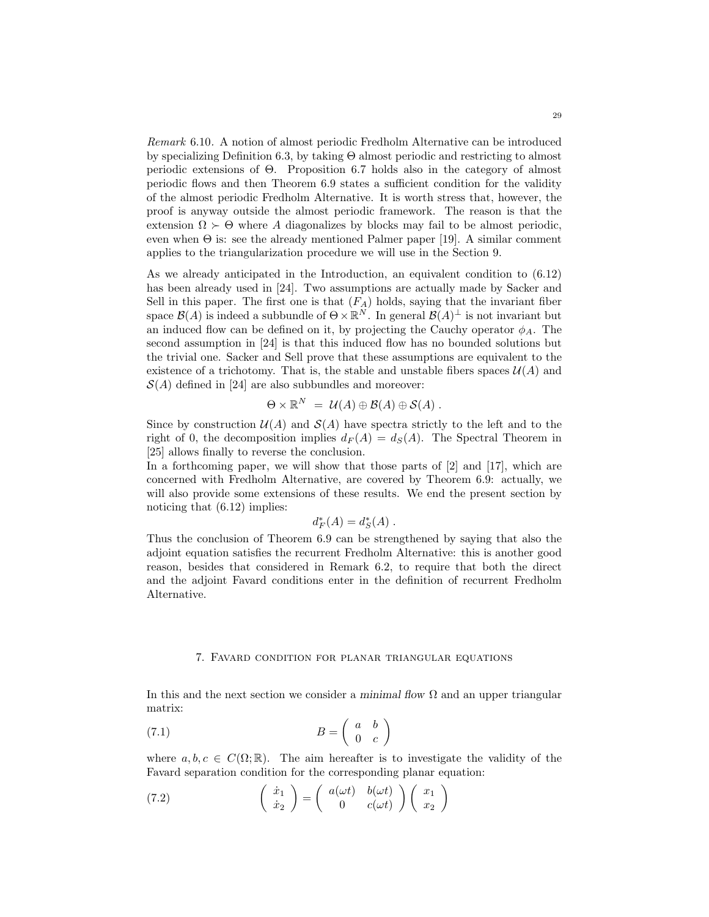Remark 6.10. A notion of almost periodic Fredholm Alternative can be introduced by specializing Definition 6.3, by taking Θ almost periodic and restricting to almost periodic extensions of Θ. Proposition 6.7 holds also in the category of almost periodic flows and then Theorem 6.9 states a sufficient condition for the validity of the almost periodic Fredholm Alternative. It is worth stress that, however, the proof is anyway outside the almost periodic framework. The reason is that the extension  $\Omega \succ \Theta$  where A diagonalizes by blocks may fail to be almost periodic, even when  $\Theta$  is: see the already mentioned Palmer paper [19]. A similar comment applies to the triangularization procedure we will use in the Section 9.

As we already anticipated in the Introduction, an equivalent condition to (6.12) has been already used in [24]. Two assumptions are actually made by Sacker and Sell in this paper. The first one is that  $(F_A)$  holds, saying that the invariant fiber space  $\mathcal{B}(A)$  is indeed a subbundle of  $\Theta \times \mathbb{R}^N$ . In general  $\mathcal{B}(A)^{\perp}$  is not invariant but an induced flow can be defined on it, by projecting the Cauchy operator  $\phi_A$ . The second assumption in [24] is that this induced flow has no bounded solutions but the trivial one. Sacker and Sell prove that these assumptions are equivalent to the existence of a trichotomy. That is, the stable and unstable fibers spaces  $\mathcal{U}(A)$  and  $S(A)$  defined in [24] are also subbundles and moreover:

$$
\Theta \times \mathbb{R}^N = \mathcal{U}(A) \oplus \mathcal{B}(A) \oplus \mathcal{S}(A) .
$$

Since by construction  $\mathcal{U}(A)$  and  $\mathcal{S}(A)$  have spectra strictly to the left and to the right of 0, the decomposition implies  $d_F(A) = d_S(A)$ . The Spectral Theorem in [25] allows finally to reverse the conclusion.

In a forthcoming paper, we will show that those parts of [2] and [17], which are concerned with Fredholm Alternative, are covered by Theorem 6.9: actually, we will also provide some extensions of these results. We end the present section by noticing that (6.12) implies:

$$
d^*_F(A) = d^*_S(A) .
$$

Thus the conclusion of Theorem 6.9 can be strengthened by saying that also the adjoint equation satisfies the recurrent Fredholm Alternative: this is another good reason, besides that considered in Remark 6.2, to require that both the direct and the adjoint Favard conditions enter in the definition of recurrent Fredholm Alternative.

#### 7. Favard condition for planar triangular equations

In this and the next section we consider a minimal flow  $\Omega$  and an upper triangular matrix:

$$
(7.1) \t\t B = \begin{pmatrix} a & b \\ 0 & c \end{pmatrix}
$$

where  $a, b, c \in C(\Omega;\mathbb{R})$ . The aim hereafter is to investigate the validity of the Favard separation condition for the corresponding planar equation:

(7.2) 
$$
\begin{pmatrix} \dot{x}_1 \\ \dot{x}_2 \end{pmatrix} = \begin{pmatrix} a(\omega t) & b(\omega t) \\ 0 & c(\omega t) \end{pmatrix} \begin{pmatrix} x_1 \\ x_2 \end{pmatrix}
$$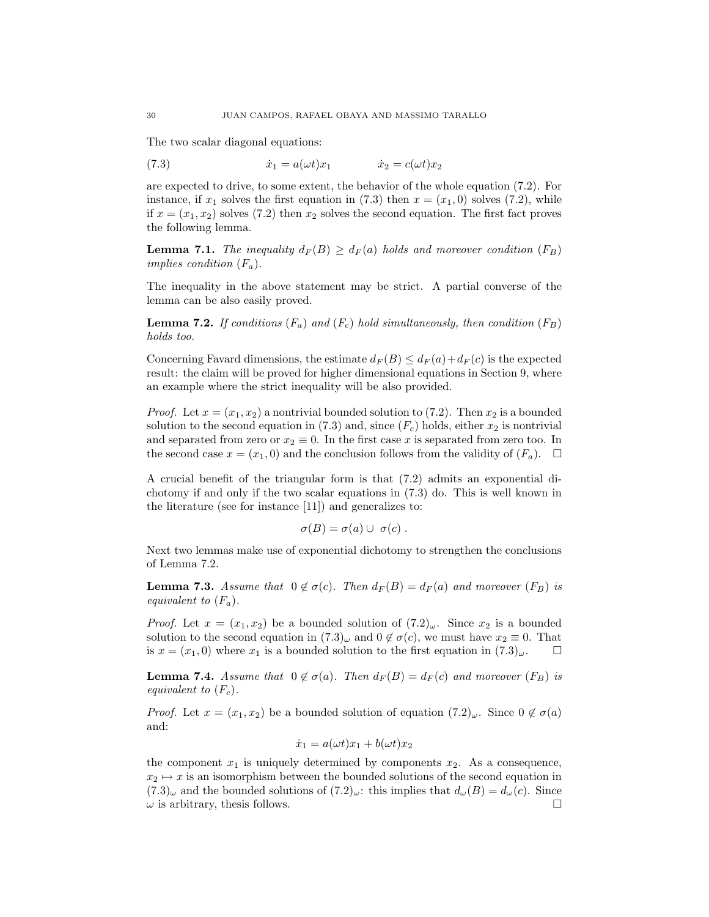The two scalar diagonal equations:

(7.3) 
$$
\dot{x}_1 = a(\omega t)x_1 \qquad \dot{x}_2 = c(\omega t)x_2
$$

are expected to drive, to some extent, the behavior of the whole equation (7.2). For instance, if  $x_1$  solves the first equation in (7.3) then  $x = (x_1, 0)$  solves (7.2), while if  $x = (x_1, x_2)$  solves (7.2) then  $x_2$  solves the second equation. The first fact proves the following lemma.

**Lemma 7.1.** The inequality  $d_F(B) \geq d_F(a)$  holds and moreover condition  $(F_B)$ implies condition  $(F_a)$ .

The inequality in the above statement may be strict. A partial converse of the lemma can be also easily proved.

**Lemma 7.2.** If conditions  $(F_a)$  and  $(F_c)$  hold simultaneously, then condition  $(F_B)$ holds too.

Concerning Favard dimensions, the estimate  $d_F(B) \leq d_F(a) + d_F(c)$  is the expected result: the claim will be proved for higher dimensional equations in Section 9, where an example where the strict inequality will be also provided.

*Proof.* Let  $x = (x_1, x_2)$  a nontrivial bounded solution to (7.2). Then  $x_2$  is a bounded solution to the second equation in (7.3) and, since  $(F_c)$  holds, either  $x_2$  is nontrivial and separated from zero or  $x_2 \equiv 0$ . In the first case x is separated from zero too. In the second case  $x = (x_1, 0)$  and the conclusion follows from the validity of  $(F_a)$ .  $\Box$ 

A crucial benefit of the triangular form is that (7.2) admits an exponential dichotomy if and only if the two scalar equations in (7.3) do. This is well known in the literature (see for instance [11]) and generalizes to:

$$
\sigma(B) = \sigma(a) \cup \sigma(c) .
$$

Next two lemmas make use of exponential dichotomy to strengthen the conclusions of Lemma 7.2.

**Lemma 7.3.** Assume that  $0 \notin \sigma(c)$ . Then  $d_F(B) = d_F(a)$  and moreover  $(F_B)$  is equivalent to  $(F_a)$ .

*Proof.* Let  $x = (x_1, x_2)$  be a bounded solution of  $(7.2)_{\omega}$ . Since  $x_2$  is a bounded solution to the second equation in  $(7.3)_{\omega}$  and  $0 \notin \sigma(c)$ , we must have  $x_2 \equiv 0$ . That is  $x = (x_1, 0)$  where  $x_1$  is a bounded solution to the first equation in  $(7.3)_{\omega}$ .

**Lemma 7.4.** Assume that  $0 \notin \sigma(a)$ . Then  $d_F(B) = d_F(c)$  and moreover  $(F_B)$  is equivalent to  $(F_c)$ .

*Proof.* Let  $x = (x_1, x_2)$  be a bounded solution of equation  $(7.2)_{\omega}$ . Since  $0 \notin \sigma(a)$ and:

$$
\dot{x}_1 = a(\omega t)x_1 + b(\omega t)x_2
$$

the component  $x_1$  is uniquely determined by components  $x_2$ . As a consequence,  $x_2 \mapsto x$  is an isomorphism between the bounded solutions of the second equation in  $(7.3)_{\omega}$  and the bounded solutions of  $(7.2)_{\omega}$ : this implies that  $d_{\omega}(B) = d_{\omega}(c)$ . Since  $\omega$  is arbitrary, thesis follows.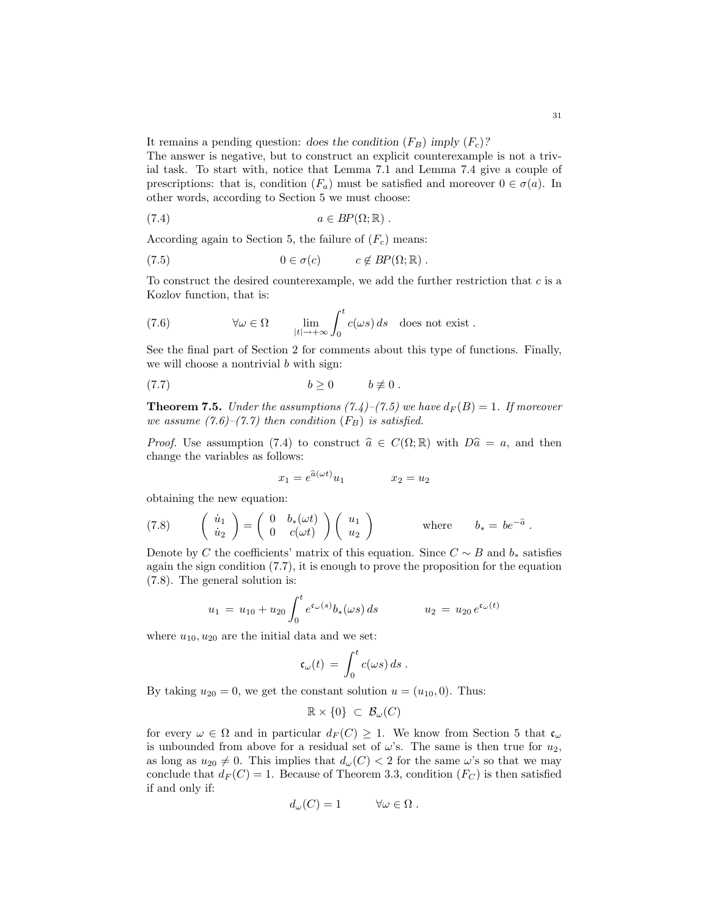It remains a pending question: does the condition  $(F_B)$  imply  $(F_c)$ ?

The answer is negative, but to construct an explicit counterexample is not a trivial task. To start with, notice that Lemma 7.1 and Lemma 7.4 give a couple of prescriptions: that is, condition  $(F_a)$  must be satisfied and moreover  $0 \in \sigma(a)$ . In other words, according to Section 5 we must choose:

(7.4) 
$$
a \in BP(\Omega;\mathbb{R}).
$$

According again to Section 5, the failure of  $(F_c)$  means:

(7.5) 
$$
0 \in \sigma(c) \qquad c \notin BP(\Omega; \mathbb{R}).
$$

To construct the desired counterexample, we add the further restriction that  $c$  is a Kozlov function, that is:

(7.6) 
$$
\forall \omega \in \Omega \qquad \lim_{|t| \to +\infty} \int_0^t c(\omega s) \, ds \quad \text{does not exist.}
$$

See the final part of Section 2 for comments about this type of functions. Finally, we will choose a nontrivial b with sign:

$$
(7.7) \t\t b \ge 0 \t b \not\equiv 0.
$$

**Theorem 7.5.** Under the assumptions (7.4)–(7.5) we have  $d_F(B) = 1$ . If moreover we assume  $(7.6)$ – $(7.7)$  then condition  $(F_B)$  is satisfied.

*Proof.* Use assumption (7.4) to construct  $\hat{a} \in C(\Omega; \mathbb{R})$  with  $D\hat{a} = a$ , and then change the variables as follows:

$$
x_1 = e^{\hat{a}(\omega t)} u_1 \qquad x_2 = u_2
$$

obtaining the new equation:

(7.8) 
$$
\begin{pmatrix} \dot{u}_1 \\ \dot{u}_2 \end{pmatrix} = \begin{pmatrix} 0 & b_*(\omega t) \\ 0 & c(\omega t) \end{pmatrix} \begin{pmatrix} u_1 \\ u_2 \end{pmatrix} \quad \text{where} \quad b_* = be^{-\hat{a}}.
$$

Denote by C the coefficients' matrix of this equation. Since  $C \sim B$  and  $b_*$  satisfies again the sign condition (7.7), it is enough to prove the proposition for the equation (7.8). The general solution is:

$$
u_1 = u_{10} + u_{20} \int_0^t e^{\mathfrak{c}_\omega(s)} b_*(\omega s) ds \qquad u_2 = u_{20} e^{\mathfrak{c}_\omega(t)}
$$

where  $u_{10}, u_{20}$  are the initial data and we set:

$$
\mathfrak{c}_{\omega}(t) \,=\, \int_0^t c(\omega s)\,ds\;.
$$

By taking  $u_{20} = 0$ , we get the constant solution  $u = (u_{10}, 0)$ . Thus:

$$
\mathbb{R} \times \{0\} \subset \mathcal{B}_{\omega}(C)
$$

for every  $\omega \in \Omega$  and in particular  $d_F(C) \geq 1$ . We know from Section 5 that  $\mathfrak{c}_{\omega}$ is unbounded from above for a residual set of  $\omega$ 's. The same is then true for  $u_2$ , as long as  $u_{20} \neq 0$ . This implies that  $d_{\omega}(C) < 2$  for the same  $\omega$ 's so that we may conclude that  $d_F(C) = 1$ . Because of Theorem 3.3, condition  $(F_C)$  is then satisfied if and only if:

$$
d_{\omega}(C) = 1 \qquad \forall \omega \in \Omega .
$$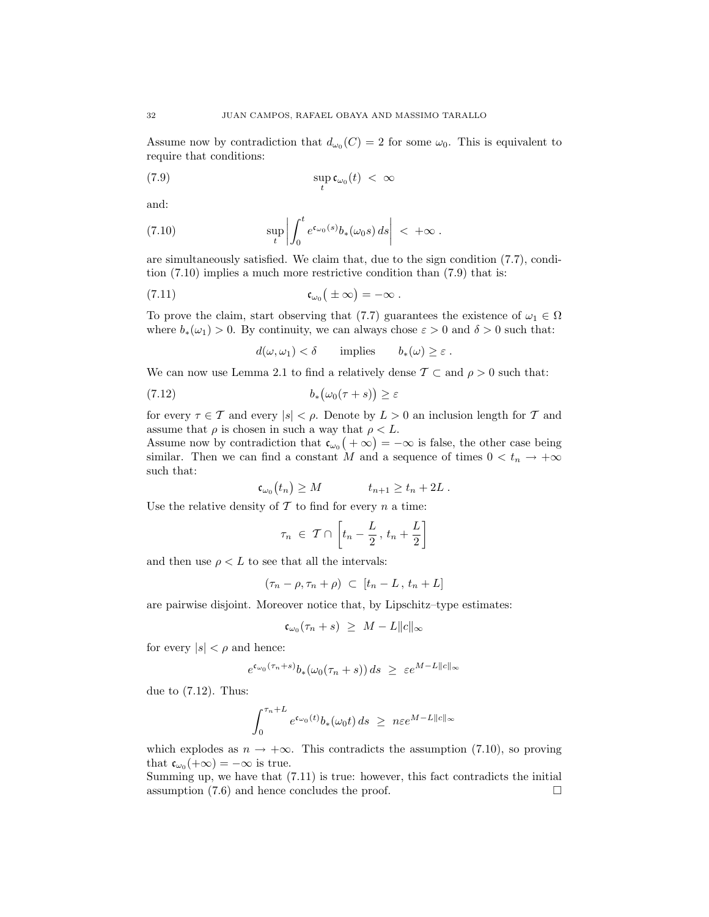Assume now by contradiction that  $d_{\omega_0}(C) = 2$  for some  $\omega_0$ . This is equivalent to require that conditions:

$$
\sup_{t} \mathfrak{c}_{\omega_0}(t) \, < \, \infty
$$

and:

(7.10) 
$$
\sup_t \left| \int_0^t e^{\mathfrak{c}_{\omega_0}(s)} b_*(\omega_0 s) ds \right| < +\infty.
$$

are simultaneously satisfied. We claim that, due to the sign condition (7.7), condition (7.10) implies a much more restrictive condition than (7.9) that is:

(7.11) 
$$
\mathfrak{c}_{\omega_0}(\pm\infty)=-\infty.
$$

To prove the claim, start observing that (7.7) guarantees the existence of  $\omega_1 \in \Omega$ where  $b_*(\omega_1) > 0$ . By continuity, we can always chose  $\varepsilon > 0$  and  $\delta > 0$  such that:

$$
d(\omega, \omega_1) < \delta
$$
 implies  $b_*(\omega) \ge \varepsilon$ .

We can now use Lemma 2.1 to find a relatively dense  $\mathcal{T} \subset \text{and } \rho > 0$  such that:

$$
(7.12) \t\t b_* (\omega_0(\tau + s)) \ge \varepsilon
$$

for every  $\tau \in \mathcal{T}$  and every  $|s| < \rho$ . Denote by  $L > 0$  an inclusion length for  $\mathcal{T}$  and assume that  $\rho$  is chosen in such a way that  $\rho < L$ .

Assume now by contradiction that  $\mathfrak{c}_{\omega_0}(+\infty) = -\infty$  is false, the other case being similar. Then we can find a constant M and a sequence of times  $0 < t_n \to +\infty$ such that:

$$
\mathfrak{c}_{\omega_0}(t_n) \geq M \qquad t_{n+1} \geq t_n + 2L \ .
$$

Use the relative density of  $\mathcal T$  to find for every  $n$  a time:

c<sup>ω</sup><sup>0</sup>

$$
\tau_n \in \mathcal{T} \cap \left[t_n - \frac{L}{2}, t_n + \frac{L}{2}\right]
$$

and then use  $\rho < L$  to see that all the intervals:

$$
(\tau_n - \rho, \tau_n + \rho) \subset [t_n - L, t_n + L]
$$

are pairwise disjoint. Moreover notice that, by Lipschitz–type estimates:

$$
\dot{c}_{\omega_0}(\tau_n + s) \ \geq \ M - L \|c\|_{\infty}
$$

for every  $|s| < \rho$  and hence:

$$
e^{\mathfrak{c}_{\omega_0}(\tau_n+s)}b_*(\omega_0(\tau_n+s))\,ds\ \ge\ \varepsilon e^{M-L\|c\|_\infty}
$$

due to (7.12). Thus:

$$
\int_0^{\tau_n+L} e^{\mathfrak{c}_{\omega_0}(t)} b_*(\omega_0 t) ds \ge n \varepsilon e^{M-L||c||_{\infty}}
$$

which explodes as  $n \to +\infty$ . This contradicts the assumption (7.10), so proving that  $\mathfrak{c}_{\omega_0}(+\infty) = -\infty$  is true.

Summing up, we have that (7.11) is true: however, this fact contradicts the initial assumption  $(7.6)$  and hence concludes the proof.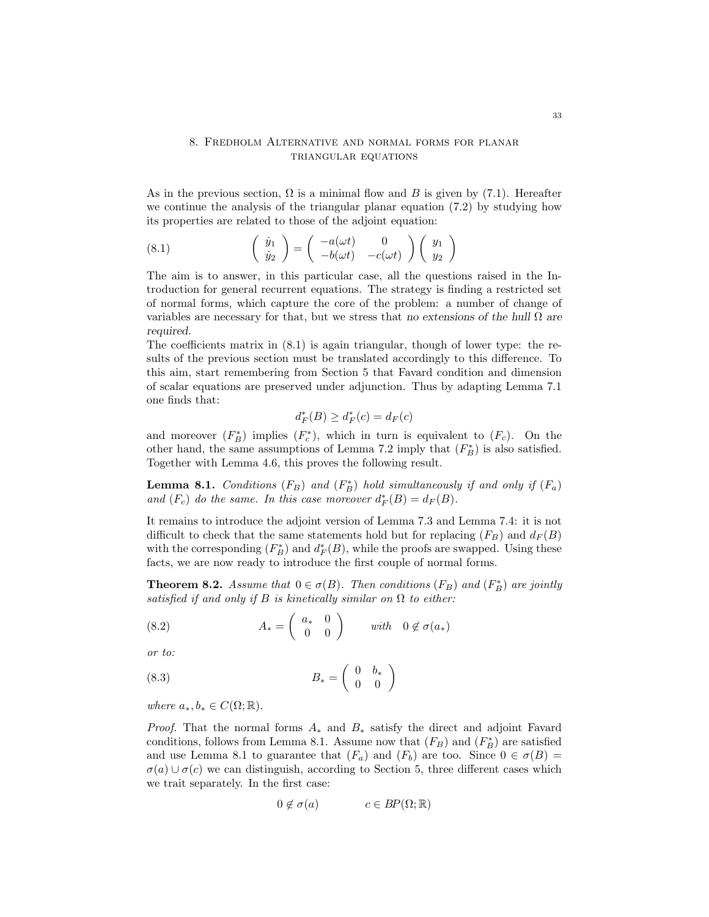# 8. Fredholm Alternative and normal forms for planar triangular equations

As in the previous section,  $\Omega$  is a minimal flow and B is given by (7.1). Hereafter we continue the analysis of the triangular planar equation (7.2) by studying how its properties are related to those of the adjoint equation:

(8.1) 
$$
\begin{pmatrix} \dot{y}_1 \\ \dot{y}_2 \end{pmatrix} = \begin{pmatrix} -a(\omega t) & 0 \\ -b(\omega t) & -c(\omega t) \end{pmatrix} \begin{pmatrix} y_1 \\ y_2 \end{pmatrix}
$$

The aim is to answer, in this particular case, all the questions raised in the Introduction for general recurrent equations. The strategy is finding a restricted set of normal forms, which capture the core of the problem: a number of change of variables are necessary for that, but we stress that no extensions of the hull  $\Omega$  are required.

The coefficients matrix in (8.1) is again triangular, though of lower type: the results of the previous section must be translated accordingly to this difference. To this aim, start remembering from Section 5 that Favard condition and dimension of scalar equations are preserved under adjunction. Thus by adapting Lemma 7.1 one finds that:

$$
d_F^*(B) \ge d_F^*(c) = d_F(c)
$$

and moreover  $(F_B^*)$  implies  $(F_c^*)$ , which in turn is equivalent to  $(F_c)$ . On the other hand, the same assumptions of Lemma 7.2 imply that  $(F_B^*)$  is also satisfied. Together with Lemma 4.6, this proves the following result.

**Lemma 8.1.** Conditions  $(F_B)$  and  $(F_B^*)$  hold simultaneously if and only if  $(F_a)$ and  $(F_c)$  do the same. In this case moreover  $d_F^*(B) = d_F(B)$ .

It remains to introduce the adjoint version of Lemma 7.3 and Lemma 7.4: it is not difficult to check that the same statements hold but for replacing  $(F_B)$  and  $d_F(B)$ with the corresponding  $(F_B^*)$  and  $d_F^*(B)$ , while the proofs are swapped. Using these facts, we are now ready to introduce the first couple of normal forms.

**Theorem 8.2.** Assume that  $0 \in \sigma(B)$ . Then conditions  $(F_B)$  and  $(F_B^*)$  are jointly satisfied if and only if B is kinetically similar on  $\Omega$  to either:

(8.2) 
$$
A_* = \begin{pmatrix} a_* & 0 \\ 0 & 0 \end{pmatrix} \text{ with } 0 \notin \sigma(a_*)
$$

or to:

$$
(8.3) \t B_* = \begin{pmatrix} 0 & b_* \\ 0 & 0 \end{pmatrix}
$$

where  $a_*, b_* \in C(\Omega;\mathbb{R})$ .

*Proof.* That the normal forms  $A_*$  and  $B_*$  satisfy the direct and adjoint Favard conditions, follows from Lemma 8.1. Assume now that  $(F_B)$  and  $(F_B^*)$  are satisfied and use Lemma 8.1 to guarantee that  $(F_a)$  and  $(F_b)$  are too. Since  $0 \in \sigma(B)$  $\sigma(a) \cup \sigma(c)$  we can distinguish, according to Section 5, three different cases which we trait separately. In the first case:

$$
0 \notin \sigma(a) \qquad c \in BP(\Omega; \mathbb{R})
$$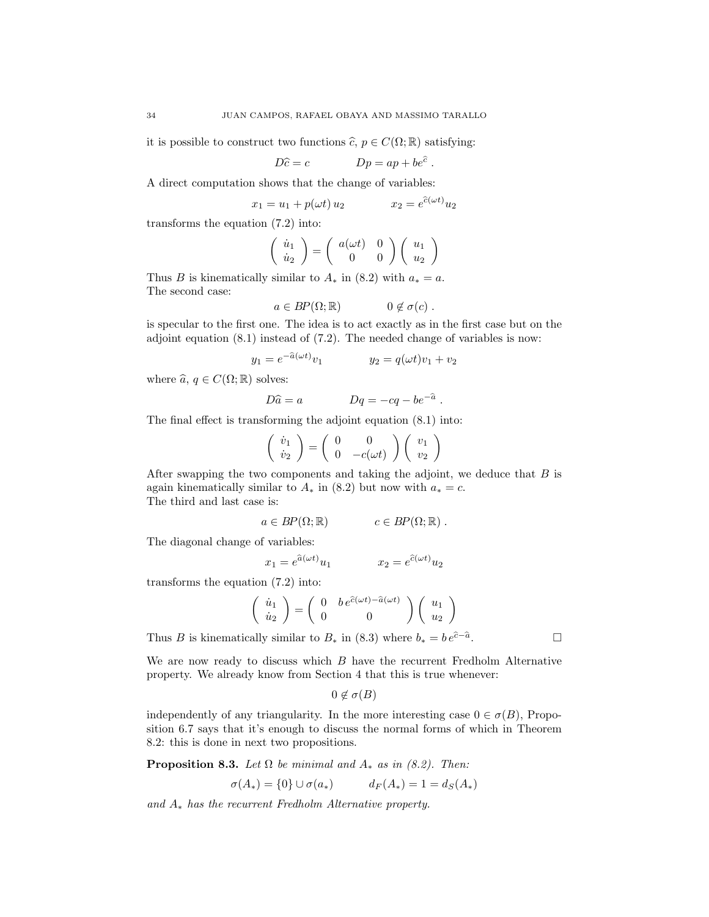it is possible to construct two functions  $\widehat{c}$ ,  $p \in C(\Omega; \mathbb{R})$  satisfying:

$$
D\hat{c} = c \qquad \qquad Dp = ap + be^{\hat{c}}.
$$

A direct computation shows that the change of variables:

$$
x_1 = u_1 + p(\omega t) u_2 \qquad \qquad x_2 = e^{\hat{c}(\omega t)} u_2
$$

transforms the equation (7.2) into:

$$
\left(\begin{array}{c}\n\dot{u}_1 \\
\dot{u}_2\n\end{array}\right) = \left(\begin{array}{cc}\na(\omega t) & 0 \\
0 & 0\n\end{array}\right) \left(\begin{array}{c}\nu_1 \\
u_2\n\end{array}\right)
$$

Thus B is kinematically similar to  $A_*$  in (8.2) with  $a_* = a$ . The second case:

$$
a \in BP(\Omega;\mathbb{R}) \qquad \qquad 0 \notin \sigma(c) .
$$

is specular to the first one. The idea is to act exactly as in the first case but on the adjoint equation  $(8.1)$  instead of  $(7.2)$ . The needed change of variables is now:

$$
y_1 = e^{-\hat{a}(\omega t)} v_1
$$
  $y_2 = q(\omega t) v_1 + v_2$ 

where  $\widehat{a}$ ,  $q \in C(\Omega;\mathbb{R})$  solves:

$$
D\hat{a} = a \qquad Dq = -cq - be^{-\hat{a}}.
$$

The final effect is transforming the adjoint equation (8.1) into:

$$
\left(\begin{array}{c}\n\dot{v}_1 \\
\dot{v}_2\n\end{array}\right) = \left(\begin{array}{cc}\n0 & 0 \\
0 & -c(\omega t)\n\end{array}\right) \left(\begin{array}{c}\nv_1 \\
v_2\n\end{array}\right)
$$

After swapping the two components and taking the adjoint, we deduce that  $B$  is again kinematically similar to  $A_*$  in (8.2) but now with  $a_* = c$ . The third and last case is:

$$
a \in BP(\Omega;\mathbb{R}) \qquad c \in BP(\Omega;\mathbb{R}).
$$

The diagonal change of variables:

$$
x_1 = e^{\hat{a}(\omega t)} u_1 \qquad \qquad x_2 = e^{\hat{c}(\omega t)} u_2
$$

transforms the equation (7.2) into:

$$
\left(\begin{array}{c}\n\dot{u}_1 \\
\dot{u}_2\n\end{array}\right) = \left(\begin{array}{cc}\n0 & b e^{\hat{c}(\omega t) - \hat{a}(\omega t)} \\
0 & 0\n\end{array}\right) \left(\begin{array}{c}\nu_1 \\
u_2\n\end{array}\right)
$$

Thus B is kinematically similar to  $B_*$  in (8.3) where  $b_* = b e^{\hat{c}-\hat{a}}$ .

We are now ready to discuss which B have the recurrent Fredholm Alternative property. We already know from Section 4 that this is true whenever:

 $0 \notin \sigma(B)$ 

independently of any triangularity. In the more interesting case  $0 \in \sigma(B)$ , Proposition 6.7 says that it's enough to discuss the normal forms of which in Theorem 8.2: this is done in next two propositions.

**Proposition 8.3.** Let  $\Omega$  be minimal and  $A_*$  as in (8.2). Then:

$$
\sigma(A_*) = \{0\} \cup \sigma(a_*) \qquad d_F(A_*) = 1 = d_S(A_*)
$$

and A<sup>∗</sup> has the recurrent Fredholm Alternative property.

. — Профессор — Профессор — Профессор — Профессор — Профессор — Профессор — Профессор — Профессор — Профессор <br>В профессор — Профессор — Профессор — Профессор — Профессор — Профессор — Профессор — Профессор — Профессор —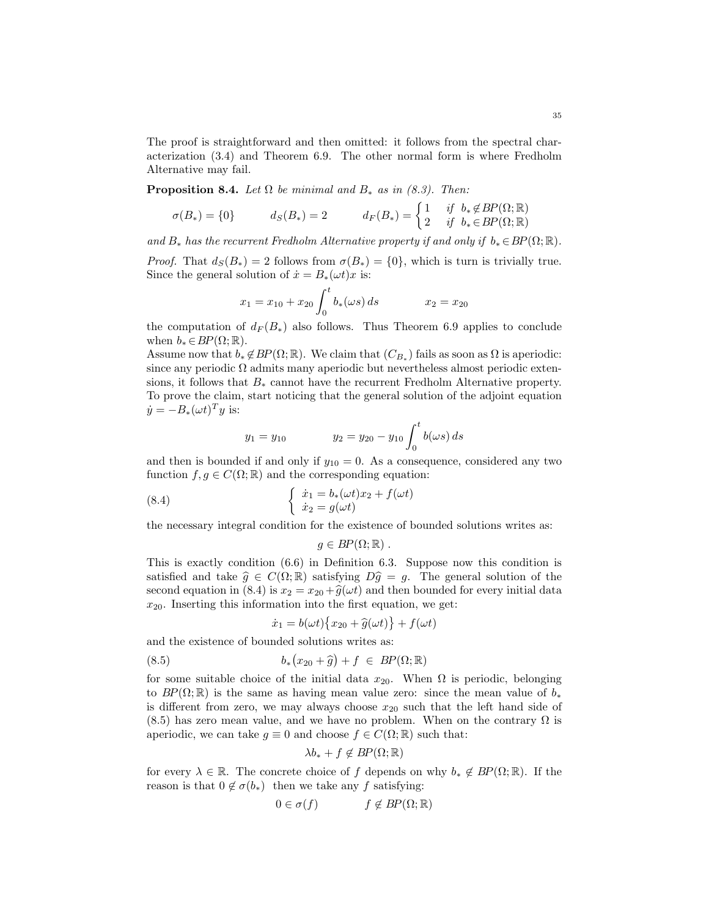The proof is straightforward and then omitted: it follows from the spectral characterization (3.4) and Theorem 6.9. The other normal form is where Fredholm Alternative may fail.

**Proposition 8.4.** Let  $\Omega$  be minimal and  $B_*$  as in (8.3). Then:

$$
\sigma(B_*) = \{0\} \qquad \qquad d_S(B_*) = 2 \qquad \qquad d_F(B_*) = \begin{cases} 1 & \text{if} \quad b_* \notin BP(\Omega;\mathbb{R}) \\ 2 & \text{if} \quad b_* \in BP(\Omega;\mathbb{R}) \end{cases}
$$

and  $B_*$  has the recurrent Fredholm Alternative property if and only if  $b_* \in BP(\Omega;\mathbb{R})$ .

*Proof.* That  $d_S(B_*) = 2$  follows from  $\sigma(B_*) = \{0\}$ , which is turn is trivially true. Since the general solution of  $\dot{x} = B_*(\omega t)x$  is:

$$
x_1 = x_{10} + x_{20} \int_0^t b_*(\omega s) ds \qquad x_2 = x_{20}
$$

the computation of  $d_F (B_*)$  also follows. Thus Theorem 6.9 applies to conclude when  $b_* \in BP(\Omega;\mathbb{R})$ .

Assume now that  $b_* \notin BP(\Omega;\mathbb{R})$ . We claim that  $(C_{B_*})$  fails as soon as  $\Omega$  is aperiodic: since any periodic  $\Omega$  admits many aperiodic but nevertheless almost periodic extensions, it follows that  $B_*$  cannot have the recurrent Fredholm Alternative property. To prove the claim, start noticing that the general solution of the adjoint equation  $\dot{y} = -B_*(\omega t)^T y$  is:

$$
y_1 = y_{10}
$$
  $y_2 = y_{20} - y_{10} \int_0^t b(\omega s) ds$ 

and then is bounded if and only if  $y_{10} = 0$ . As a consequence, considered any two function  $f, g \in C(\Omega;\mathbb{R})$  and the corresponding equation:

(8.4) 
$$
\begin{cases} \dot{x}_1 = b_*(\omega t)x_2 + f(\omega t) \\ \dot{x}_2 = g(\omega t) \end{cases}
$$

the necessary integral condition for the existence of bounded solutions writes as:

$$
g\in BP(\Omega;\mathbb{R})\ .
$$

This is exactly condition (6.6) in Definition 6.3. Suppose now this condition is satisfied and take  $\hat{g} \in C(\Omega;\mathbb{R})$  satisfying  $D\hat{g} = g$ . The general solution of the second equation in (8.4) is  $x_2 = x_{20} + \hat{g}(\omega t)$  and then bounded for every initial data  $x_{20}$ . Inserting this information into the first equation, we get:

$$
\dot{x}_1 = b(\omega t) \{ x_{20} + \hat{g}(\omega t) \} + f(\omega t)
$$

and the existence of bounded solutions writes as:

(8.5) 
$$
b_*(x_{20} + \widehat{g}) + f \in BP(\Omega;\mathbb{R})
$$

for some suitable choice of the initial data  $x_{20}$ . When  $\Omega$  is periodic, belonging to  $BP(\Omega;\mathbb{R})$  is the same as having mean value zero: since the mean value of  $b_*$ is different from zero, we may always choose  $x_{20}$  such that the left hand side of  $(8.5)$  has zero mean value, and we have no problem. When on the contrary  $\Omega$  is aperiodic, we can take  $g \equiv 0$  and choose  $f \in C(\Omega;\mathbb{R})$  such that:

$$
\lambda b_* + f \notin BP(\Omega;\mathbb{R})
$$

for every  $\lambda \in \mathbb{R}$ . The concrete choice of f depends on why  $b_* \notin BP(\Omega;\mathbb{R})$ . If the reason is that  $0 \notin \sigma(b_*)$  then we take any f satisfying:

$$
0 \in \sigma(f) \qquad \qquad f \notin BP(\Omega; \mathbb{R})
$$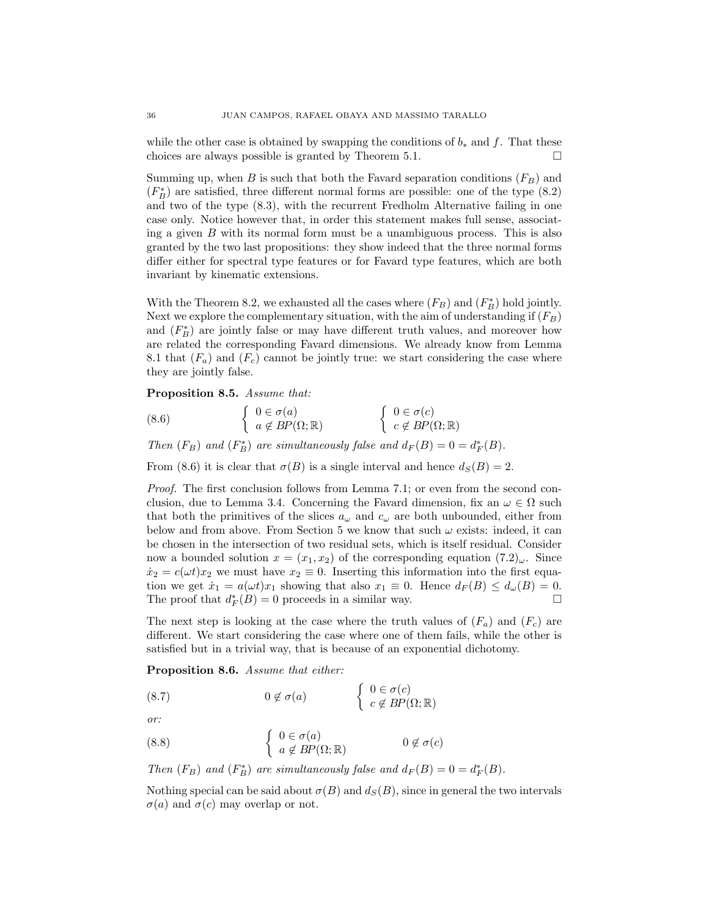while the other case is obtained by swapping the conditions of  $b_*$  and f. That these choices are always possible is granted by Theorem 5.1.  $\Box$ 

Summing up, when B is such that both the Favard separation conditions  $(F_B)$  and  $(F_B^*)$  are satisfied, three different normal forms are possible: one of the type  $(8.2)$ and two of the type (8.3), with the recurrent Fredholm Alternative failing in one case only. Notice however that, in order this statement makes full sense, associating a given  $B$  with its normal form must be a unambiguous process. This is also granted by the two last propositions: they show indeed that the three normal forms differ either for spectral type features or for Favard type features, which are both invariant by kinematic extensions.

With the Theorem 8.2, we exhausted all the cases where  $(F_B)$  and  $(F_B^*)$  hold jointly. Next we explore the complementary situation, with the aim of understanding if  $(F_B)$ and  $(F_B^*)$  are jointly false or may have different truth values, and moreover how are related the corresponding Favard dimensions. We already know from Lemma 8.1 that  $(F_a)$  and  $(F_c)$  cannot be jointly true: we start considering the case where they are jointly false.

### Proposition 8.5. Assume that:

(8.6) 
$$
\begin{cases} 0 \in \sigma(a) \\ a \notin BP(\Omega;\mathbb{R}) \end{cases} \qquad \begin{cases} 0 \in \sigma(c) \\ c \notin BP(\Omega;\mathbb{R}) \end{cases}
$$

Then  $(F_B)$  and  $(F_B^*)$  are simultaneously false and  $d_F(B) = 0 = d_F^*(B)$ .

From (8.6) it is clear that  $\sigma(B)$  is a single interval and hence  $d_S(B) = 2$ .

Proof. The first conclusion follows from Lemma 7.1; or even from the second conclusion, due to Lemma 3.4. Concerning the Favard dimension, fix an  $\omega \in \Omega$  such that both the primitives of the slices  $a_{\omega}$  and  $c_{\omega}$  are both unbounded, either from below and from above. From Section 5 we know that such  $\omega$  exists: indeed, it can be chosen in the intersection of two residual sets, which is itself residual. Consider now a bounded solution  $x = (x_1, x_2)$  of the corresponding equation  $(7.2)_{\omega}$ . Since  $\dot{x}_2 = c(\omega t)x_2$  we must have  $x_2 \equiv 0$ . Inserting this information into the first equation we get  $\dot{x}_1 = a(\omega t)x_1$  showing that also  $x_1 \equiv 0$ . Hence  $d_F(B) \leq d_{\omega}(B) = 0$ . The proof that  $d_F^*(B) = 0$  proceeds in a similar way.

The next step is looking at the case where the truth values of  $(F_a)$  and  $(F_c)$  are different. We start considering the case where one of them fails, while the other is satisfied but in a trivial way, that is because of an exponential dichotomy.

Proposition 8.6. Assume that either:

(8.7)  $0 \notin \sigma(a)$   $\begin{cases} 0 \in \sigma(c) \\ \sigma d \text{ pp} \end{cases}$  $c \notin BP(\Omega;\mathbb{R})$ 

or:

(8.8) 
$$
\begin{cases} 0 \in \sigma(a) \\ a \notin BP(\Omega;\mathbb{R}) \end{cases} \qquad 0 \notin \sigma(c)
$$

Then  $(F_B)$  and  $(F_B^*)$  are simultaneously false and  $d_F(B) = 0 = d_F^*(B)$ .

Nothing special can be said about  $\sigma(B)$  and  $d_S(B)$ , since in general the two intervals  $\sigma(a)$  and  $\sigma(c)$  may overlap or not.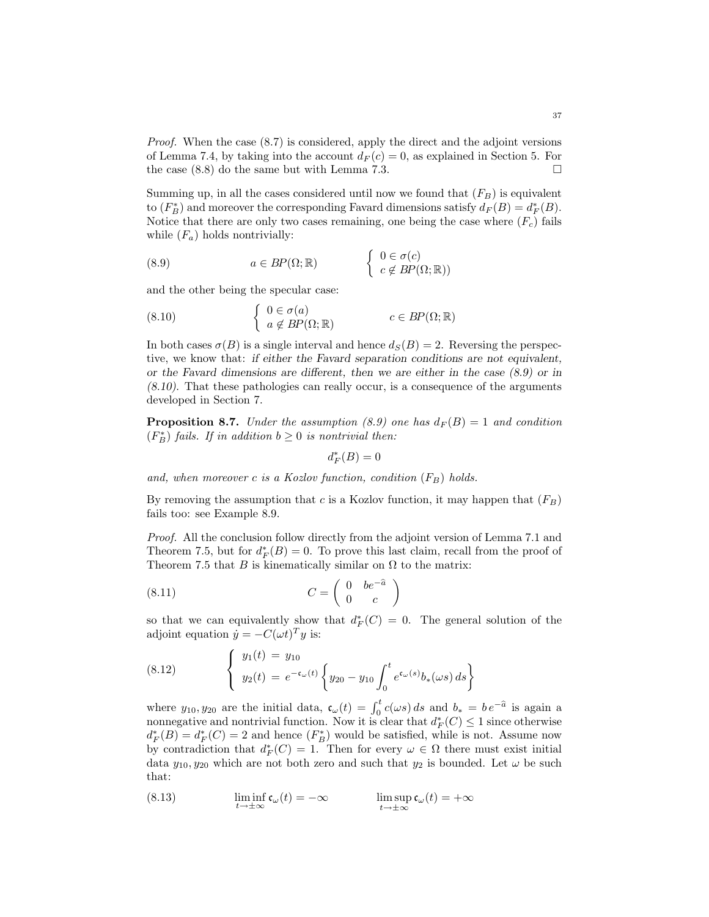Proof. When the case (8.7) is considered, apply the direct and the adjoint versions of Lemma 7.4, by taking into the account  $d_F(c) = 0$ , as explained in Section 5. For the case  $(8.8)$  do the same but with Lemma 7.3.

Summing up, in all the cases considered until now we found that  $(F_B)$  is equivalent to  $(F_B^*)$  and moreover the corresponding Favard dimensions satisfy  $d_F(B) = d_F^*(B)$ . Notice that there are only two cases remaining, one being the case where  $(F_c)$  fails while  $(F_a)$  holds nontrivially:

(8.9) 
$$
a \in BP(\Omega; \mathbb{R}) \qquad \begin{cases} 0 \in \sigma(c) \\ c \notin BP(\Omega; \mathbb{R})) \end{cases}
$$

and the other being the specular case:

(8.10) 
$$
\begin{cases} 0 \in \sigma(a) \\ a \notin BP(\Omega;\mathbb{R}) \end{cases} c \in BP(\Omega;\mathbb{R})
$$

In both cases  $\sigma(B)$  is a single interval and hence  $d_S(B) = 2$ . Reversing the perspective, we know that: if either the Favard separation conditions are not equivalent, or the Favard dimensions are different, then we are either in the case (8.9) or in (8.10). That these pathologies can really occur, is a consequence of the arguments developed in Section 7.

**Proposition 8.7.** Under the assumption (8.9) one has  $d_F(B) = 1$  and condition  $(F_B^*)$  fails. If in addition  $b \geq 0$  is nontrivial then:

$$
d^{\ast}_{F}(B)=0
$$

and, when moreover c is a Kozlov function, condition  $(F_B)$  holds.

By removing the assumption that c is a Kozlov function, it may happen that  $(F_B)$ fails too: see Example 8.9.

Proof. All the conclusion follow directly from the adjoint version of Lemma 7.1 and Theorem 7.5, but for  $d_F^*(B) = 0$ . To prove this last claim, recall from the proof of Theorem 7.5 that  $B$  is kinematically similar on  $\Omega$  to the matrix:

$$
(8.11)\t\t C = \begin{pmatrix} 0 & be^{-\hat{a}} \\ 0 & c \end{pmatrix}
$$

so that we can equivalently show that  $d_F^*(C) = 0$ . The general solution of the adjoint equation  $\dot{y} = -C(\omega t)^T y$  is:

(8.12) 
$$
\begin{cases} y_1(t) = y_{10} \\ y_2(t) = e^{-c_{\omega}(t)} \left\{ y_{20} - y_{10} \int_0^t e^{c_{\omega}(s)} b_*(\omega s) ds \right\} \end{cases}
$$

where  $y_{10}, y_{20}$  are the initial data,  $\mathfrak{c}_{\omega}(t) = \int_0^t c(\omega s) ds$  and  $b_* = be^{-\hat{a}}$  is again a nonnegative and nontrivial function. Now it is clear that  $d_F^*(C) \leq 1$  since otherwise  $d_F^*(B) = d_F^*(C) = 2$  and hence  $(F_B^*)$  would be satisfied, while is not. Assume now by contradiction that  $d_F^*(C) = 1$ . Then for every  $\omega \in \Omega$  there must exist initial data  $y_{10}, y_{20}$  which are not both zero and such that  $y_2$  is bounded. Let  $\omega$  be such that:

(8.13) 
$$
\liminf_{t \to \pm \infty} \mathfrak{c}_{\omega}(t) = -\infty \qquad \limsup_{t \to \pm \infty} \mathfrak{c}_{\omega}(t) = +\infty
$$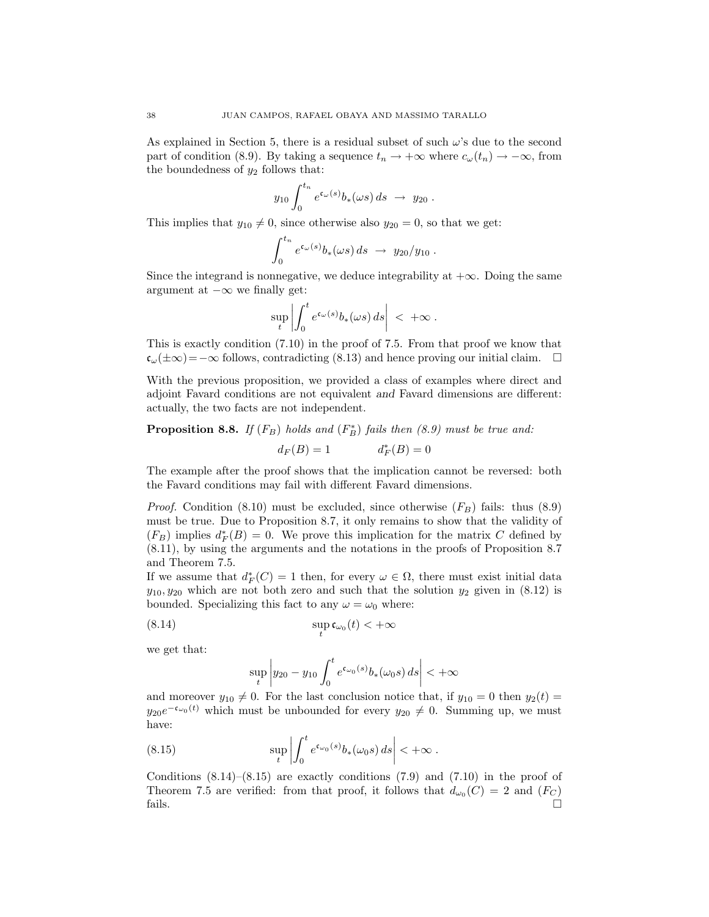As explained in Section 5, there is a residual subset of such  $\omega$ 's due to the second part of condition (8.9). By taking a sequence  $t_n \to +\infty$  where  $c_\omega(t_n) \to -\infty$ , from the boundedness of  $y_2$  follows that:

$$
y_{10} \int_0^{t_n} e^{\mathfrak{c}_\omega(s)} b_*(\omega s) ds \rightarrow y_{20} .
$$

This implies that  $y_{10} \neq 0$ , since otherwise also  $y_{20} = 0$ , so that we get:

$$
\int_0^{t_n} e^{\mathfrak{c}_\omega(s)} b_*(\omega s) ds \rightarrow y_{20}/y_{10} .
$$

Since the integrand is nonnegative, we deduce integrability at  $+\infty$ . Doing the same argument at  $-\infty$  we finally get:

$$
\sup_t \left| \int_0^t e^{\mathfrak{c}_{\omega}(s)} b_*(\omega s) ds \right| < +\infty.
$$

This is exactly condition (7.10) in the proof of 7.5. From that proof we know that  $\mathfrak{c}_{\omega}(\pm\infty)=-\infty$  follows, contradicting (8.13) and hence proving our initial claim.  $\Box$ 

With the previous proposition, we provided a class of examples where direct and adjoint Favard conditions are not equivalent and Favard dimensions are different: actually, the two facts are not independent.

**Proposition 8.8.** If  $(F_B)$  holds and  $(F_B^*)$  fails then  $(8.9)$  must be true and:

$$
d_F(B) = 1 \qquad \qquad d_F^*(B) = 0
$$

The example after the proof shows that the implication cannot be reversed: both the Favard conditions may fail with different Favard dimensions.

*Proof.* Condition (8.10) must be excluded, since otherwise  $(F_B)$  fails: thus (8.9) must be true. Due to Proposition 8.7, it only remains to show that the validity of  $(F_B)$  implies  $d_F^*(B) = 0$ . We prove this implication for the matrix C defined by (8.11), by using the arguments and the notations in the proofs of Proposition 8.7 and Theorem 7.5.

If we assume that  $d_F^*(C) = 1$  then, for every  $\omega \in \Omega$ , there must exist initial data  $y_{10}, y_{20}$  which are not both zero and such that the solution  $y_2$  given in  $(8.12)$  is bounded. Specializing this fact to any  $\omega = \omega_0$  where:

$$
\sup_{t} \mathfrak{c}_{\omega_0}(t) < +\infty
$$

we get that:

$$
\sup_{t} \left| y_{20} - y_{10} \int_0^t e^{\mathfrak{c}_{\omega_0}(s)} b_*(\omega_0 s) \, ds \right| < +\infty
$$

and moreover  $y_{10} \neq 0$ . For the last conclusion notice that, if  $y_{10} = 0$  then  $y_2(t) =$  $y_{20}e^{-\mathfrak{c}_{\omega_0}(t)}$  which must be unbounded for every  $y_{20} \neq 0$ . Summing up, we must have:

(8.15) 
$$
\sup_t \left| \int_0^t e^{\mathfrak{c}_{\omega_0}(s)} b_*(\omega_0 s) ds \right| < +\infty.
$$

Conditions  $(8.14)$ – $(8.15)$  are exactly conditions  $(7.9)$  and  $(7.10)$  in the proof of Theorem 7.5 are verified: from that proof, it follows that  $d_{\omega_0}(C) = 2$  and  $(F_C)$ fails.  $\Box$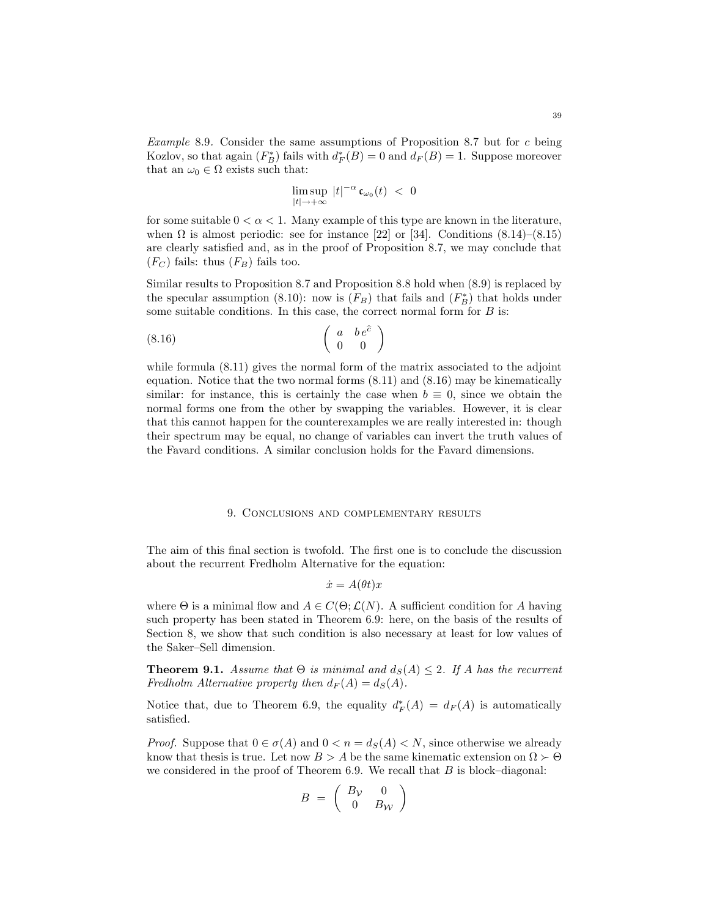$$
\limsup_{|t|\to+\infty}\,|t|^{-\alpha}\,\mathfrak{c}_{\omega_0}(t)\;<\;0
$$

for some suitable  $0 < \alpha < 1$ . Many example of this type are known in the literature, when  $\Omega$  is almost periodic: see for instance [22] or [34]. Conditions (8.14)–(8.15) are clearly satisfied and, as in the proof of Proposition 8.7, we may conclude that  $(F_C)$  fails: thus  $(F_B)$  fails too.

Similar results to Proposition 8.7 and Proposition 8.8 hold when (8.9) is replaced by the specular assumption (8.10): now is  $(F_B)$  that fails and  $(F_B^*)$  that holds under some suitable conditions. In this case, the correct normal form for  $B$  is:

$$
\begin{pmatrix}\n a & b \, e^{\widehat{c}} \\
 0 & 0\n \end{pmatrix}
$$

while formula (8.11) gives the normal form of the matrix associated to the adjoint equation. Notice that the two normal forms (8.11) and (8.16) may be kinematically similar: for instance, this is certainly the case when  $b \equiv 0$ , since we obtain the normal forms one from the other by swapping the variables. However, it is clear that this cannot happen for the counterexamples we are really interested in: though their spectrum may be equal, no change of variables can invert the truth values of the Favard conditions. A similar conclusion holds for the Favard dimensions.

#### 9. Conclusions and complementary results

The aim of this final section is twofold. The first one is to conclude the discussion about the recurrent Fredholm Alternative for the equation:

$$
\dot{x} = A(\theta t)x
$$

where  $\Theta$  is a minimal flow and  $A \in C(\Theta; \mathcal{L}(N))$ . A sufficient condition for A having such property has been stated in Theorem 6.9: here, on the basis of the results of Section 8, we show that such condition is also necessary at least for low values of the Saker–Sell dimension.

**Theorem 9.1.** Assume that  $\Theta$  is minimal and  $d_S(A) \leq 2$ . If A has the recurrent Fredholm Alternative property then  $d_F(A) = d_S(A)$ .

Notice that, due to Theorem 6.9, the equality  $d_F^*(A) = d_F(A)$  is automatically satisfied.

*Proof.* Suppose that  $0 \in \sigma(A)$  and  $0 < n = d_S(A) < N$ , since otherwise we already know that thesis is true. Let now  $B > A$  be the same kinematic extension on  $\Omega \succ \Theta$ we considered in the proof of Theorem 6.9. We recall that  $B$  is block–diagonal:

$$
B = \left(\begin{array}{cc} B_V & 0 \\ 0 & B_W \end{array}\right)
$$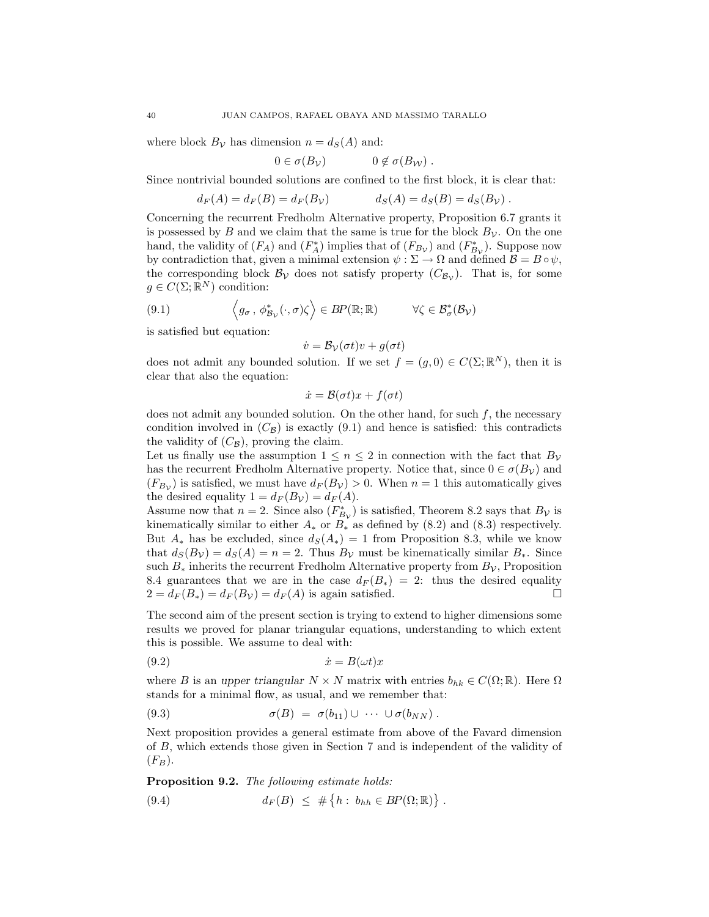where block  $B_{\mathcal{V}}$  has dimension  $n = d_S(A)$  and:

$$
0 \in \sigma(B_{\mathcal{V}}) \qquad \qquad 0 \notin \sigma(B_{\mathcal{W}}) .
$$

Since nontrivial bounded solutions are confined to the first block, it is clear that:

$$
d_F(A) = d_F(B) = d_F(B_\mathcal{V})
$$
  $d_S(A) = d_S(B) = d_S(B_\mathcal{V})$ .

Concerning the recurrent Fredholm Alternative property, Proposition 6.7 grants it is possessed by B and we claim that the same is true for the block  $B_{\mathcal{V}}$ . On the one hand, the validity of  $(F_A)$  and  $(F_A^*)$  implies that of  $(F_{B_v})$  and  $(F_{B_v}^*)$ . Suppose now by contradiction that, given a minimal extension  $\psi : \Sigma \to \Omega$  and defined  $\mathcal{B} = B \circ \psi$ , the corresponding block  $\mathcal{B}_{\mathcal{V}}$  does not satisfy property  $(C_{\mathcal{B}_{\mathcal{V}}})$ . That is, for some  $g \in C(\Sigma; \mathbb{R}^N)$  condition:

(9.1) 
$$
\left\langle g_{\sigma}, \phi_{\mathcal{B}_{\mathcal{V}}}^*(\cdot, \sigma) \zeta \right\rangle \in BP(\mathbb{R}; \mathbb{R}) \qquad \forall \zeta \in \mathcal{B}_{\sigma}^*(\mathcal{B}_{\mathcal{V}})
$$

is satisfied but equation:

$$
\dot{v} = \mathcal{B}_{\mathcal{V}}(\sigma t)v + g(\sigma t)
$$

does not admit any bounded solution. If we set  $f = (g, 0) \in C(\Sigma; \mathbb{R}^N)$ , then it is clear that also the equation:

$$
\dot{x} = \mathcal{B}(\sigma t)x + f(\sigma t)
$$

does not admit any bounded solution. On the other hand, for such  $f$ , the necessary condition involved in  $(C_B)$  is exactly (9.1) and hence is satisfied: this contradicts the validity of  $(C_{\mathcal{B}})$ , proving the claim.

Let us finally use the assumption  $1 \leq n \leq 2$  in connection with the fact that  $B_{\mathcal{V}}$ has the recurrent Fredholm Alternative property. Notice that, since  $0 \in \sigma(B_{\mathcal{V}})$  and  $(F_{B_{\mathcal{V}}})$  is satisfied, we must have  $d_F(B_{\mathcal{V}}) > 0$ . When  $n = 1$  this automatically gives the desired equality  $1 = d_F(B_V) = d_F(A)$ .

Assume now that  $n = 2$ . Since also  $(F_{B_{\mathcal{V}}}^{*})$  is satisfied, Theorem 8.2 says that  $B_{\mathcal{V}}$  is kinematically similar to either  $A_*$  or  $B_*$  as defined by (8.2) and (8.3) respectively. But  $A_*$  has be excluded, since  $d_S(A_*) = 1$  from Proposition 8.3, while we know that  $d_S(B_V) = d_S(A) = n = 2$ . Thus  $B_V$  must be kinematically similar  $B_*$ . Since such  $B_*$  inherits the recurrent Fredholm Alternative property from  $B_{\mathcal{V}}$ , Proposition 8.4 guarantees that we are in the case  $d_F (B_*) = 2$ : thus the desired equality  $2 = d_F(B_*) = d_F(B_*) = d_F(A)$  is again satisfied.

The second aim of the present section is trying to extend to higher dimensions some results we proved for planar triangular equations, understanding to which extent this is possible. We assume to deal with:

$$
(9.2) \t\t \dot{x} = B(\omega t)x
$$

where B is an upper triangular  $N \times N$  matrix with entries  $b_{hk} \in C(\Omega;\mathbb{R})$ . Here  $\Omega$ stands for a minimal flow, as usual, and we remember that:

$$
(9.3) \qquad \sigma(B) = \sigma(b_{11}) \cup \cdots \cup \sigma(b_{NN}).
$$

Next proposition provides a general estimate from above of the Favard dimension of B, which extends those given in Section 7 and is independent of the validity of  $(F_B).$ 

Proposition 9.2. The following estimate holds:

$$
(9.4) \t d_F(B) \leq # \{h : b_{hh} \in BP(\Omega;\mathbb{R})\}.
$$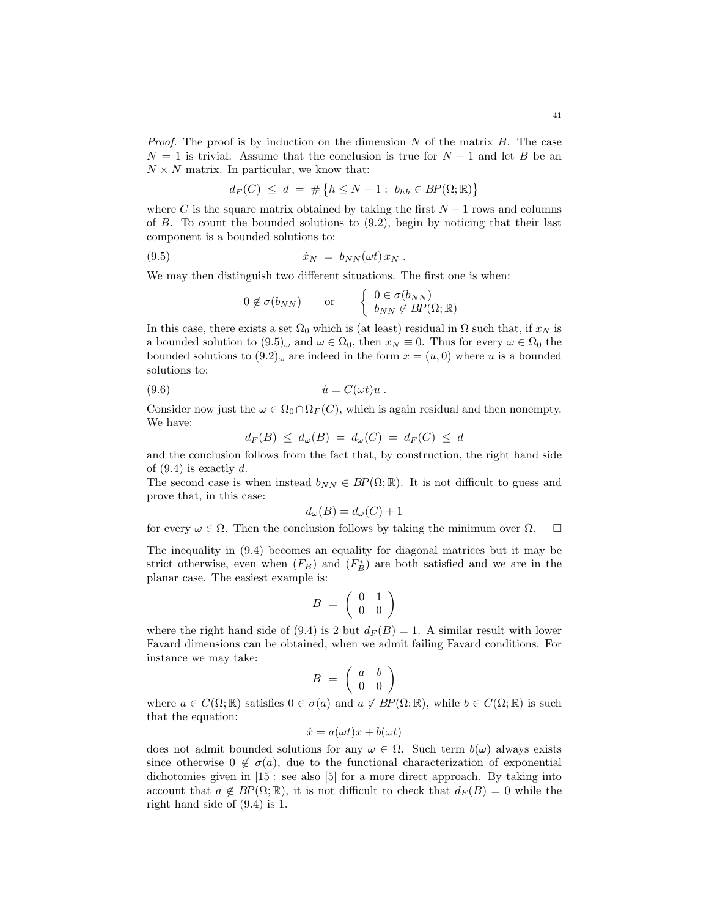*Proof.* The proof is by induction on the dimension  $N$  of the matrix  $B$ . The case  $N = 1$  is trivial. Assume that the conclusion is true for  $N - 1$  and let B be an  $N \times N$  matrix. In particular, we know that:

$$
d_F(C) \le d = \# \{ h \le N - 1 : b_{hh} \in BP(\Omega;\mathbb{R}) \}
$$

where C is the square matrix obtained by taking the first  $N-1$  rows and columns of  $B$ . To count the bounded solutions to  $(9.2)$ , begin by noticing that their last component is a bounded solutions to:

(9.5) ˙x<sup>N</sup> = bNN (ωt) x<sup>N</sup> .

We may then distinguish two different situations. The first one is when:

$$
0 \notin \sigma(b_{NN})
$$
 or  $\begin{cases} 0 \in \sigma(b_{NN}) \\ b_{NN} \notin BP(\Omega;\mathbb{R}) \end{cases}$ 

In this case, there exists a set  $\Omega_0$  which is (at least) residual in  $\Omega$  such that, if  $x_N$  is a bounded solution to  $(9.5)_{\omega}$  and  $\omega \in \Omega_0$ , then  $x_N \equiv 0$ . Thus for every  $\omega \in \Omega_0$  the bounded solutions to  $(9.2)_{\omega}$  are indeed in the form  $x = (u, 0)$  where u is a bounded solutions to:

(9.6) ˙u = C(ωt)u .

Consider now just the  $\omega \in \Omega_0 \cap \Omega_F(C)$ , which is again residual and then nonempty. We have:

$$
d_F(B) \leq d_{\omega}(B) = d_{\omega}(C) = d_F(C) \leq d
$$

and the conclusion follows from the fact that, by construction, the right hand side of  $(9.4)$  is exactly d.

The second case is when instead  $b_{NN} \in BP(\Omega;\mathbb{R})$ . It is not difficult to guess and prove that, in this case:

$$
d_{\omega}(B) = d_{\omega}(C) + 1
$$

for every  $\omega \in \Omega$ . Then the conclusion follows by taking the minimum over  $\Omega$ .  $\square$ 

The inequality in (9.4) becomes an equality for diagonal matrices but it may be strict otherwise, even when  $(F_B)$  and  $(F_B^*)$  are both satisfied and we are in the planar case. The easiest example is:

$$
B = \left(\begin{array}{cc} 0 & 1 \\ 0 & 0 \end{array}\right)
$$

where the right hand side of (9.4) is 2 but  $d_F(B) = 1$ . A similar result with lower Favard dimensions can be obtained, when we admit failing Favard conditions. For instance we may take:

$$
B = \left(\begin{array}{cc} a & b \\ 0 & 0 \end{array}\right)
$$

where  $a \in C(\Omega;\mathbb{R})$  satisfies  $0 \in \sigma(a)$  and  $a \notin BP(\Omega;\mathbb{R})$ , while  $b \in C(\Omega;\mathbb{R})$  is such that the equation:

$$
\dot{x} = a(\omega t)x + b(\omega t)
$$

does not admit bounded solutions for any  $\omega \in \Omega$ . Such term  $b(\omega)$  always exists since otherwise  $0 \notin \sigma(a)$ , due to the functional characterization of exponential dichotomies given in [15]: see also [5] for a more direct approach. By taking into account that  $a \notin BP(\Omega;\mathbb{R})$ , it is not difficult to check that  $d_F(B) = 0$  while the right hand side of (9.4) is 1.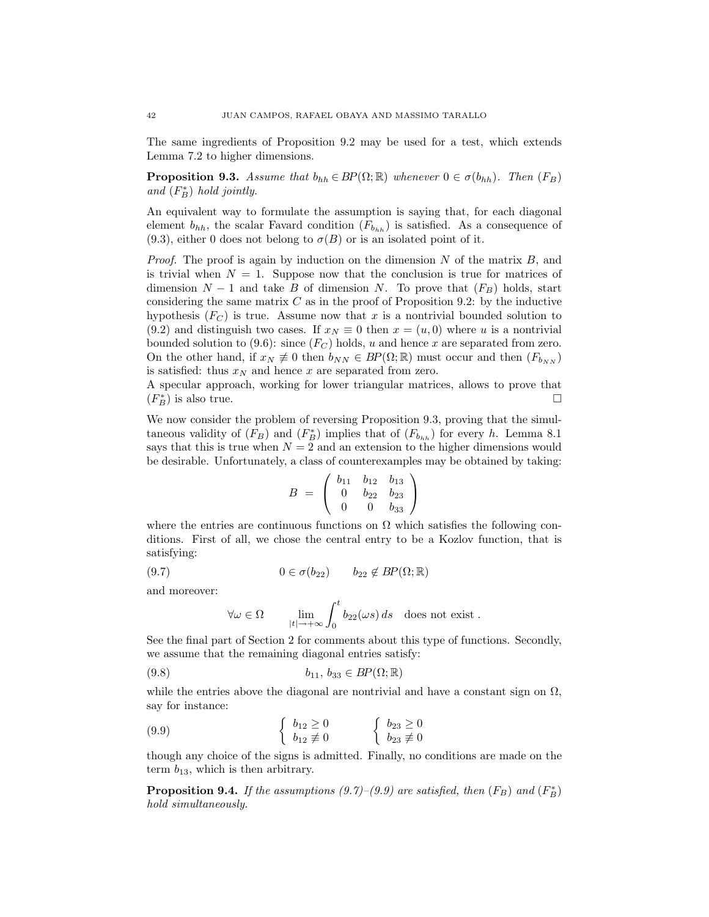The same ingredients of Proposition 9.2 may be used for a test, which extends Lemma 7.2 to higher dimensions.

**Proposition 9.3.** Assume that  $b_{hh} \in BP(\Omega;\mathbb{R})$  whenever  $0 \in \sigma(b_{hh})$ . Then  $(F_B)$ and  $(F_B^*)$  hold jointly.

An equivalent way to formulate the assumption is saying that, for each diagonal element  $b_{hh}$ , the scalar Favard condition  $(F_{b_{hh}})$  is satisfied. As a consequence of  $(9.3)$ , either 0 does not belong to  $\sigma(B)$  or is an isolated point of it.

*Proof.* The proof is again by induction on the dimension  $N$  of the matrix  $B$ , and is trivial when  $N = 1$ . Suppose now that the conclusion is true for matrices of dimension  $N-1$  and take B of dimension N. To prove that  $(F_B)$  holds, start considering the same matrix  $C$  as in the proof of Proposition 9.2: by the inductive hypothesis  $(F_C)$  is true. Assume now that x is a nontrivial bounded solution to (9.2) and distinguish two cases. If  $x_N \equiv 0$  then  $x = (u, 0)$  where u is a nontrivial bounded solution to (9.6): since  $(F_C)$  holds, u and hence x are separated from zero. On the other hand, if  $x_N \neq 0$  then  $b_{NN} \in BP(\Omega;\mathbb{R})$  must occur and then  $(F_{b_{NN}})$ is satisfied: thus  $x_N$  and hence x are separated from zero.

A specular approach, working for lower triangular matrices, allows to prove that  $(F_B^*)$  is also true.

We now consider the problem of reversing Proposition 9.3, proving that the simultaneous validity of  $(F_B)$  and  $(F_B^*)$  implies that of  $(F_{b_{hh}})$  for every h. Lemma 8.1 says that this is true when  $N = 2$  and an extension to the higher dimensions would be desirable. Unfortunately, a class of counterexamples may be obtained by taking:

$$
B = \left(\begin{array}{ccc} b_{11} & b_{12} & b_{13} \\ 0 & b_{22} & b_{23} \\ 0 & 0 & b_{33} \end{array}\right)
$$

where the entries are continuous functions on  $\Omega$  which satisfies the following conditions. First of all, we chose the central entry to be a Kozlov function, that is satisfying:

(9.7) 
$$
0 \in \sigma(b_{22}) \qquad b_{22} \notin BP(\Omega;\mathbb{R})
$$

and moreover:

$$
\forall \omega \in \Omega \qquad \lim_{|t| \to +\infty} \int_0^t b_{22}(\omega s) \, ds \quad \text{does not exist.}
$$

See the final part of Section 2 for comments about this type of functions. Secondly, we assume that the remaining diagonal entries satisfy:

$$
(9.8) \t\t b_{11}, b_{33} \in BP(\Omega;\mathbb{R})
$$

while the entries above the diagonal are nontrivial and have a constant sign on  $\Omega$ , say for instance:

$$
(9.9) \qquad \qquad \left\{ \begin{array}{ll} b_{12} \geq 0 \\ b_{12} \not\equiv 0 \end{array} \right. \qquad \left\{ \begin{array}{ll} b_{23} \geq 0 \\ b_{23} \not\equiv 0 \end{array} \right.
$$

though any choice of the signs is admitted. Finally, no conditions are made on the term  $b_{13}$ , which is then arbitrary.

**Proposition 9.4.** If the assumptions  $(9.7)$ – $(9.9)$  are satisfied, then  $(F_B)$  and  $(F_B^*)$ hold simultaneously.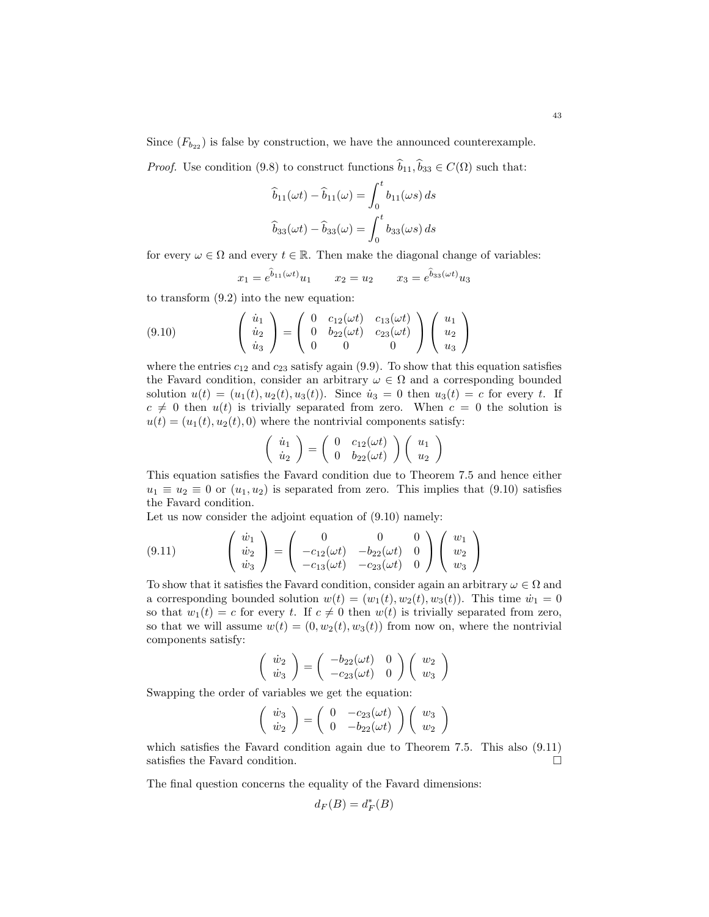Since  $(F_{b_{22}})$  is false by construction, we have the announced counterexample.

*Proof.* Use condition (9.8) to construct functions  $\hat{b}_{11}, \hat{b}_{33} \in C(\Omega)$  such that:

$$
\hat{b}_{11}(\omega t) - \hat{b}_{11}(\omega) = \int_0^t b_{11}(\omega s) ds
$$
  

$$
\hat{b}_{33}(\omega t) - \hat{b}_{33}(\omega) = \int_0^t b_{33}(\omega s) ds
$$

for every  $\omega \in \Omega$  and every  $t \in \mathbb{R}$ . Then make the diagonal change of variables:

$$
x_1 = e^{\hat{b}_{11}(\omega t)} u_1
$$
  $x_2 = u_2$   $x_3 = e^{\hat{b}_{33}(\omega t)} u_3$ 

to transform (9.2) into the new equation:

(9.10) 
$$
\begin{pmatrix} \dot{u}_1 \\ \dot{u}_2 \\ \dot{u}_3 \end{pmatrix} = \begin{pmatrix} 0 & c_{12}(\omega t) & c_{13}(\omega t) \\ 0 & b_{22}(\omega t) & c_{23}(\omega t) \\ 0 & 0 & 0 \end{pmatrix} \begin{pmatrix} u_1 \\ u_2 \\ u_3 \end{pmatrix}
$$

where the entries  $c_{12}$  and  $c_{23}$  satisfy again (9.9). To show that this equation satisfies the Favard condition, consider an arbitrary  $\omega \in \Omega$  and a corresponding bounded solution  $u(t) = (u_1(t), u_2(t), u_3(t))$ . Since  $\dot{u}_3 = 0$  then  $u_3(t) = c$  for every t. If  $c \neq 0$  then  $u(t)$  is trivially separated from zero. When  $c = 0$  the solution is  $u(t) = (u_1(t), u_2(t), 0)$  where the nontrivial components satisfy:

$$
\left(\begin{array}{c} \dot{u}_1 \\ \dot{u}_2 \end{array}\right) = \left(\begin{array}{cc} 0 & c_{12}(\omega t) \\ 0 & b_{22}(\omega t) \end{array}\right) \left(\begin{array}{c} u_1 \\ u_2 \end{array}\right)
$$

This equation satisfies the Favard condition due to Theorem 7.5 and hence either  $u_1 \equiv u_2 \equiv 0$  or  $(u_1, u_2)$  is separated from zero. This implies that  $(9.10)$  satisfies the Favard condition.

Let us now consider the adjoint equation of (9.10) namely:

(9.11) 
$$
\begin{pmatrix} \dot{w}_1 \\ \dot{w}_2 \\ \dot{w}_3 \end{pmatrix} = \begin{pmatrix} 0 & 0 & 0 \\ -c_{12}(\omega t) & -b_{22}(\omega t) & 0 \\ -c_{13}(\omega t) & -c_{23}(\omega t) & 0 \end{pmatrix} \begin{pmatrix} w_1 \\ w_2 \\ w_3 \end{pmatrix}
$$

To show that it satisfies the Favard condition, consider again an arbitrary  $\omega \in \Omega$  and a corresponding bounded solution  $w(t) = (w_1(t), w_2(t), w_3(t))$ . This time  $\dot{w}_1 = 0$ so that  $w_1(t) = c$  for every t. If  $c \neq 0$  then  $w(t)$  is trivially separated from zero, so that we will assume  $w(t) = (0, w_2(t), w_3(t))$  from now on, where the nontrivial components satisfy:

$$
\left(\begin{array}{c}\n\dot{w}_2 \\
\dot{w}_3\n\end{array}\right) = \left(\begin{array}{cc}\n-b_{22}(\omega t) & 0 \\
-c_{23}(\omega t) & 0\n\end{array}\right) \left(\begin{array}{c}\n w_2 \\
 w_3\n\end{array}\right)
$$

Swapping the order of variables we get the equation:

$$
\left(\begin{array}{c}\n\dot{w}_3 \\
\dot{w}_2\n\end{array}\right) = \left(\begin{array}{cc}\n0 & -c_{23}(\omega t) \\
0 & -b_{22}(\omega t)\n\end{array}\right) \left(\begin{array}{c}\n w_3 \\
 w_2\n\end{array}\right)
$$

which satisfies the Favard condition again due to Theorem 7.5. This also (9.11) satisfies the Favard condition.

The final question concerns the equality of the Favard dimensions:

$$
d_F(B) = d_F^*(B)
$$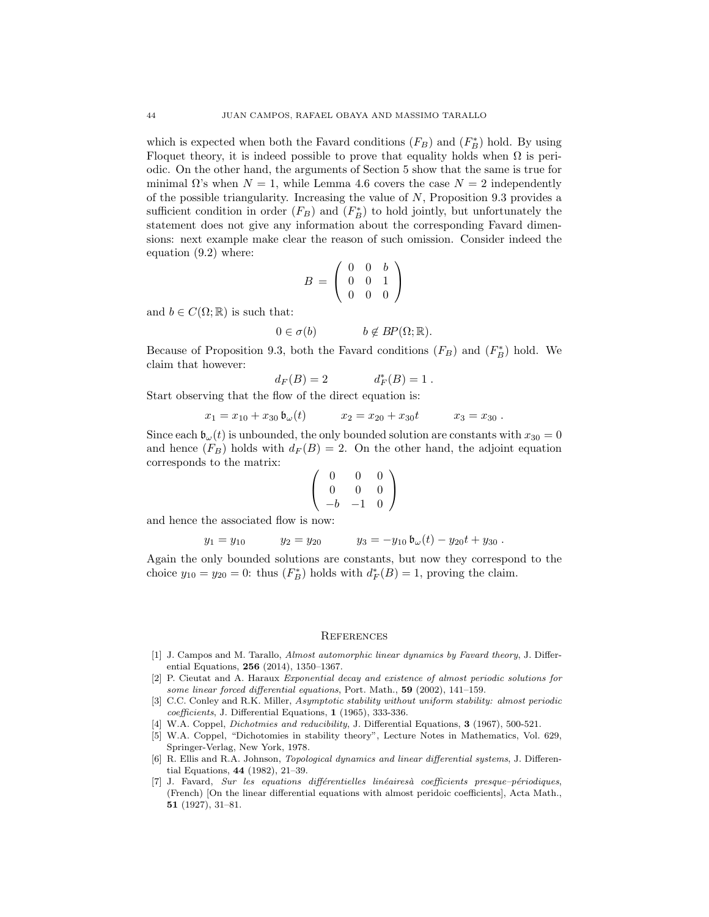which is expected when both the Favard conditions  $(F_B)$  and  $(F_B^*)$  hold. By using Floquet theory, it is indeed possible to prove that equality holds when  $\Omega$  is periodic. On the other hand, the arguments of Section 5 show that the same is true for minimal  $\Omega$ 's when  $N = 1$ , while Lemma 4.6 covers the case  $N = 2$  independently of the possible triangularity. Increasing the value of  $N$ , Proposition 9.3 provides a sufficient condition in order  $(F_B)$  and  $(F_B^*)$  to hold jointly, but unfortunately the statement does not give any information about the corresponding Favard dimensions: next example make clear the reason of such omission. Consider indeed the equation (9.2) where:

$$
B = \left(\begin{array}{rrr} 0 & 0 & b \\ 0 & 0 & 1 \\ 0 & 0 & 0 \end{array}\right)
$$

and  $b \in C(\Omega;\mathbb{R})$  is such that:

$$
0 \in \sigma(b) \qquad b \notin BP(\Omega; \mathbb{R}).
$$

Because of Proposition 9.3, both the Favard conditions  $(F_B)$  and  $(F_B^*)$  hold. We claim that however:

$$
d_F(B) = 2
$$
  $d_F^*(B) = 1$ .

Start observing that the flow of the direct equation is:

$$
x_1 = x_{10} + x_{30} \mathfrak{b}_{\omega}(t) \qquad x_2 = x_{20} + x_{30}t \qquad x_3 = x_{30}.
$$

Since each  $\mathfrak{b}_{\omega}(t)$  is unbounded, the only bounded solution are constants with  $x_{30} = 0$ and hence  $(F_B)$  holds with  $d_F(B) = 2$ . On the other hand, the adjoint equation corresponds to the matrix:

$$
\left(\begin{array}{ccc} 0 & 0 & 0 \\ 0 & 0 & 0 \\ -b & -1 & 0 \end{array}\right)
$$

and hence the associated flow is now:

$$
y_1 = y_{10}
$$
  $y_2 = y_{20}$   $y_3 = -y_{10} \mathfrak{b}_{\omega}(t) - y_{20}t + y_{30}$ .

Again the only bounded solutions are constants, but now they correspond to the choice  $y_{10} = y_{20} = 0$ : thus  $(F_B^*)$  holds with  $d_F^*(B) = 1$ , proving the claim.

### **REFERENCES**

- [1] J. Campos and M. Tarallo, Almost automorphic linear dynamics by Favard theory, J. Differential Equations, 256 (2014), 1350–1367.
- [2] P. Cieutat and A. Haraux Exponential decay and existence of almost periodic solutions for some linear forced differential equations, Port. Math.,  $59$  (2002), 141–159.
- [3] C.C. Conley and R.K. Miller, Asymptotic stability without uniform stability: almost periodic coefficients, J. Differential Equations, 1 (1965), 333-336.
- [4] W.A. Coppel, *Dichotmies and reducibility*, J. Differential Equations, **3** (1967), 500-521.
- [5] W.A. Coppel, "Dichotomies in stability theory", Lecture Notes in Mathematics, Vol. 629, Springer-Verlag, New York, 1978.
- [6] R. Ellis and R.A. Johnson, Topological dynamics and linear differential systems, J. Differential Equations, 44 (1982), 21–39.
- [7] J. Favard, Sur les equations différentielles linéairesà coefficients presque-périodiques, (French) [On the linear differential equations with almost peridoic coefficients], Acta Math., 51 (1927), 31–81.